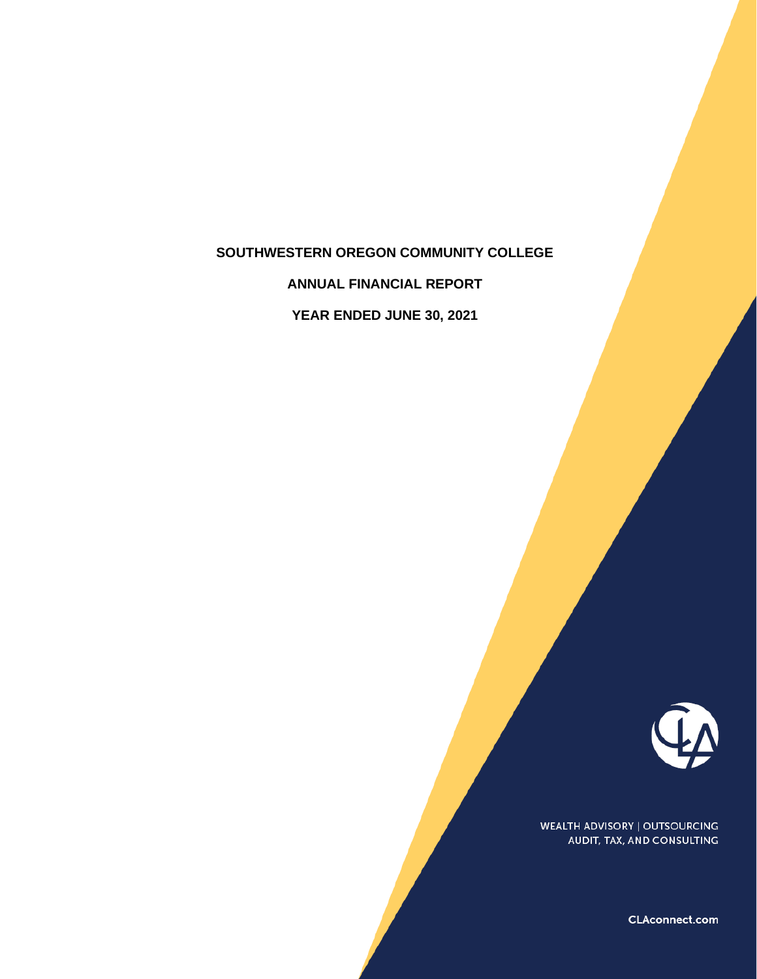# **SOUTHWESTERN OREGON COMMUNITY COLLEGE**

**ANNUAL FINANCIAL REPORT**

**YEAR ENDED JUNE 30, 2021**



WEALTH ADVISORY | OUTSOURCING AUDIT, TAX, AND CONSULTING

CLAconnect.com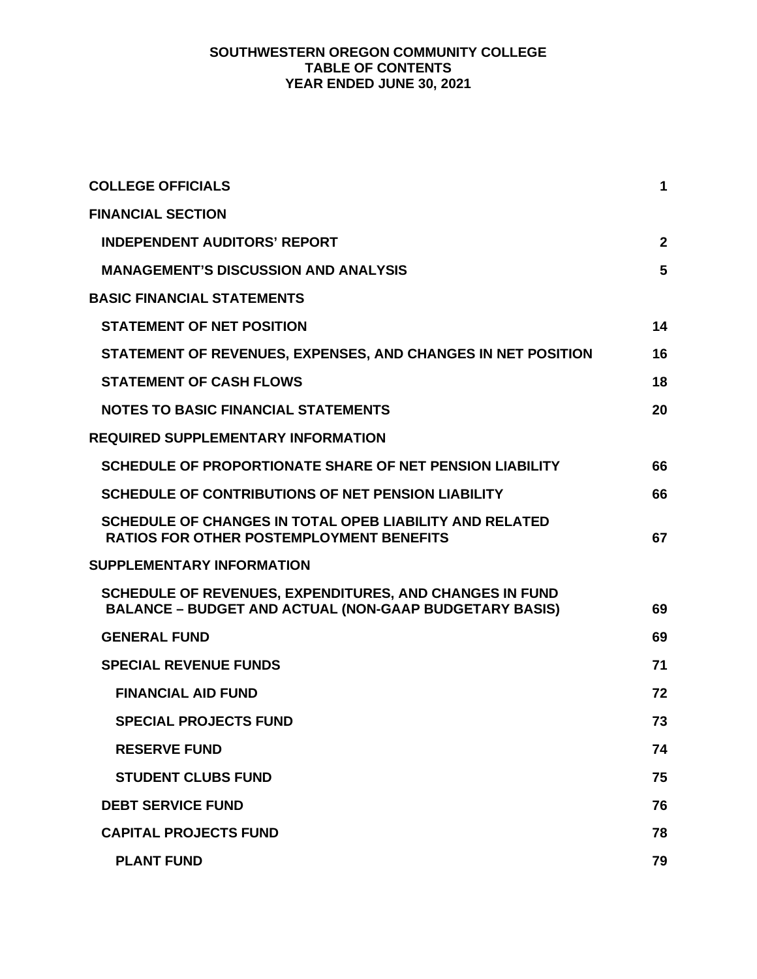# **SOUTHWESTERN OREGON COMMUNITY COLLEGE TABLE OF CONTENTS YEAR ENDED JUNE 30, 2021**

| <b>COLLEGE OFFICIALS</b>                                                                                                 | 1            |
|--------------------------------------------------------------------------------------------------------------------------|--------------|
| <b>FINANCIAL SECTION</b>                                                                                                 |              |
| <b>INDEPENDENT AUDITORS' REPORT</b>                                                                                      | $\mathbf{2}$ |
| <b>MANAGEMENT'S DISCUSSION AND ANALYSIS</b>                                                                              | 5            |
| <b>BASIC FINANCIAL STATEMENTS</b>                                                                                        |              |
| <b>STATEMENT OF NET POSITION</b>                                                                                         | 14           |
| STATEMENT OF REVENUES, EXPENSES, AND CHANGES IN NET POSITION                                                             | 16           |
| <b>STATEMENT OF CASH FLOWS</b>                                                                                           | 18           |
| <b>NOTES TO BASIC FINANCIAL STATEMENTS</b>                                                                               | 20           |
| <b>REQUIRED SUPPLEMENTARY INFORMATION</b>                                                                                |              |
| SCHEDULE OF PROPORTIONATE SHARE OF NET PENSION LIABILITY                                                                 | 66           |
| <b>SCHEDULE OF CONTRIBUTIONS OF NET PENSION LIABILITY</b>                                                                | 66           |
| SCHEDULE OF CHANGES IN TOTAL OPEB LIABILITY AND RELATED<br><b>RATIOS FOR OTHER POSTEMPLOYMENT BENEFITS</b>               | 67           |
| <b>SUPPLEMENTARY INFORMATION</b>                                                                                         |              |
| SCHEDULE OF REVENUES, EXPENDITURES, AND CHANGES IN FUND<br><b>BALANCE - BUDGET AND ACTUAL (NON-GAAP BUDGETARY BASIS)</b> | 69           |
| <b>GENERAL FUND</b>                                                                                                      | 69           |
| <b>SPECIAL REVENUE FUNDS</b>                                                                                             | 71           |
| <b>FINANCIAL AID FUND</b>                                                                                                | 72           |
| <b>SPECIAL PROJECTS FUND</b>                                                                                             | 73           |
| <b>RESERVE FUND</b>                                                                                                      | 74           |
| <b>STUDENT CLUBS FUND</b>                                                                                                | 75           |
| <b>DEBT SERVICE FUND</b>                                                                                                 | 76           |
| <b>CAPITAL PROJECTS FUND</b>                                                                                             | 78           |
| <b>PLANT FUND</b>                                                                                                        | 79           |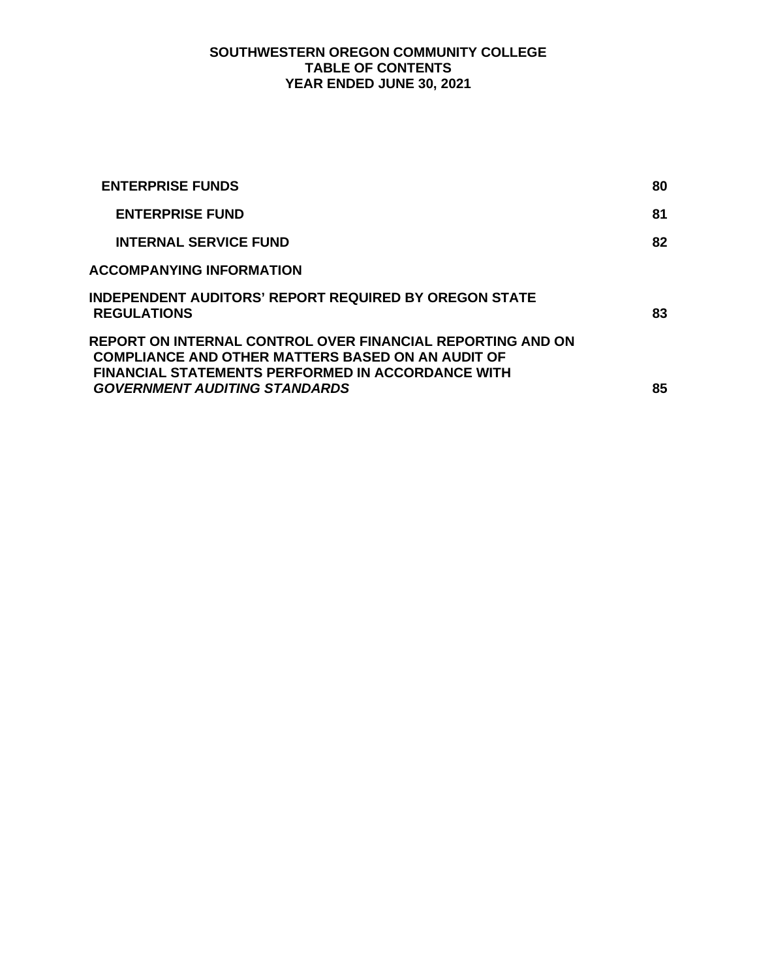# **SOUTHWESTERN OREGON COMMUNITY COLLEGE TABLE OF CONTENTS YEAR ENDED JUNE 30, 2021**

| <b>ENTERPRISE FUNDS</b>                                                                                                                                                            | 80 |
|------------------------------------------------------------------------------------------------------------------------------------------------------------------------------------|----|
| <b>ENTERPRISE FUND</b>                                                                                                                                                             | 81 |
| <b>INTERNAL SERVICE FUND</b>                                                                                                                                                       | 82 |
| <b>ACCOMPANYING INFORMATION</b>                                                                                                                                                    |    |
| INDEPENDENT AUDITORS' REPORT REQUIRED BY OREGON STATE<br><b>REGULATIONS</b>                                                                                                        | 83 |
| REPORT ON INTERNAL CONTROL OVER FINANCIAL REPORTING AND ON<br><b>COMPLIANCE AND OTHER MATTERS BASED ON AN AUDIT OF</b><br><b>FINANCIAL STATEMENTS PERFORMED IN ACCORDANCE WITH</b> |    |
| <b>GOVERNMENT AUDITING STANDARDS</b>                                                                                                                                               | 85 |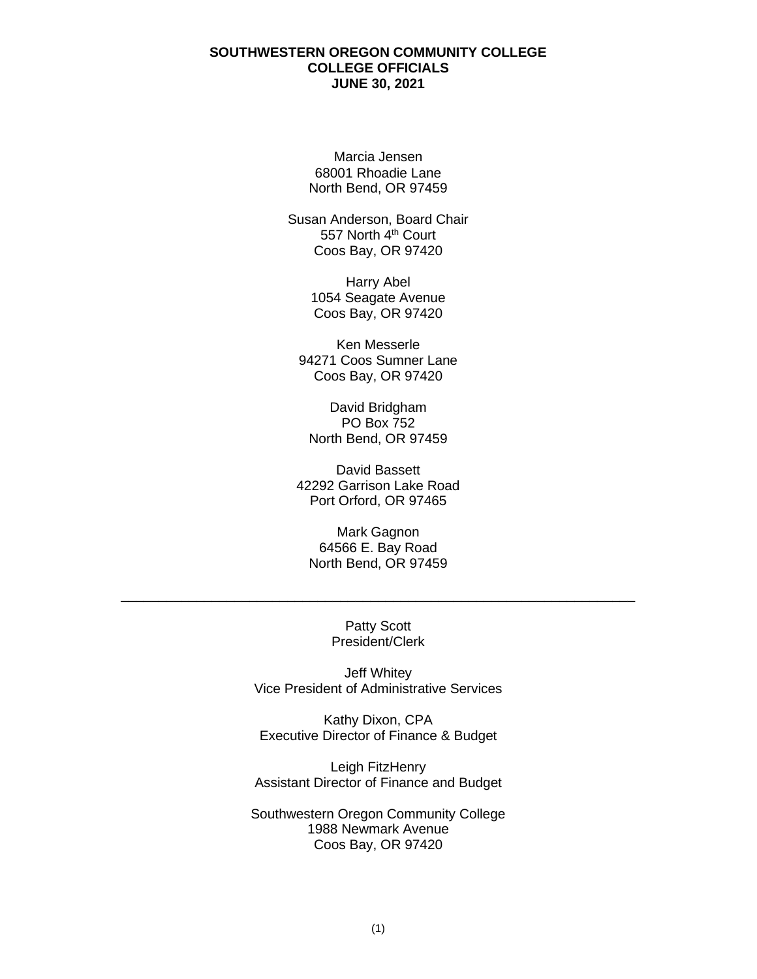### **SOUTHWESTERN OREGON COMMUNITY COLLEGE COLLEGE OFFICIALS JUNE 30, 2021**

Marcia Jensen 68001 Rhoadie Lane North Bend, OR 97459

Susan Anderson, Board Chair 557 North 4<sup>th</sup> Court Coos Bay, OR 97420

> Harry Abel 1054 Seagate Avenue Coos Bay, OR 97420

Ken Messerle 94271 Coos Sumner Lane Coos Bay, OR 97420

David Bridgham PO Box 752 North Bend, OR 97459

David Bassett 42292 Garrison Lake Road Port Orford, OR 97465

Mark Gagnon 64566 E. Bay Road North Bend, OR 97459

> Patty Scott President/Clerk

\_\_\_\_\_\_\_\_\_\_\_\_\_\_\_\_\_\_\_\_\_\_\_\_\_\_\_\_\_\_\_\_\_\_\_\_\_\_\_\_\_\_\_\_\_\_\_\_\_\_\_\_\_\_\_\_\_\_\_\_\_\_\_\_\_\_\_\_

Jeff Whitey Vice President of Administrative Services

Kathy Dixon, CPA Executive Director of Finance & Budget

Leigh FitzHenry Assistant Director of Finance and Budget

Southwestern Oregon Community College 1988 Newmark Avenue Coos Bay, OR 97420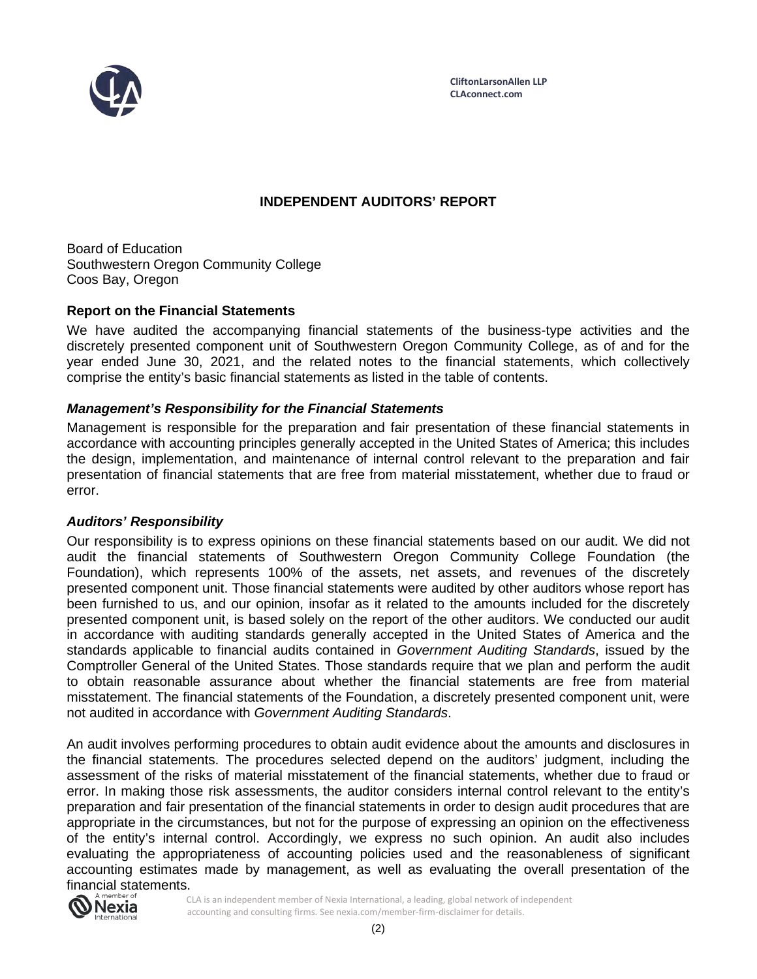

# **INDEPENDENT AUDITORS' REPORT**

Board of Education Southwestern Oregon Community College Coos Bay, Oregon

# **Report on the Financial Statements**

We have audited the accompanying financial statements of the business-type activities and the discretely presented component unit of Southwestern Oregon Community College, as of and for the year ended June 30, 2021, and the related notes to the financial statements, which collectively comprise the entity's basic financial statements as listed in the table of contents.

## *Management's Responsibility for the Financial Statements*

Management is responsible for the preparation and fair presentation of these financial statements in accordance with accounting principles generally accepted in the United States of America; this includes the design, implementation, and maintenance of internal control relevant to the preparation and fair presentation of financial statements that are free from material misstatement, whether due to fraud or error.

### *Auditors' Responsibility*

Our responsibility is to express opinions on these financial statements based on our audit. We did not audit the financial statements of Southwestern Oregon Community College Foundation (the Foundation), which represents 100% of the assets, net assets, and revenues of the discretely presented component unit. Those financial statements were audited by other auditors whose report has been furnished to us, and our opinion, insofar as it related to the amounts included for the discretely presented component unit, is based solely on the report of the other auditors. We conducted our audit in accordance with auditing standards generally accepted in the United States of America and the standards applicable to financial audits contained in *Government Auditing Standards*, issued by the Comptroller General of the United States. Those standards require that we plan and perform the audit to obtain reasonable assurance about whether the financial statements are free from material misstatement. The financial statements of the Foundation, a discretely presented component unit, were not audited in accordance with *Government Auditing Standards*.

An audit involves performing procedures to obtain audit evidence about the amounts and disclosures in the financial statements. The procedures selected depend on the auditors' judgment, including the assessment of the risks of material misstatement of the financial statements, whether due to fraud or error. In making those risk assessments, the auditor considers internal control relevant to the entity's preparation and fair presentation of the financial statements in order to design audit procedures that are appropriate in the circumstances, but not for the purpose of expressing an opinion on the effectiveness of the entity's internal control. Accordingly, we express no such opinion. An audit also includes evaluating the appropriateness of accounting policies used and the reasonableness of significant accounting estimates made by management, as well as evaluating the overall presentation of the financial statements.

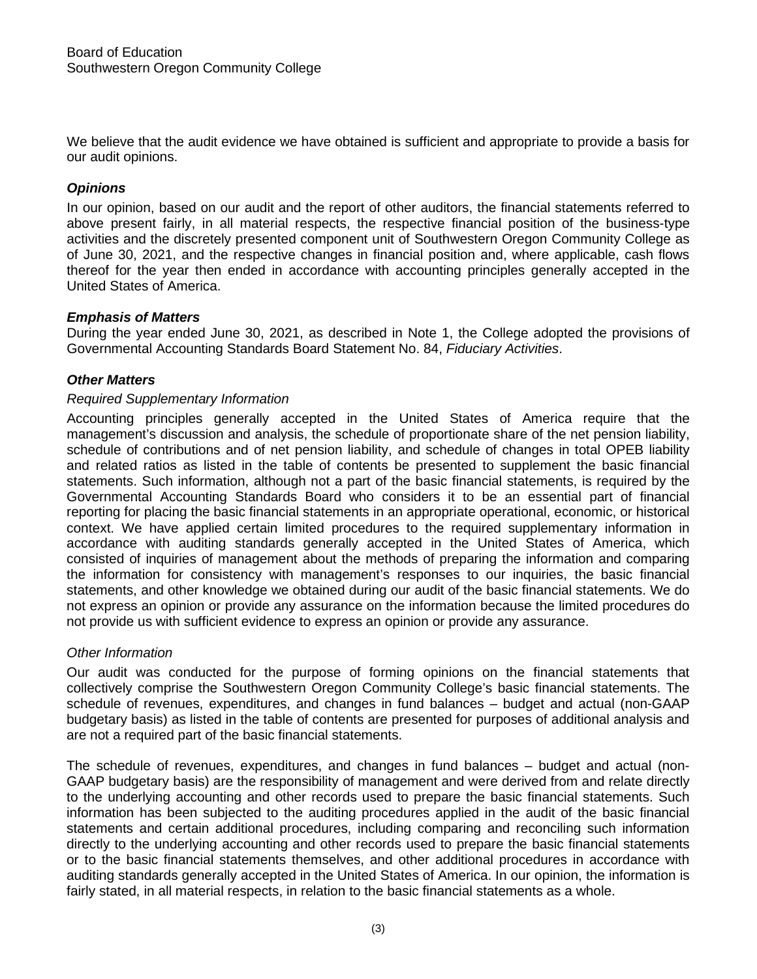We believe that the audit evidence we have obtained is sufficient and appropriate to provide a basis for our audit opinions.

# *Opinions*

In our opinion, based on our audit and the report of other auditors, the financial statements referred to above present fairly, in all material respects, the respective financial position of the business-type activities and the discretely presented component unit of Southwestern Oregon Community College as of June 30, 2021, and the respective changes in financial position and, where applicable, cash flows thereof for the year then ended in accordance with accounting principles generally accepted in the United States of America.

# *Emphasis of Matters*

During the year ended June 30, 2021, as described in Note 1, the College adopted the provisions of Governmental Accounting Standards Board Statement No. 84, *Fiduciary Activities*.

# *Other Matters*

## *Required Supplementary Information*

Accounting principles generally accepted in the United States of America require that the management's discussion and analysis, the schedule of proportionate share of the net pension liability, schedule of contributions and of net pension liability, and schedule of changes in total OPEB liability and related ratios as listed in the table of contents be presented to supplement the basic financial statements. Such information, although not a part of the basic financial statements, is required by the Governmental Accounting Standards Board who considers it to be an essential part of financial reporting for placing the basic financial statements in an appropriate operational, economic, or historical context. We have applied certain limited procedures to the required supplementary information in accordance with auditing standards generally accepted in the United States of America, which consisted of inquiries of management about the methods of preparing the information and comparing the information for consistency with management's responses to our inquiries, the basic financial statements, and other knowledge we obtained during our audit of the basic financial statements. We do not express an opinion or provide any assurance on the information because the limited procedures do not provide us with sufficient evidence to express an opinion or provide any assurance.

# *Other Information*

Our audit was conducted for the purpose of forming opinions on the financial statements that collectively comprise the Southwestern Oregon Community College's basic financial statements. The schedule of revenues, expenditures, and changes in fund balances – budget and actual (non-GAAP budgetary basis) as listed in the table of contents are presented for purposes of additional analysis and are not a required part of the basic financial statements.

The schedule of revenues, expenditures, and changes in fund balances – budget and actual (non-GAAP budgetary basis) are the responsibility of management and were derived from and relate directly to the underlying accounting and other records used to prepare the basic financial statements. Such information has been subjected to the auditing procedures applied in the audit of the basic financial statements and certain additional procedures, including comparing and reconciling such information directly to the underlying accounting and other records used to prepare the basic financial statements or to the basic financial statements themselves, and other additional procedures in accordance with auditing standards generally accepted in the United States of America. In our opinion, the information is fairly stated, in all material respects, in relation to the basic financial statements as a whole.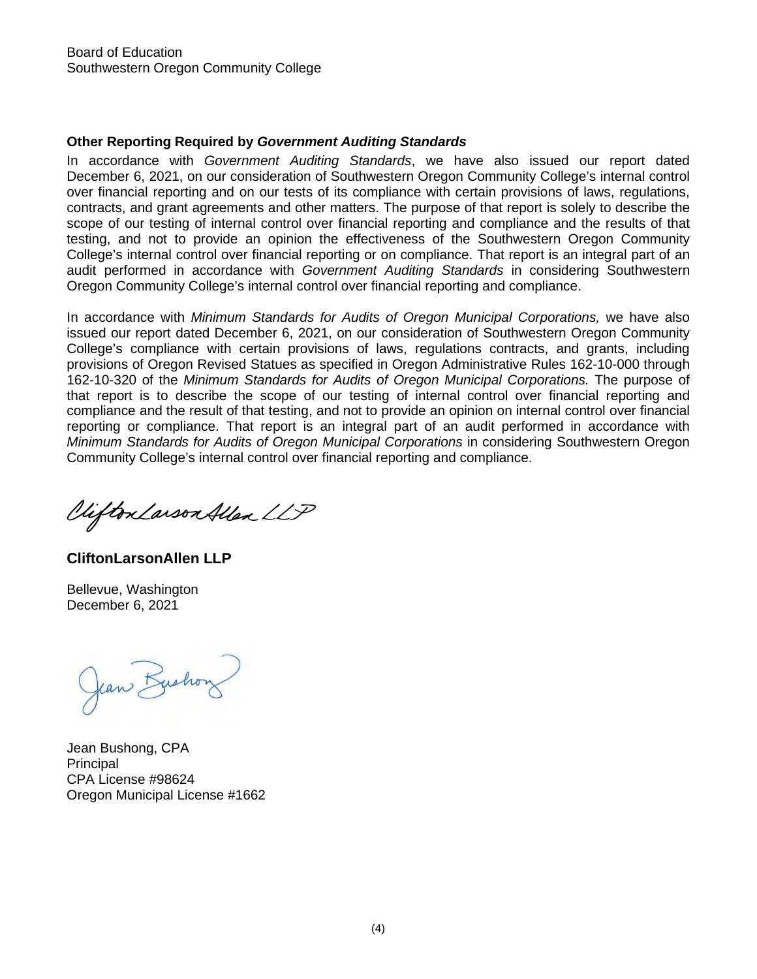# **Other Reporting Required by** *Government Auditing Standards*

In accordance with *Government Auditing Standards*, we have also issued our report dated December 6, 2021, on our consideration of Southwestern Oregon Community College's internal control over financial reporting and on our tests of its compliance with certain provisions of laws, regulations, contracts, and grant agreements and other matters. The purpose of that report is solely to describe the scope of our testing of internal control over financial reporting and compliance and the results of that testing, and not to provide an opinion the effectiveness of the Southwestern Oregon Community College's internal control over financial reporting or on compliance. That report is an integral part of an audit performed in accordance with *Government Auditing Standards* in considering Southwestern Oregon Community College's internal control over financial reporting and compliance.

In accordance with *Minimum Standards for Audits of Oregon Municipal Corporations*, we have also issued our report dated December 6, 2021, on our consideration of Southwestern Oregon Community College's compliance with certain provisions of laws, regulations contracts, and grants, including provisions of Oregon Revised Statues as specified in Oregon Administrative Rules 162-10-000 through 162-10-320 of the *Minimum Standards for Audits of Oregon Municipal Corporations.* The purpose of that report is to describe the scope of our testing of internal control over financial reporting and compliance and the result of that testing, and not to provide an opinion on internal control over financial reporting or compliance. That report is an integral part of an audit performed in accordance with *Minimum Standards for Audits of Oregon Municipal Corporations* in considering Southwestern Oregon Community College's internal control over financial reporting and compliance.

Clifton Larson Allen LLP

**CliftonLarsonAllen LLP**

Bellevue, Washington December 6, 2021

Jean Bushon

Jean Bushong, CPA **Principal** CPA License #98624 Oregon Municipal License #1662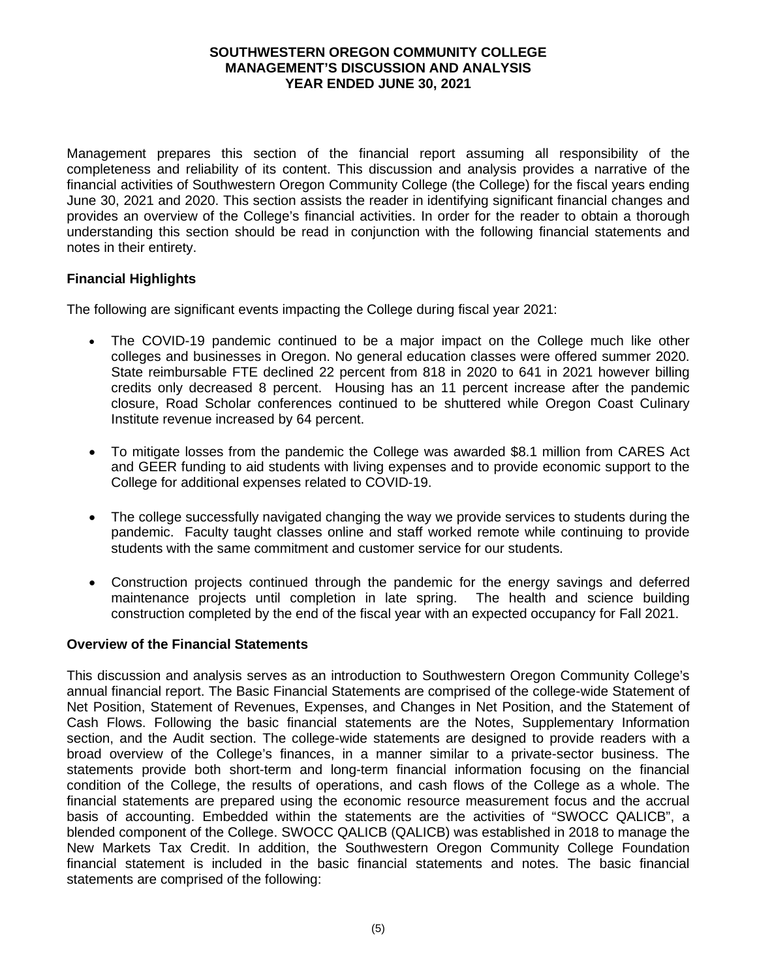Management prepares this section of the financial report assuming all responsibility of the completeness and reliability of its content. This discussion and analysis provides a narrative of the financial activities of Southwestern Oregon Community College (the College) for the fiscal years ending June 30, 2021 and 2020. This section assists the reader in identifying significant financial changes and provides an overview of the College's financial activities. In order for the reader to obtain a thorough understanding this section should be read in conjunction with the following financial statements and notes in their entirety.

# **Financial Highlights**

The following are significant events impacting the College during fiscal year 2021:

- The COVID-19 pandemic continued to be a major impact on the College much like other colleges and businesses in Oregon. No general education classes were offered summer 2020. State reimbursable FTE declined 22 percent from 818 in 2020 to 641 in 2021 however billing credits only decreased 8 percent. Housing has an 11 percent increase after the pandemic closure, Road Scholar conferences continued to be shuttered while Oregon Coast Culinary Institute revenue increased by 64 percent.
- To mitigate losses from the pandemic the College was awarded \$8.1 million from CARES Act and GEER funding to aid students with living expenses and to provide economic support to the College for additional expenses related to COVID-19.
- The college successfully navigated changing the way we provide services to students during the pandemic. Faculty taught classes online and staff worked remote while continuing to provide students with the same commitment and customer service for our students.
- Construction projects continued through the pandemic for the energy savings and deferred maintenance projects until completion in late spring. The health and science building construction completed by the end of the fiscal year with an expected occupancy for Fall 2021.

### **Overview of the Financial Statements**

This discussion and analysis serves as an introduction to Southwestern Oregon Community College's annual financial report. The Basic Financial Statements are comprised of the college-wide Statement of Net Position, Statement of Revenues, Expenses, and Changes in Net Position, and the Statement of Cash Flows. Following the basic financial statements are the Notes, Supplementary Information section, and the Audit section. The college-wide statements are designed to provide readers with a broad overview of the College's finances, in a manner similar to a private-sector business. The statements provide both short-term and long-term financial information focusing on the financial condition of the College, the results of operations, and cash flows of the College as a whole. The financial statements are prepared using the economic resource measurement focus and the accrual basis of accounting. Embedded within the statements are the activities of "SWOCC QALICB", a blended component of the College. SWOCC QALICB (QALICB) was established in 2018 to manage the New Markets Tax Credit. In addition, the Southwestern Oregon Community College Foundation financial statement is included in the basic financial statements and notes. The basic financial statements are comprised of the following: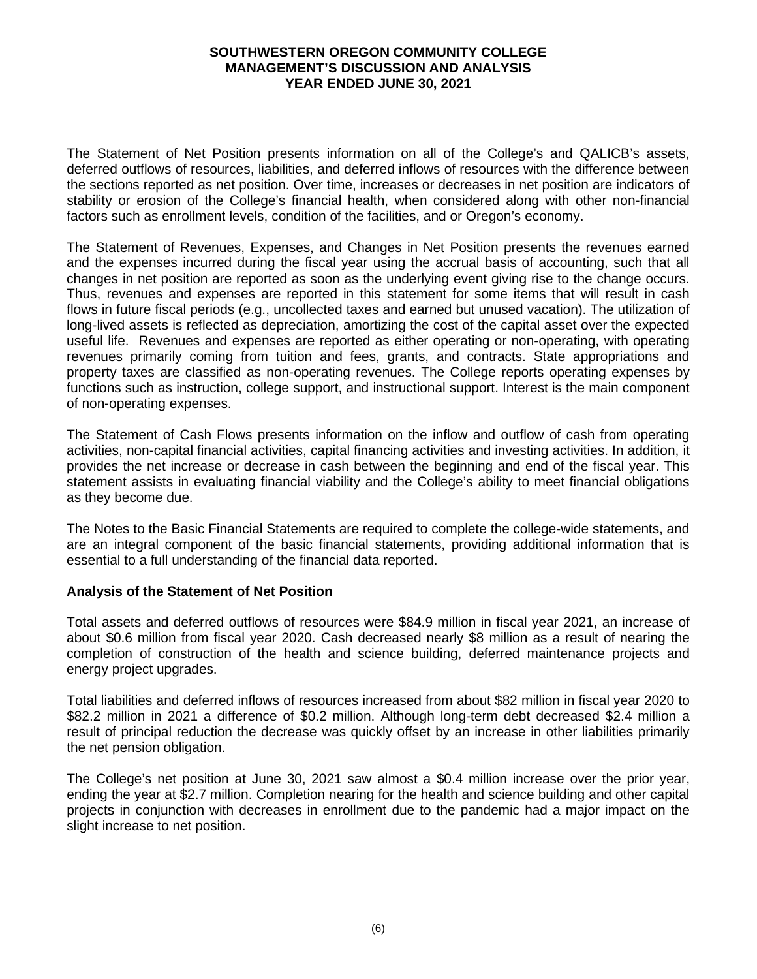The Statement of Net Position presents information on all of the College's and QALICB's assets, deferred outflows of resources, liabilities, and deferred inflows of resources with the difference between the sections reported as net position. Over time, increases or decreases in net position are indicators of stability or erosion of the College's financial health, when considered along with other non-financial factors such as enrollment levels, condition of the facilities, and or Oregon's economy.

The Statement of Revenues, Expenses, and Changes in Net Position presents the revenues earned and the expenses incurred during the fiscal year using the accrual basis of accounting, such that all changes in net position are reported as soon as the underlying event giving rise to the change occurs. Thus, revenues and expenses are reported in this statement for some items that will result in cash flows in future fiscal periods (e.g., uncollected taxes and earned but unused vacation). The utilization of long-lived assets is reflected as depreciation, amortizing the cost of the capital asset over the expected useful life. Revenues and expenses are reported as either operating or non-operating, with operating revenues primarily coming from tuition and fees, grants, and contracts. State appropriations and property taxes are classified as non-operating revenues. The College reports operating expenses by functions such as instruction, college support, and instructional support. Interest is the main component of non-operating expenses.

The Statement of Cash Flows presents information on the inflow and outflow of cash from operating activities, non-capital financial activities, capital financing activities and investing activities. In addition, it provides the net increase or decrease in cash between the beginning and end of the fiscal year. This statement assists in evaluating financial viability and the College's ability to meet financial obligations as they become due.

The Notes to the Basic Financial Statements are required to complete the college-wide statements, and are an integral component of the basic financial statements, providing additional information that is essential to a full understanding of the financial data reported.

# **Analysis of the Statement of Net Position**

Total assets and deferred outflows of resources were \$84.9 million in fiscal year 2021, an increase of about \$0.6 million from fiscal year 2020. Cash decreased nearly \$8 million as a result of nearing the completion of construction of the health and science building, deferred maintenance projects and energy project upgrades.

Total liabilities and deferred inflows of resources increased from about \$82 million in fiscal year 2020 to \$82.2 million in 2021 a difference of \$0.2 million. Although long-term debt decreased \$2.4 million a result of principal reduction the decrease was quickly offset by an increase in other liabilities primarily the net pension obligation.

The College's net position at June 30, 2021 saw almost a \$0.4 million increase over the prior year, ending the year at \$2.7 million. Completion nearing for the health and science building and other capital projects in conjunction with decreases in enrollment due to the pandemic had a major impact on the slight increase to net position.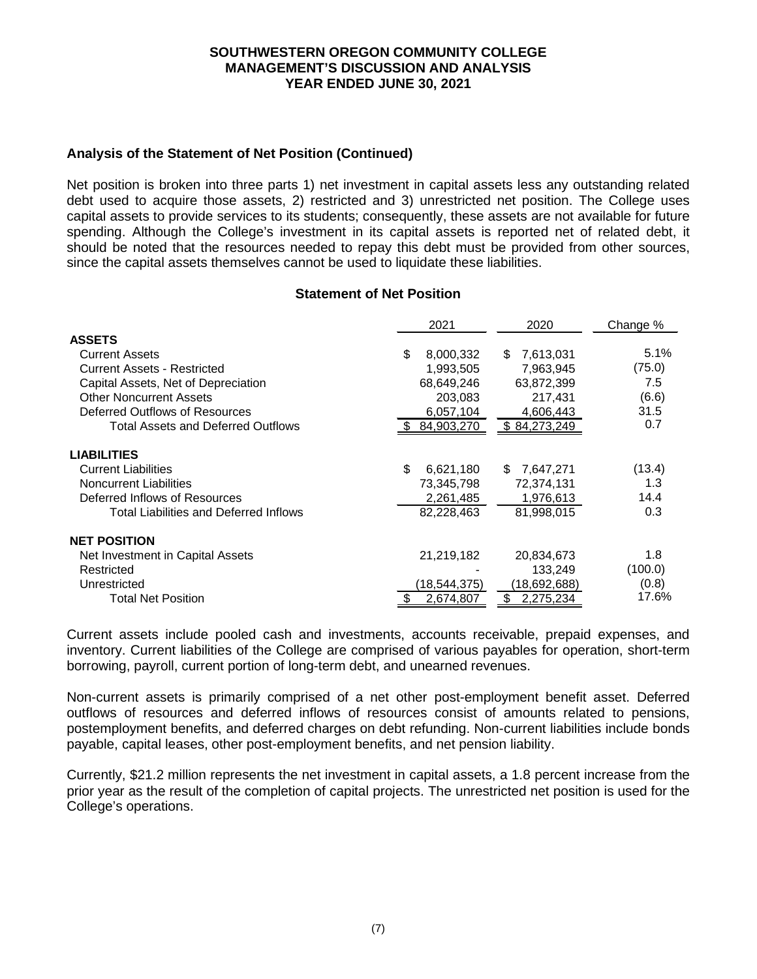# **Analysis of the Statement of Net Position (Continued)**

Net position is broken into three parts 1) net investment in capital assets less any outstanding related debt used to acquire those assets, 2) restricted and 3) unrestricted net position. The College uses capital assets to provide services to its students; consequently, these assets are not available for future spending. Although the College's investment in its capital assets is reported net of related debt, it should be noted that the resources needed to repay this debt must be provided from other sources, since the capital assets themselves cannot be used to liquidate these liabilities.

### **Statement of Net Position**

|                                               |     | 2021           |     | 2020         | Change % |        |
|-----------------------------------------------|-----|----------------|-----|--------------|----------|--------|
| <b>ASSETS</b>                                 |     |                |     |              |          |        |
| <b>Current Assets</b>                         | \$. | 8,000,332      | \$. | 7,613,031    |          | 5.1%   |
| <b>Current Assets - Restricted</b>            |     | 1,993,505      |     | 7,963,945    |          | (75.0) |
| Capital Assets, Net of Depreciation           |     | 68,649,246     |     | 63,872,399   |          | 7.5    |
| <b>Other Noncurrent Assets</b>                |     | 203,083        |     | 217,431      |          | (6.6)  |
| Deferred Outflows of Resources                |     | 6,057,104      |     | 4,606,443    |          | 31.5   |
| <b>Total Assets and Deferred Outflows</b>     |     | 84,903,270     |     | \$84,273,249 |          | 0.7    |
| <b>LIABILITIES</b>                            |     |                |     |              |          |        |
| <b>Current Liabilities</b>                    | \$  | 6,621,180      | \$. | 7,647,271    |          | (13.4) |
| <b>Noncurrent Liabilities</b>                 |     | 73,345,798     |     | 72,374,131   |          | 1.3    |
| Deferred Inflows of Resources                 |     | 2,261,485      |     | 1,976,613    |          | 14.4   |
| <b>Total Liabilities and Deferred Inflows</b> |     | 82,228,463     |     | 81.998.015   |          | 0.3    |
| <b>NET POSITION</b>                           |     |                |     |              |          |        |
| Net Investment in Capital Assets              |     | 21,219,182     |     | 20,834,673   |          | 1.8    |
| Restricted                                    |     |                |     | 133.249      | (100.0)  |        |
| Unrestricted                                  |     | (18, 544, 375) |     | (18,692,688) |          | (0.8)  |
| <b>Total Net Position</b>                     | \$  | 2,674,807      | \$  | 2,275,234    |          | 17.6%  |

Current assets include pooled cash and investments, accounts receivable, prepaid expenses, and inventory. Current liabilities of the College are comprised of various payables for operation, short-term borrowing, payroll, current portion of long-term debt, and unearned revenues.

Non-current assets is primarily comprised of a net other post-employment benefit asset. Deferred outflows of resources and deferred inflows of resources consist of amounts related to pensions, postemployment benefits, and deferred charges on debt refunding. Non-current liabilities include bonds payable, capital leases, other post-employment benefits, and net pension liability.

Currently, \$21.2 million represents the net investment in capital assets, a 1.8 percent increase from the prior year as the result of the completion of capital projects. The unrestricted net position is used for the College's operations.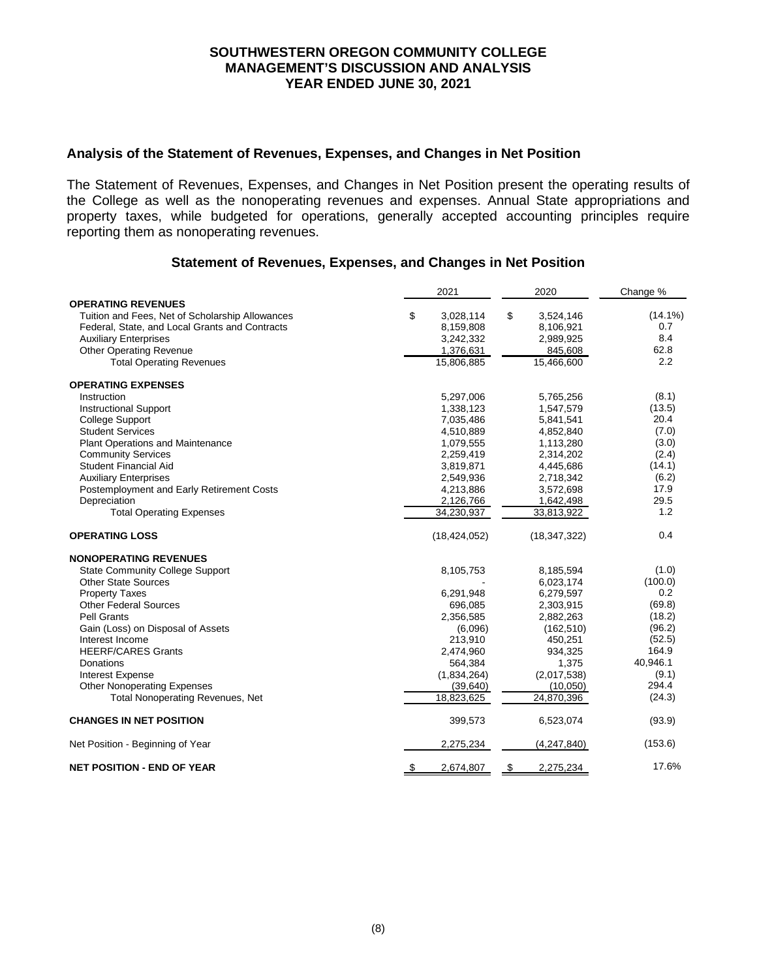### **Analysis of the Statement of Revenues, Expenses, and Changes in Net Position**

The Statement of Revenues, Expenses, and Changes in Net Position present the operating results of the College as well as the nonoperating revenues and expenses. Annual State appropriations and property taxes, while budgeted for operations, generally accepted accounting principles require reporting them as nonoperating revenues.

# **Statement of Revenues, Expenses, and Changes in Net Position**

|                                                 | 2021            | 2020            | Change %   |
|-------------------------------------------------|-----------------|-----------------|------------|
| <b>OPERATING REVENUES</b>                       |                 |                 |            |
| Tuition and Fees, Net of Scholarship Allowances | \$<br>3,028,114 | \$<br>3,524,146 | $(14.1\%)$ |
| Federal, State, and Local Grants and Contracts  | 8,159,808       | 8,106,921       | 0.7        |
| <b>Auxiliary Enterprises</b>                    | 3,242,332       | 2,989,925       | 8.4        |
| <b>Other Operating Revenue</b>                  | 1,376,631       | 845,608         | 62.8       |
| <b>Total Operating Revenues</b>                 | 15,806,885      | 15,466,600      | 2.2        |
| <b>OPERATING EXPENSES</b>                       |                 |                 |            |
| Instruction                                     | 5,297,006       | 5,765,256       | (8.1)      |
| <b>Instructional Support</b>                    | 1,338,123       | 1,547,579       | (13.5)     |
| <b>College Support</b>                          | 7,035,486       | 5,841,541       | 20.4       |
| <b>Student Services</b>                         | 4,510,889       | 4,852,840       | (7.0)      |
| <b>Plant Operations and Maintenance</b>         | 1,079,555       | 1,113,280       | (3.0)      |
| <b>Community Services</b>                       | 2,259,419       | 2,314,202       | (2.4)      |
| <b>Student Financial Aid</b>                    | 3,819,871       | 4,445,686       | (14.1)     |
| <b>Auxiliary Enterprises</b>                    | 2,549,936       | 2,718,342       | (6.2)      |
| Postemployment and Early Retirement Costs       | 4,213,886       | 3,572,698       | 17.9       |
| Depreciation                                    | 2,126,766       | 1,642,498       | 29.5       |
| <b>Total Operating Expenses</b>                 | 34,230,937      | 33,813,922      | 1.2        |
|                                                 |                 |                 |            |
| <b>OPERATING LOSS</b>                           | (18, 424, 052)  | (18, 347, 322)  | 0.4        |
| <b>NONOPERATING REVENUES</b>                    |                 |                 |            |
| <b>State Community College Support</b>          | 8,105,753       | 8,185,594       | (1.0)      |
| <b>Other State Sources</b>                      |                 | 6,023,174       | (100.0)    |
| <b>Property Taxes</b>                           | 6,291,948       | 6,279,597       | 0.2        |
| <b>Other Federal Sources</b>                    | 696,085         | 2,303,915       | (69.8)     |
| <b>Pell Grants</b>                              | 2,356,585       | 2,882,263       | (18.2)     |
| Gain (Loss) on Disposal of Assets               | (6,096)         | (162, 510)      | (96.2)     |
| Interest Income                                 | 213,910         | 450,251         | (52.5)     |
| <b>HEERF/CARES Grants</b>                       | 2,474,960       | 934,325         | 164.9      |
| Donations                                       | 564,384         | 1,375           | 40,946.1   |
| <b>Interest Expense</b>                         | (1,834,264)     | (2,017,538)     | (9.1)      |
| <b>Other Nonoperating Expenses</b>              | (39,640)        | (10,050)        | 294.4      |
| <b>Total Nonoperating Revenues, Net</b>         | 18,823,625      | 24,870,396      | (24.3)     |
| <b>CHANGES IN NET POSITION</b>                  | 399,573         | 6,523,074       | (93.9)     |
| Net Position - Beginning of Year                | 2,275,234       | (4,247,840)     | (153.6)    |
| <b>NET POSITION - END OF YEAR</b>               | 2,674,807<br>\$ | 2,275,234<br>\$ | 17.6%      |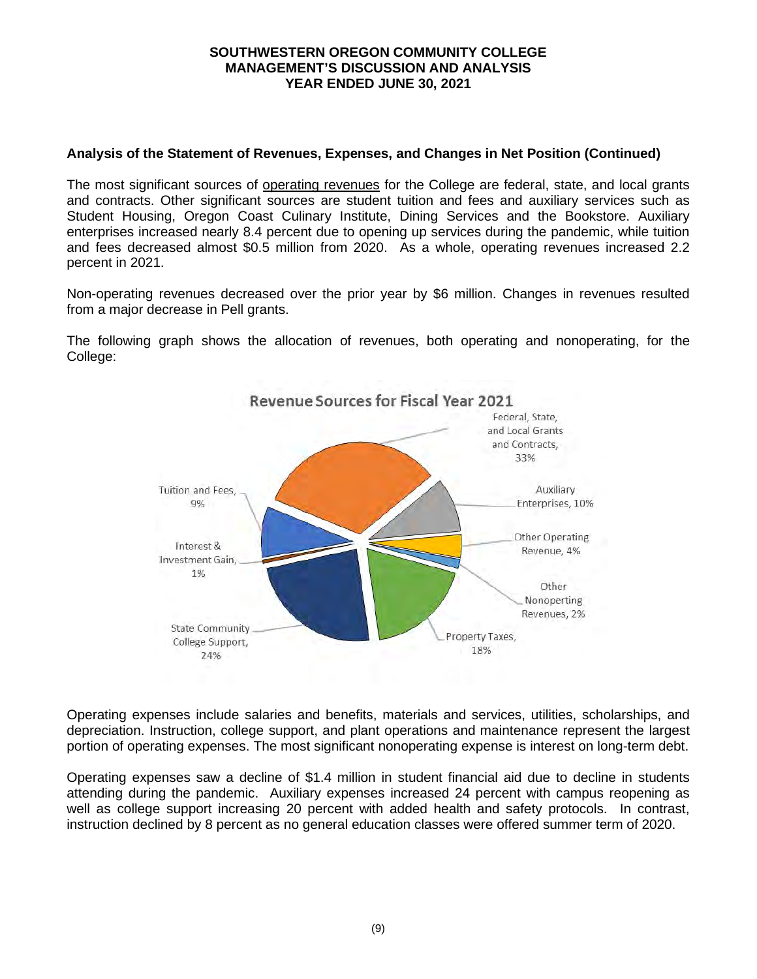# **Analysis of the Statement of Revenues, Expenses, and Changes in Net Position (Continued)**

The most significant sources of operating revenues for the College are federal, state, and local grants and contracts. Other significant sources are student tuition and fees and auxiliary services such as Student Housing, Oregon Coast Culinary Institute, Dining Services and the Bookstore. Auxiliary enterprises increased nearly 8.4 percent due to opening up services during the pandemic, while tuition and fees decreased almost \$0.5 million from 2020. As a whole, operating revenues increased 2.2 percent in 2021.

Non-operating revenues decreased over the prior year by \$6 million. Changes in revenues resulted from a major decrease in Pell grants.

The following graph shows the allocation of revenues, both operating and nonoperating, for the College:



Operating expenses include salaries and benefits, materials and services, utilities, scholarships, and depreciation. Instruction, college support, and plant operations and maintenance represent the largest portion of operating expenses. The most significant nonoperating expense is interest on long-term debt.

Operating expenses saw a decline of \$1.4 million in student financial aid due to decline in students attending during the pandemic. Auxiliary expenses increased 24 percent with campus reopening as well as college support increasing 20 percent with added health and safety protocols. In contrast, instruction declined by 8 percent as no general education classes were offered summer term of 2020.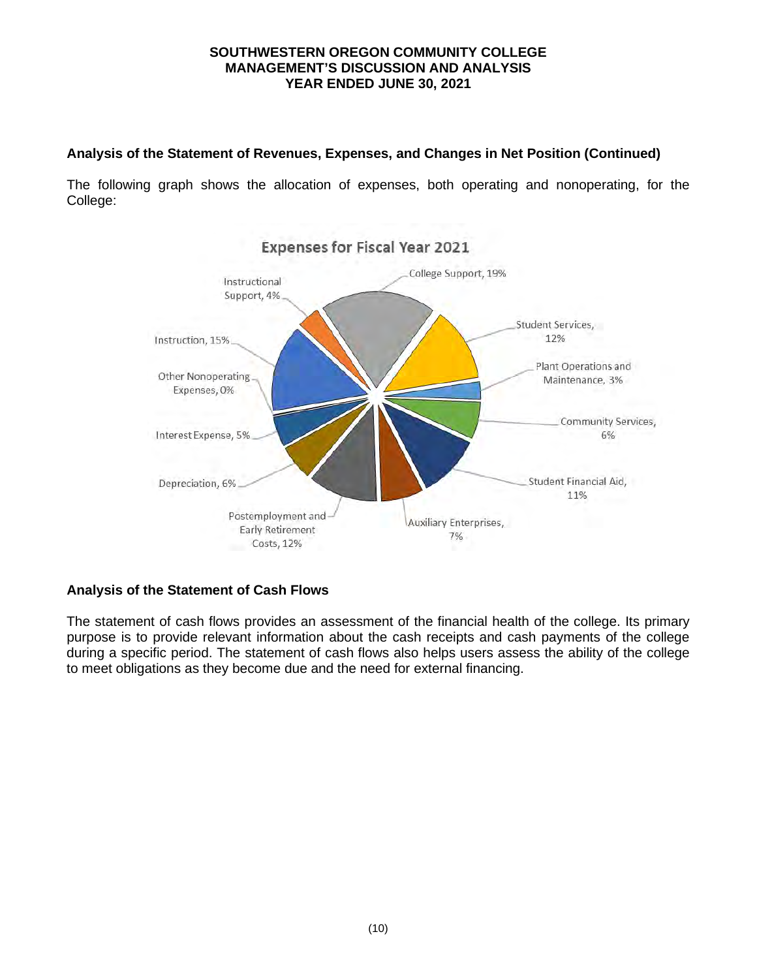# **Analysis of the Statement of Revenues, Expenses, and Changes in Net Position (Continued)**

The following graph shows the allocation of expenses, both operating and nonoperating, for the College:



# **Analysis of the Statement of Cash Flows**

The statement of cash flows provides an assessment of the financial health of the college. Its primary purpose is to provide relevant information about the cash receipts and cash payments of the college during a specific period. The statement of cash flows also helps users assess the ability of the college to meet obligations as they become due and the need for external financing.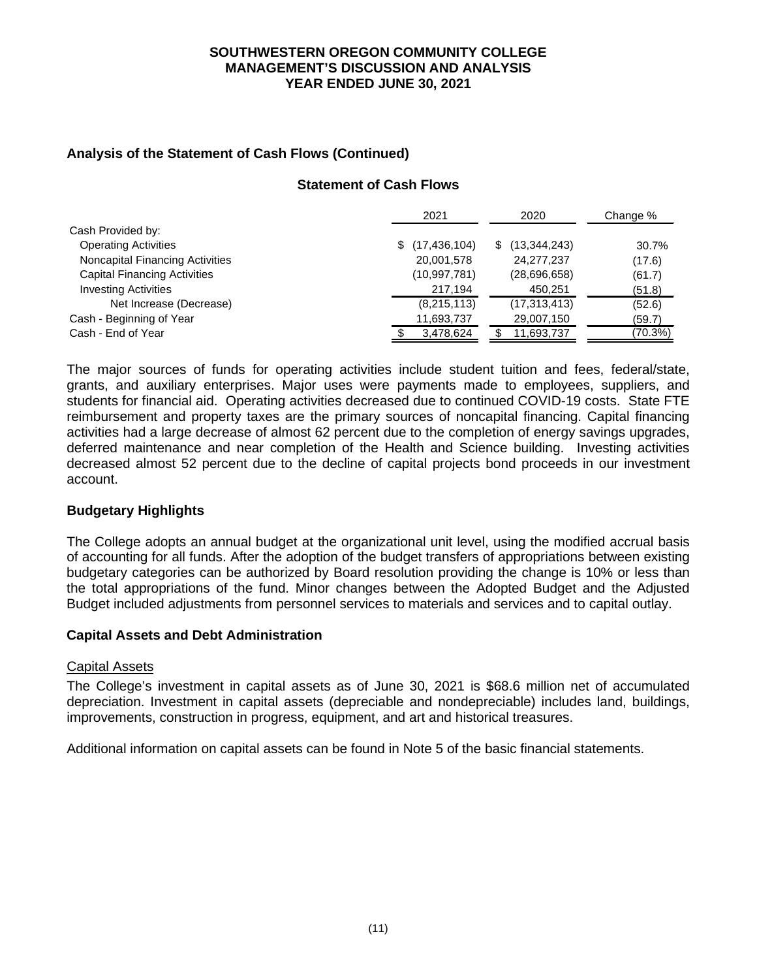# **Analysis of the Statement of Cash Flows (Continued)**

# **Statement of Cash Flows**

|                                     | 2021             | 2020           | Change % |
|-------------------------------------|------------------|----------------|----------|
| Cash Provided by:                   |                  |                |          |
| <b>Operating Activities</b>         | \$(17, 436, 104) | (13, 344, 243) | 30.7%    |
| Noncapital Financing Activities     | 20,001,578       | 24,277,237     | (17.6)   |
| <b>Capital Financing Activities</b> | (10, 997, 781)   | (28,696,658)   | (61.7)   |
| <b>Investing Activities</b>         | 217,194          | 450,251        | (51.8)   |
| Net Increase (Decrease)             | (8,215,113)      | (17, 313, 413) | (52.6)   |
| Cash - Beginning of Year            | 11,693,737       | 29,007,150     | (59.7)   |
| Cash - End of Year                  | 3,478,624        | 11,693,737     | (70.3%)  |

The major sources of funds for operating activities include student tuition and fees, federal/state, grants, and auxiliary enterprises. Major uses were payments made to employees, suppliers, and students for financial aid. Operating activities decreased due to continued COVID-19 costs. State FTE reimbursement and property taxes are the primary sources of noncapital financing. Capital financing activities had a large decrease of almost 62 percent due to the completion of energy savings upgrades, deferred maintenance and near completion of the Health and Science building. Investing activities decreased almost 52 percent due to the decline of capital projects bond proceeds in our investment account.

# **Budgetary Highlights**

The College adopts an annual budget at the organizational unit level, using the modified accrual basis of accounting for all funds. After the adoption of the budget transfers of appropriations between existing budgetary categories can be authorized by Board resolution providing the change is 10% or less than the total appropriations of the fund. Minor changes between the Adopted Budget and the Adjusted Budget included adjustments from personnel services to materials and services and to capital outlay.

### **Capital Assets and Debt Administration**

### Capital Assets

The College's investment in capital assets as of June 30, 2021 is \$68.6 million net of accumulated depreciation. Investment in capital assets (depreciable and nondepreciable) includes land, buildings, improvements, construction in progress, equipment, and art and historical treasures.

Additional information on capital assets can be found in Note 5 of the basic financial statements.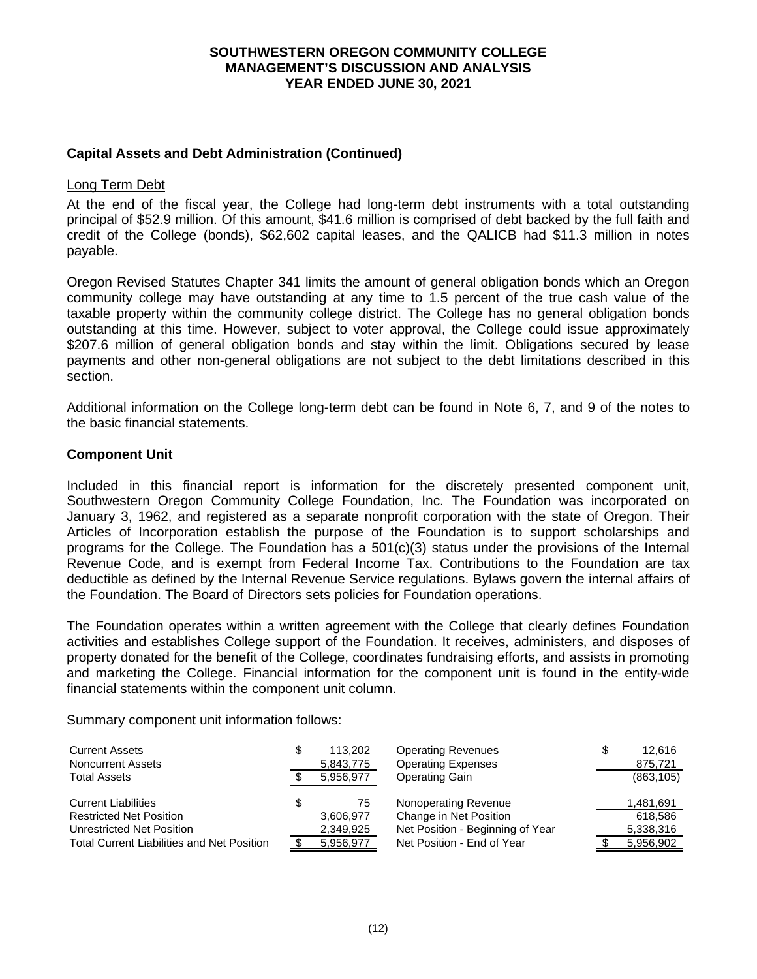# **Capital Assets and Debt Administration (Continued)**

### Long Term Debt

At the end of the fiscal year, the College had long-term debt instruments with a total outstanding principal of \$52.9 million. Of this amount, \$41.6 million is comprised of debt backed by the full faith and credit of the College (bonds), \$62,602 capital leases, and the QALICB had \$11.3 million in notes payable.

Oregon Revised Statutes Chapter 341 limits the amount of general obligation bonds which an Oregon community college may have outstanding at any time to 1.5 percent of the true cash value of the taxable property within the community college district. The College has no general obligation bonds outstanding at this time. However, subject to voter approval, the College could issue approximately \$207.6 million of general obligation bonds and stay within the limit. Obligations secured by lease payments and other non-general obligations are not subject to the debt limitations described in this section.

Additional information on the College long-term debt can be found in Note 6, 7, and 9 of the notes to the basic financial statements.

### **Component Unit**

Included in this financial report is information for the discretely presented component unit, Southwestern Oregon Community College Foundation, Inc. The Foundation was incorporated on January 3, 1962, and registered as a separate nonprofit corporation with the state of Oregon. Their Articles of Incorporation establish the purpose of the Foundation is to support scholarships and programs for the College. The Foundation has a 501(c)(3) status under the provisions of the Internal Revenue Code, and is exempt from Federal Income Tax. Contributions to the Foundation are tax deductible as defined by the Internal Revenue Service regulations. Bylaws govern the internal affairs of the Foundation. The Board of Directors sets policies for Foundation operations.

The Foundation operates within a written agreement with the College that clearly defines Foundation activities and establishes College support of the Foundation. It receives, administers, and disposes of property donated for the benefit of the College, coordinates fundraising efforts, and assists in promoting and marketing the College. Financial information for the component unit is found in the entity-wide financial statements within the component unit column.

Summary component unit information follows:

| <b>Current Assets</b>                             |   | 113.202   | <b>Operating Revenues</b>        | 12.616     |
|---------------------------------------------------|---|-----------|----------------------------------|------------|
| <b>Noncurrent Assets</b>                          |   | 5,843,775 | <b>Operating Expenses</b>        | 875,721    |
| <b>Total Assets</b>                               |   | 5,956,977 | <b>Operating Gain</b>            | (863, 105) |
| <b>Current Liabilities</b>                        | S | 75        | Nonoperating Revenue             | 1,481,691  |
| <b>Restricted Net Position</b>                    |   | 3,606,977 | Change in Net Position           | 618.586    |
| Unrestricted Net Position                         |   | 2,349,925 | Net Position - Beginning of Year | 5,338,316  |
| <b>Total Current Liabilities and Net Position</b> |   | 5,956,977 | Net Position - End of Year       | 5,956,902  |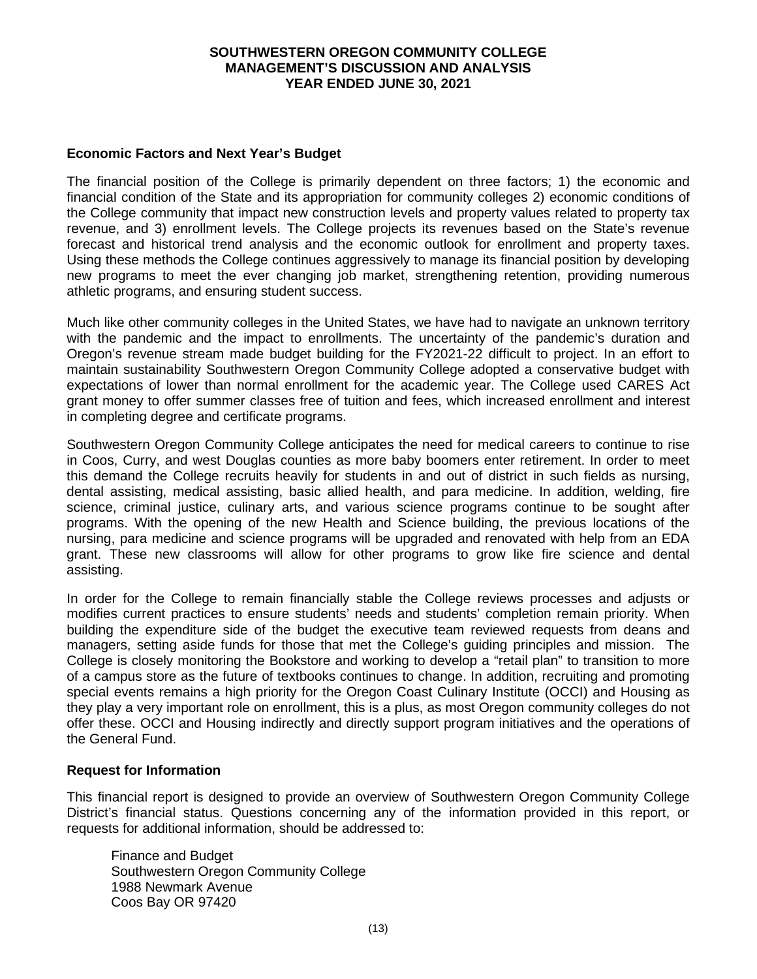## **Economic Factors and Next Year's Budget**

The financial position of the College is primarily dependent on three factors; 1) the economic and financial condition of the State and its appropriation for community colleges 2) economic conditions of the College community that impact new construction levels and property values related to property tax revenue, and 3) enrollment levels. The College projects its revenues based on the State's revenue forecast and historical trend analysis and the economic outlook for enrollment and property taxes. Using these methods the College continues aggressively to manage its financial position by developing new programs to meet the ever changing job market, strengthening retention, providing numerous athletic programs, and ensuring student success.

Much like other community colleges in the United States, we have had to navigate an unknown territory with the pandemic and the impact to enrollments. The uncertainty of the pandemic's duration and Oregon's revenue stream made budget building for the FY2021-22 difficult to project. In an effort to maintain sustainability Southwestern Oregon Community College adopted a conservative budget with expectations of lower than normal enrollment for the academic year. The College used CARES Act grant money to offer summer classes free of tuition and fees, which increased enrollment and interest in completing degree and certificate programs.

Southwestern Oregon Community College anticipates the need for medical careers to continue to rise in Coos, Curry, and west Douglas counties as more baby boomers enter retirement. In order to meet this demand the College recruits heavily for students in and out of district in such fields as nursing, dental assisting, medical assisting, basic allied health, and para medicine. In addition, welding, fire science, criminal justice, culinary arts, and various science programs continue to be sought after programs. With the opening of the new Health and Science building, the previous locations of the nursing, para medicine and science programs will be upgraded and renovated with help from an EDA grant. These new classrooms will allow for other programs to grow like fire science and dental assisting.

In order for the College to remain financially stable the College reviews processes and adjusts or modifies current practices to ensure students' needs and students' completion remain priority. When building the expenditure side of the budget the executive team reviewed requests from deans and managers, setting aside funds for those that met the College's guiding principles and mission. The College is closely monitoring the Bookstore and working to develop a "retail plan" to transition to more of a campus store as the future of textbooks continues to change. In addition, recruiting and promoting special events remains a high priority for the Oregon Coast Culinary Institute (OCCI) and Housing as they play a very important role on enrollment, this is a plus, as most Oregon community colleges do not offer these. OCCI and Housing indirectly and directly support program initiatives and the operations of the General Fund.

### **Request for Information**

This financial report is designed to provide an overview of Southwestern Oregon Community College District's financial status. Questions concerning any of the information provided in this report, or requests for additional information, should be addressed to:

Finance and Budget Southwestern Oregon Community College 1988 Newmark Avenue Coos Bay OR 97420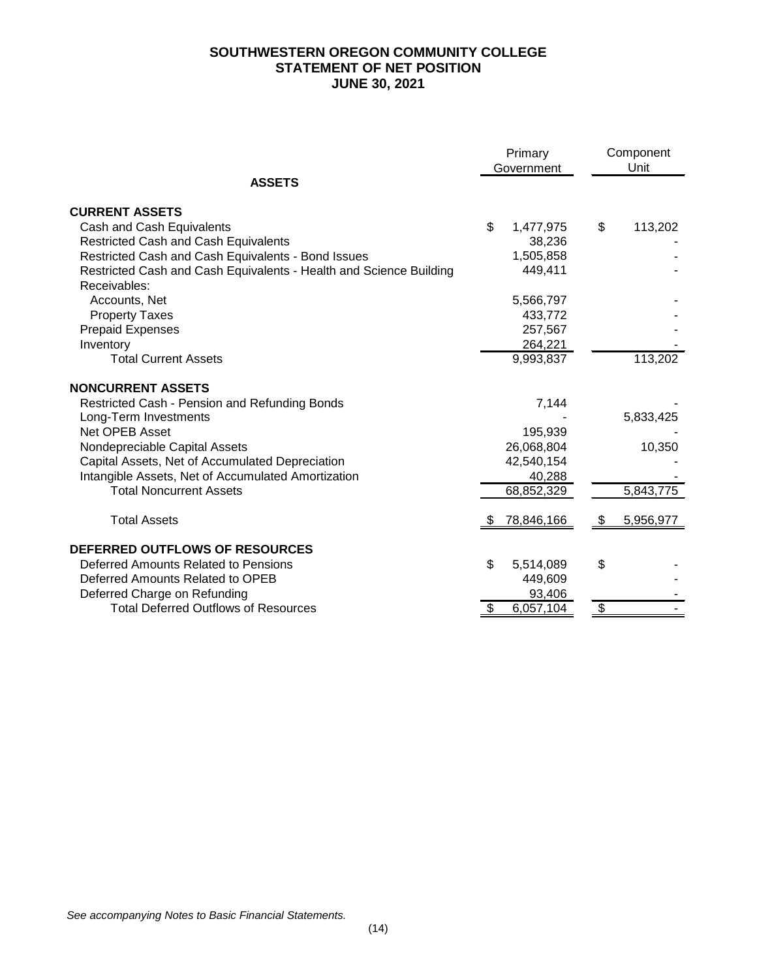# **SOUTHWESTERN OREGON COMMUNITY COLLEGE STATEMENT OF NET POSITION JUNE 30, 2021**

|                                                                                    |    | Primary<br>Government |                           | Component<br>Unit |
|------------------------------------------------------------------------------------|----|-----------------------|---------------------------|-------------------|
| <b>ASSETS</b>                                                                      |    |                       |                           |                   |
| <b>CURRENT ASSETS</b>                                                              |    |                       |                           |                   |
| Cash and Cash Equivalents                                                          | \$ | 1,477,975             | \$                        | 113,202           |
| <b>Restricted Cash and Cash Equivalents</b>                                        |    | 38,236                |                           |                   |
| Restricted Cash and Cash Equivalents - Bond Issues                                 |    | 1,505,858             |                           |                   |
| Restricted Cash and Cash Equivalents - Health and Science Building<br>Receivables: |    | 449,411               |                           |                   |
| Accounts, Net                                                                      |    | 5,566,797             |                           |                   |
| <b>Property Taxes</b>                                                              |    | 433,772               |                           |                   |
| <b>Prepaid Expenses</b>                                                            |    | 257,567               |                           |                   |
| Inventory                                                                          |    | 264,221               |                           |                   |
| <b>Total Current Assets</b>                                                        |    | 9,993,837             |                           | 113,202           |
| <b>NONCURRENT ASSETS</b>                                                           |    |                       |                           |                   |
| Restricted Cash - Pension and Refunding Bonds                                      |    | 7,144                 |                           |                   |
| Long-Term Investments                                                              |    |                       |                           | 5,833,425         |
| Net OPEB Asset                                                                     |    | 195,939               |                           |                   |
| Nondepreciable Capital Assets                                                      |    | 26,068,804            |                           | 10,350            |
| Capital Assets, Net of Accumulated Depreciation                                    |    | 42,540,154            |                           |                   |
| Intangible Assets, Net of Accumulated Amortization                                 |    | 40,288                |                           |                   |
| <b>Total Noncurrent Assets</b>                                                     |    | 68,852,329            |                           | 5,843,775         |
| <b>Total Assets</b>                                                                | 22 | 78,846,166            | \$                        | 5,956,977         |
| DEFERRED OUTFLOWS OF RESOURCES                                                     |    |                       |                           |                   |
| Deferred Amounts Related to Pensions                                               | \$ | 5,514,089             | \$                        |                   |
| Deferred Amounts Related to OPEB                                                   |    | 449,609               |                           |                   |
| Deferred Charge on Refunding                                                       |    | 93,406                |                           |                   |
| <b>Total Deferred Outflows of Resources</b>                                        | \$ | 6,057,104             | $\boldsymbol{\mathsf{S}}$ |                   |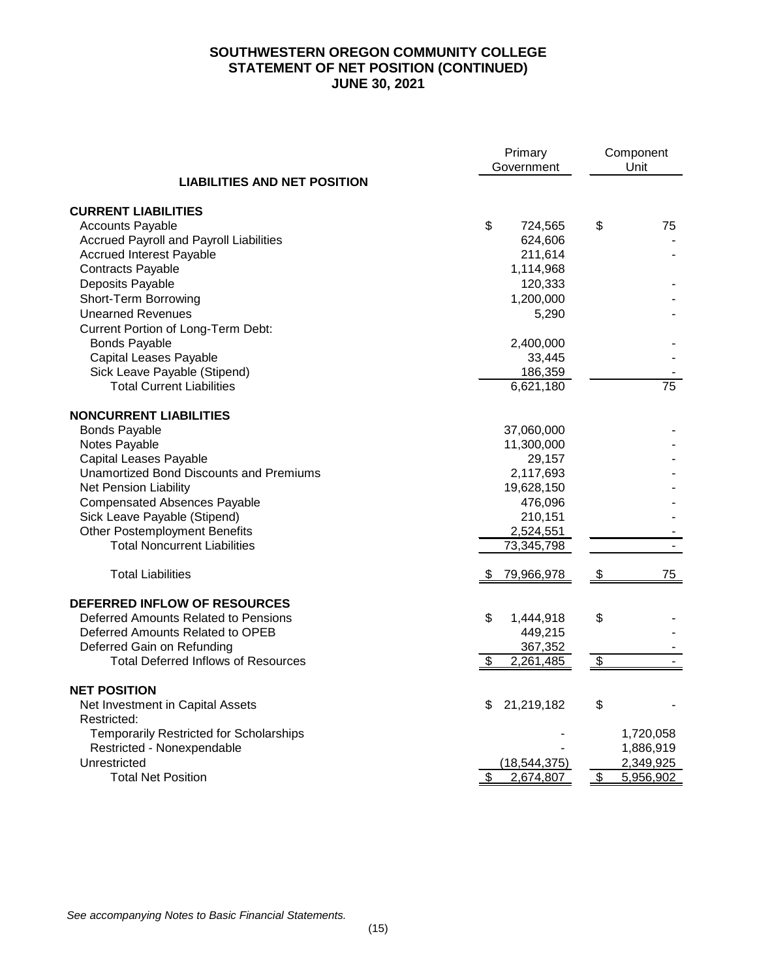# **SOUTHWESTERN OREGON COMMUNITY COLLEGE STATEMENT OF NET POSITION (CONTINUED) JUNE 30, 2021**

|                                                | Primary<br>Government |                | Component<br>Unit |
|------------------------------------------------|-----------------------|----------------|-------------------|
| <b>LIABILITIES AND NET POSITION</b>            |                       |                |                   |
| <b>CURRENT LIABILITIES</b>                     |                       |                |                   |
| <b>Accounts Payable</b>                        | \$<br>724,565         | \$             | 75                |
| Accrued Payroll and Payroll Liabilities        | 624,606               |                |                   |
| <b>Accrued Interest Payable</b>                | 211,614               |                |                   |
| Contracts Payable                              | 1,114,968             |                |                   |
| Deposits Payable                               | 120,333               |                |                   |
| Short-Term Borrowing                           | 1,200,000             |                |                   |
| <b>Unearned Revenues</b>                       | 5,290                 |                |                   |
| Current Portion of Long-Term Debt:             |                       |                |                   |
| <b>Bonds Payable</b>                           | 2,400,000             |                |                   |
| Capital Leases Payable                         | 33,445                |                |                   |
| Sick Leave Payable (Stipend)                   | 186,359               |                |                   |
| <b>Total Current Liabilities</b>               | 6,621,180             |                | 75                |
| <b>NONCURRENT LIABILITIES</b>                  |                       |                |                   |
| <b>Bonds Payable</b>                           | 37,060,000            |                |                   |
| Notes Payable                                  | 11,300,000            |                |                   |
| <b>Capital Leases Payable</b>                  | 29,157                |                |                   |
| <b>Unamortized Bond Discounts and Premiums</b> | 2,117,693             |                |                   |
| <b>Net Pension Liability</b>                   | 19,628,150            |                |                   |
| <b>Compensated Absences Payable</b>            | 476,096               |                |                   |
| Sick Leave Payable (Stipend)                   | 210,151               |                |                   |
| <b>Other Postemployment Benefits</b>           | 2,524,551             |                |                   |
| <b>Total Noncurrent Liabilities</b>            | 73,345,798            |                |                   |
| <b>Total Liabilities</b>                       | 79,966,978<br>\$      | $\mathfrak{L}$ | 75                |
| DEFERRED INFLOW OF RESOURCES                   |                       |                |                   |
| Deferred Amounts Related to Pensions           | \$<br>1,444,918       | \$             |                   |
| Deferred Amounts Related to OPEB               | 449,215               |                |                   |
| Deferred Gain on Refunding                     | 367,352               |                |                   |
| <b>Total Deferred Inflows of Resources</b>     | 2,261,485<br>\$       | $\mathfrak{F}$ |                   |
| <b>NET POSITION</b>                            |                       |                |                   |
| Net Investment in Capital Assets               | 21,219,182<br>\$      | \$             |                   |
| Restricted:                                    |                       |                |                   |
| Temporarily Restricted for Scholarships        |                       |                | 1,720,058         |
| Restricted - Nonexpendable                     |                       |                | 1,886,919         |
| Unrestricted                                   | (18, 544, 375)        |                | 2,349,925         |
| <b>Total Net Position</b>                      | \$<br>2,674,807       | \$             | 5,956,902         |

*See accompanying Notes to Basic Financial Statements.*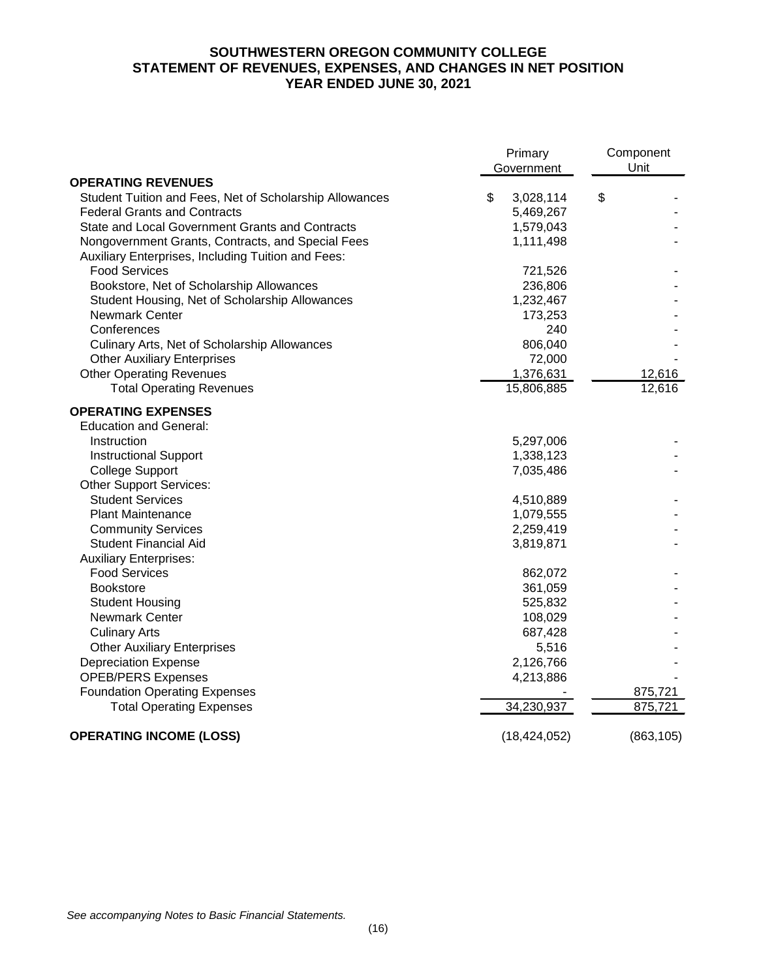# **SOUTHWESTERN OREGON COMMUNITY COLLEGE STATEMENT OF REVENUES, EXPENSES, AND CHANGES IN NET POSITION YEAR ENDED JUNE 30, 2021**

|                                                         | Primary<br>Government | Component<br>Unit |
|---------------------------------------------------------|-----------------------|-------------------|
| <b>OPERATING REVENUES</b>                               |                       |                   |
| Student Tuition and Fees, Net of Scholarship Allowances | \$<br>3,028,114       | \$                |
| <b>Federal Grants and Contracts</b>                     | 5,469,267             |                   |
| State and Local Government Grants and Contracts         | 1,579,043             |                   |
| Nongovernment Grants, Contracts, and Special Fees       | 1,111,498             |                   |
| Auxiliary Enterprises, Including Tuition and Fees:      |                       |                   |
| <b>Food Services</b>                                    | 721,526               |                   |
| Bookstore, Net of Scholarship Allowances                | 236,806               |                   |
| Student Housing, Net of Scholarship Allowances          | 1,232,467             |                   |
| <b>Newmark Center</b>                                   | 173,253               |                   |
| Conferences                                             | 240                   |                   |
| Culinary Arts, Net of Scholarship Allowances            | 806,040               |                   |
| <b>Other Auxiliary Enterprises</b>                      | 72,000                |                   |
| <b>Other Operating Revenues</b>                         | 1,376,631             | 12,616            |
| <b>Total Operating Revenues</b>                         | 15,806,885            | 12,616            |
| <b>OPERATING EXPENSES</b>                               |                       |                   |
| <b>Education and General:</b>                           |                       |                   |
| Instruction                                             | 5,297,006             |                   |
| <b>Instructional Support</b>                            | 1,338,123             |                   |
| <b>College Support</b>                                  | 7,035,486             |                   |
| <b>Other Support Services:</b>                          |                       |                   |
| <b>Student Services</b>                                 | 4,510,889             |                   |
| <b>Plant Maintenance</b>                                | 1,079,555             |                   |
| <b>Community Services</b>                               | 2,259,419             |                   |
| <b>Student Financial Aid</b>                            | 3,819,871             |                   |
| <b>Auxiliary Enterprises:</b>                           |                       |                   |
| <b>Food Services</b>                                    | 862,072               |                   |
| Bookstore                                               | 361,059               |                   |
| <b>Student Housing</b>                                  | 525,832               |                   |
| <b>Newmark Center</b>                                   | 108,029               |                   |
| <b>Culinary Arts</b>                                    | 687,428               |                   |
| <b>Other Auxiliary Enterprises</b>                      | 5,516                 |                   |
| <b>Depreciation Expense</b>                             | 2,126,766             |                   |
| <b>OPEB/PERS Expenses</b>                               | 4,213,886             |                   |
| <b>Foundation Operating Expenses</b>                    |                       | 875,721           |
| <b>Total Operating Expenses</b>                         | 34,230,937            | 875,721           |
| <b>OPERATING INCOME (LOSS)</b>                          | (18, 424, 052)        | (863, 105)        |

*See accompanying Notes to Basic Financial Statements.*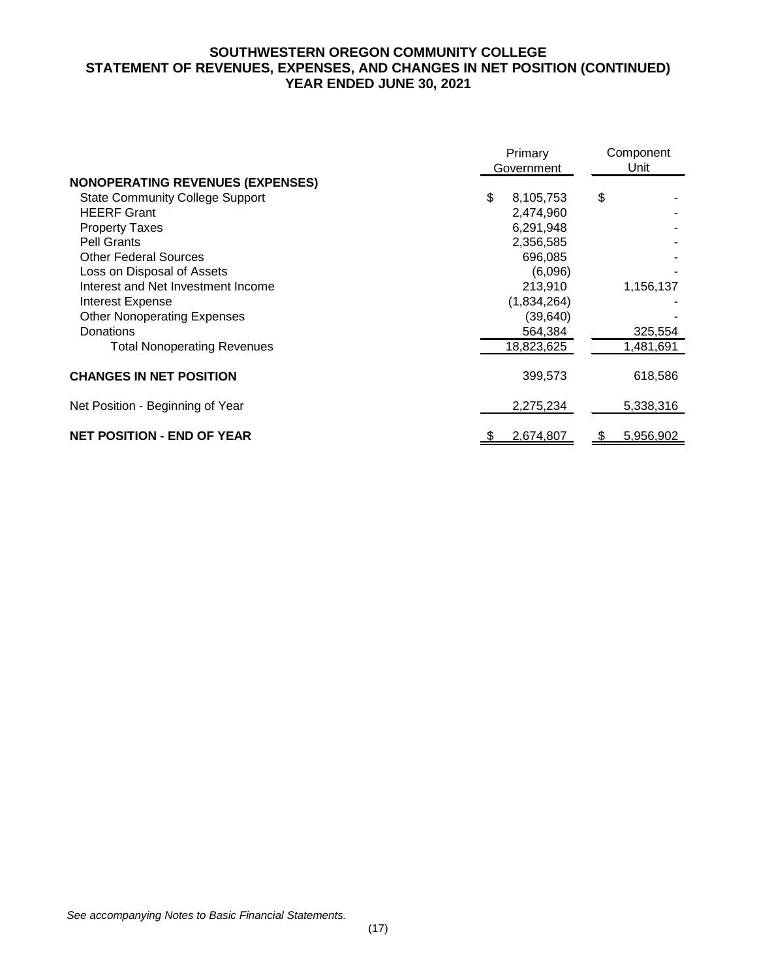# **SOUTHWESTERN OREGON COMMUNITY COLLEGE STATEMENT OF REVENUES, EXPENSES, AND CHANGES IN NET POSITION (CONTINUED) YEAR ENDED JUNE 30, 2021**

|                                         | Primary<br>Government | Component<br>Unit |  |
|-----------------------------------------|-----------------------|-------------------|--|
| <b>NONOPERATING REVENUES (EXPENSES)</b> |                       |                   |  |
| <b>State Community College Support</b>  | \$<br>8,105,753       | \$                |  |
| <b>HEERF Grant</b>                      | 2,474,960             |                   |  |
| <b>Property Taxes</b>                   | 6,291,948             |                   |  |
| Pell Grants                             | 2,356,585             |                   |  |
| <b>Other Federal Sources</b>            | 696,085               |                   |  |
| Loss on Disposal of Assets              | (6,096)               |                   |  |
| Interest and Net Investment Income      | 213,910               | 1,156,137         |  |
| <b>Interest Expense</b>                 | (1,834,264)           |                   |  |
| <b>Other Nonoperating Expenses</b>      | (39, 640)             |                   |  |
| Donations                               | 564,384               | 325,554           |  |
| <b>Total Nonoperating Revenues</b>      | 18,823,625            | 1,481,691         |  |
| <b>CHANGES IN NET POSITION</b>          | 399,573               | 618,586           |  |
| Net Position - Beginning of Year        | 2,275,234             | 5,338,316         |  |
| <b>NET POSITION - END OF YEAR</b>       | 2,674,807             | 5,956,902         |  |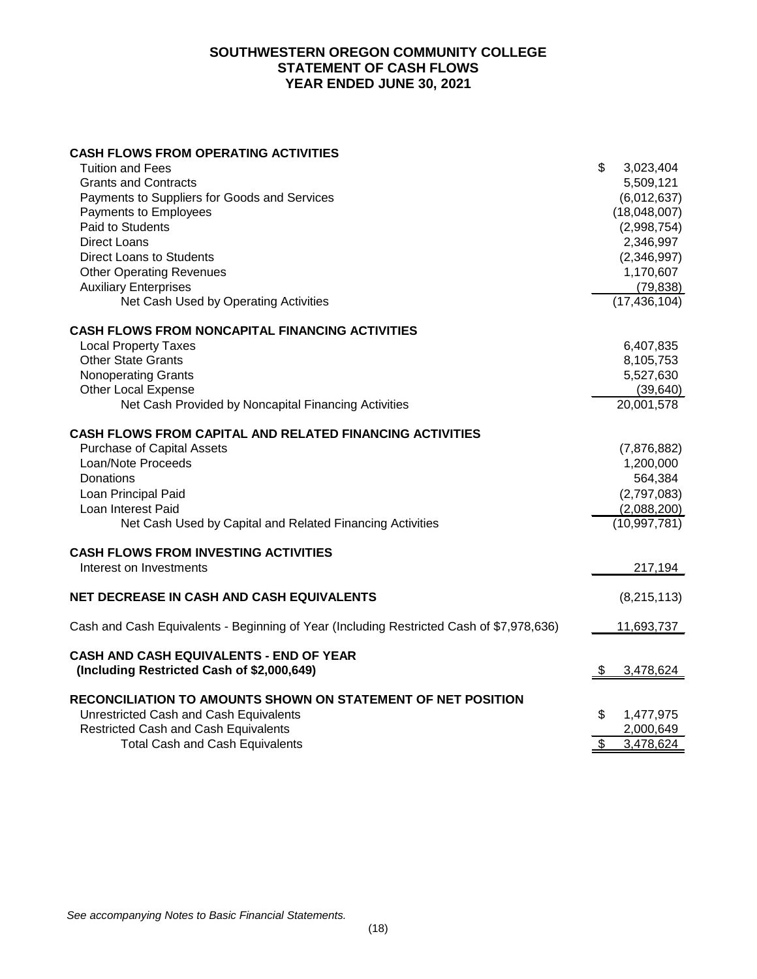## **SOUTHWESTERN OREGON COMMUNITY COLLEGE STATEMENT OF CASH FLOWS YEAR ENDED JUNE 30, 2021**

# **CASH FLOWS FROM OPERATING ACTIVITIES**

| <b>Tuition and Fees</b>                                                                  | \$<br>3,023,404             |
|------------------------------------------------------------------------------------------|-----------------------------|
| <b>Grants and Contracts</b>                                                              | 5,509,121                   |
| Payments to Suppliers for Goods and Services                                             | (6,012,637)                 |
| Payments to Employees                                                                    | (18,048,007)                |
| <b>Paid to Students</b>                                                                  | (2,998,754)                 |
| <b>Direct Loans</b>                                                                      | 2,346,997                   |
| <b>Direct Loans to Students</b>                                                          | (2,346,997)                 |
| <b>Other Operating Revenues</b>                                                          | 1,170,607                   |
| <b>Auxiliary Enterprises</b>                                                             | (79, 838)                   |
| Net Cash Used by Operating Activities                                                    | (17, 436, 104)              |
| <b>CASH FLOWS FROM NONCAPITAL FINANCING ACTIVITIES</b>                                   |                             |
| <b>Local Property Taxes</b>                                                              | 6,407,835                   |
| <b>Other State Grants</b>                                                                | 8,105,753                   |
| <b>Nonoperating Grants</b>                                                               | 5,527,630                   |
| <b>Other Local Expense</b>                                                               | (39, 640)                   |
| Net Cash Provided by Noncapital Financing Activities                                     | 20,001,578                  |
| <b>CASH FLOWS FROM CAPITAL AND RELATED FINANCING ACTIVITIES</b>                          |                             |
| <b>Purchase of Capital Assets</b>                                                        | (7,876,882)                 |
| Loan/Note Proceeds                                                                       | 1,200,000                   |
| Donations                                                                                | 564,384                     |
| Loan Principal Paid                                                                      | (2,797,083)                 |
| Loan Interest Paid                                                                       | (2,088,200)                 |
| Net Cash Used by Capital and Related Financing Activities                                | (10, 997, 781)              |
| <b>CASH FLOWS FROM INVESTING ACTIVITIES</b>                                              |                             |
| Interest on Investments                                                                  | 217,194                     |
| <b>NET DECREASE IN CASH AND CASH EQUIVALENTS</b>                                         | (8,215,113)                 |
| Cash and Cash Equivalents - Beginning of Year (Including Restricted Cash of \$7,978,636) | 11,693,737                  |
| CASH AND CASH EQUIVALENTS - END OF YEAR                                                  |                             |
| (Including Restricted Cash of \$2,000,649)                                               | 3,478,624                   |
| RECONCILIATION TO AMOUNTS SHOWN ON STATEMENT OF NET POSITION                             |                             |
| Unrestricted Cash and Cash Equivalents                                                   | \$<br>1,477,975             |
| <b>Restricted Cash and Cash Equivalents</b>                                              | 2,000,649                   |
| <b>Total Cash and Cash Equivalents</b>                                                   | $\mathfrak{s}$<br>3,478,624 |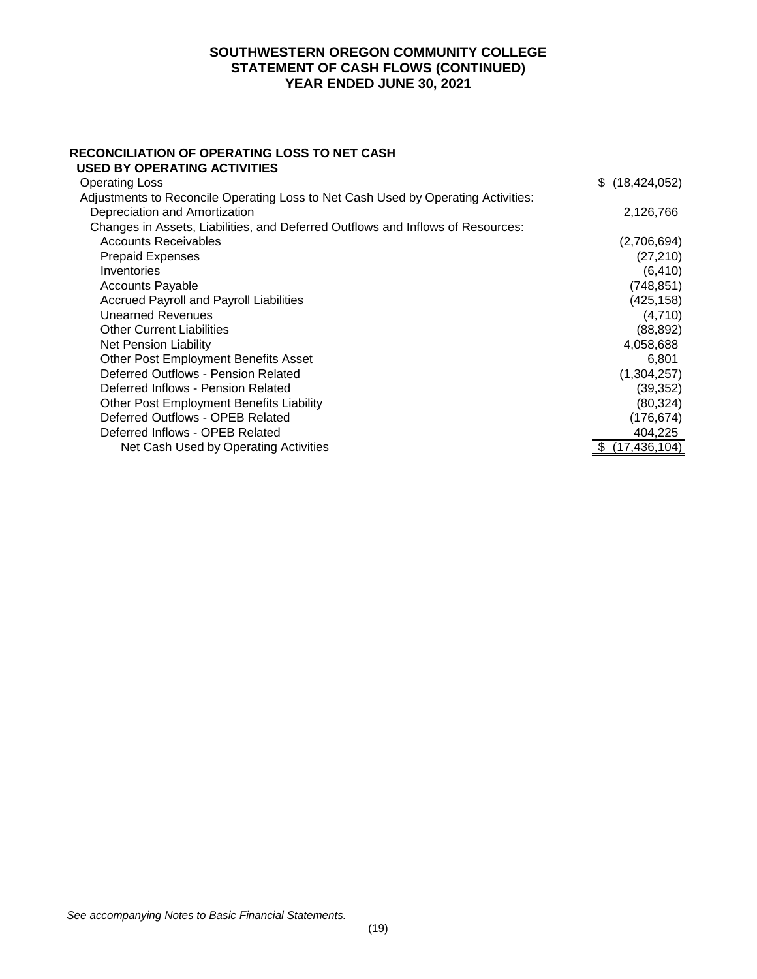## **SOUTHWESTERN OREGON COMMUNITY COLLEGE STATEMENT OF CASH FLOWS (CONTINUED) YEAR ENDED JUNE 30, 2021**

#### **RECONCILIATION OF OPERATING LOSS TO NET CASH USED BY OPERATING ACTIVITIES**

| <b>Operating Loss</b>                                                             | \$(18, 424, 052) |
|-----------------------------------------------------------------------------------|------------------|
| Adjustments to Reconcile Operating Loss to Net Cash Used by Operating Activities: |                  |
| Depreciation and Amortization                                                     | 2,126,766        |
| Changes in Assets, Liabilities, and Deferred Outflows and Inflows of Resources:   |                  |
| <b>Accounts Receivables</b>                                                       | (2,706,694)      |
| <b>Prepaid Expenses</b>                                                           | (27, 210)        |
| Inventories                                                                       | (6, 410)         |
| <b>Accounts Payable</b>                                                           | (748, 851)       |
| <b>Accrued Payroll and Payroll Liabilities</b>                                    | (425, 158)       |
| Unearned Revenues                                                                 | (4,710)          |
| <b>Other Current Liabilities</b>                                                  | (88, 892)        |
| Net Pension Liability                                                             | 4,058,688        |
| <b>Other Post Employment Benefits Asset</b>                                       | 6.801            |
| Deferred Outflows - Pension Related                                               | (1,304,257)      |
| Deferred Inflows - Pension Related                                                | (39, 352)        |
| Other Post Employment Benefits Liability                                          | (80, 324)        |
| Deferred Outflows - OPEB Related                                                  | (176, 674)       |
| Deferred Inflows - OPEB Related                                                   | 404,225          |
| Net Cash Used by Operating Activities                                             | (17, 436, 104)   |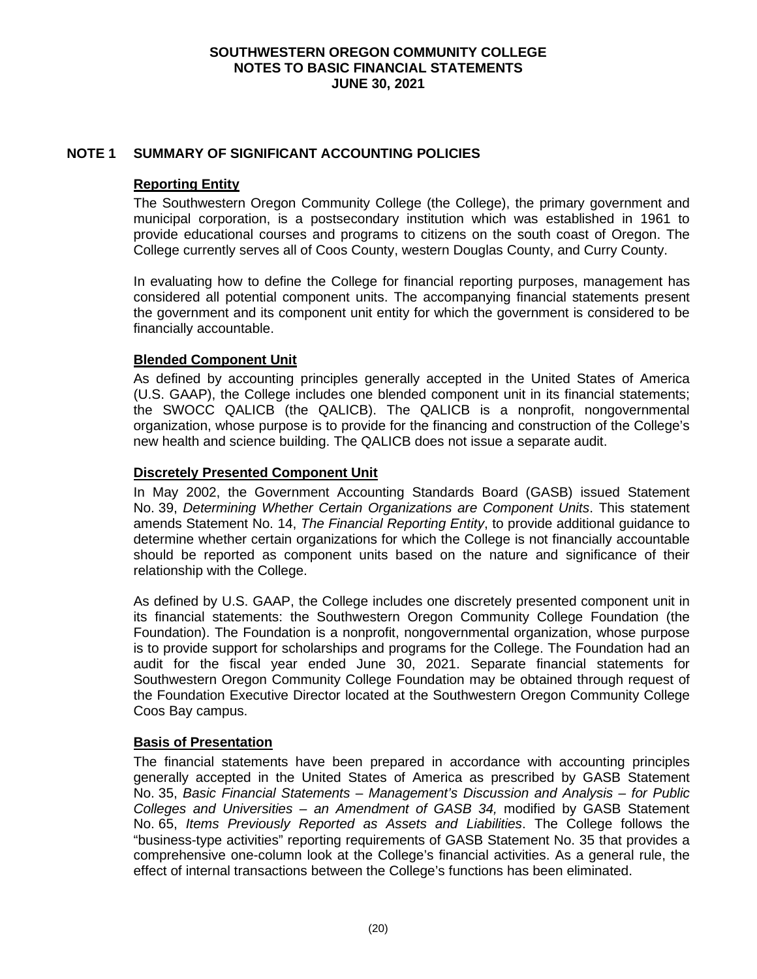# **NOTE 1 SUMMARY OF SIGNIFICANT ACCOUNTING POLICIES**

### **Reporting Entity**

The Southwestern Oregon Community College (the College), the primary government and municipal corporation, is a postsecondary institution which was established in 1961 to provide educational courses and programs to citizens on the south coast of Oregon. The College currently serves all of Coos County, western Douglas County, and Curry County.

In evaluating how to define the College for financial reporting purposes, management has considered all potential component units. The accompanying financial statements present the government and its component unit entity for which the government is considered to be financially accountable.

## **Blended Component Unit**

As defined by accounting principles generally accepted in the United States of America (U.S. GAAP), the College includes one blended component unit in its financial statements; the SWOCC QALICB (the QALICB). The QALICB is a nonprofit, nongovernmental organization, whose purpose is to provide for the financing and construction of the College's new health and science building. The QALICB does not issue a separate audit.

## **Discretely Presented Component Unit**

In May 2002, the Government Accounting Standards Board (GASB) issued Statement No. 39, *Determining Whether Certain Organizations are Component Units*. This statement amends Statement No. 14, *The Financial Reporting Entity*, to provide additional guidance to determine whether certain organizations for which the College is not financially accountable should be reported as component units based on the nature and significance of their relationship with the College.

As defined by U.S. GAAP, the College includes one discretely presented component unit in its financial statements: the Southwestern Oregon Community College Foundation (the Foundation). The Foundation is a nonprofit, nongovernmental organization, whose purpose is to provide support for scholarships and programs for the College. The Foundation had an audit for the fiscal year ended June 30, 2021. Separate financial statements for Southwestern Oregon Community College Foundation may be obtained through request of the Foundation Executive Director located at the Southwestern Oregon Community College Coos Bay campus.

### **Basis of Presentation**

The financial statements have been prepared in accordance with accounting principles generally accepted in the United States of America as prescribed by GASB Statement No. 35, *Basic Financial Statements – Management's Discussion and Analysis – for Public Colleges and Universities – an Amendment of GASB 34,* modified by GASB Statement No. 65, *Items Previously Reported as Assets and Liabilities*. The College follows the "business-type activities" reporting requirements of GASB Statement No. 35 that provides a comprehensive one-column look at the College's financial activities. As a general rule, the effect of internal transactions between the College's functions has been eliminated.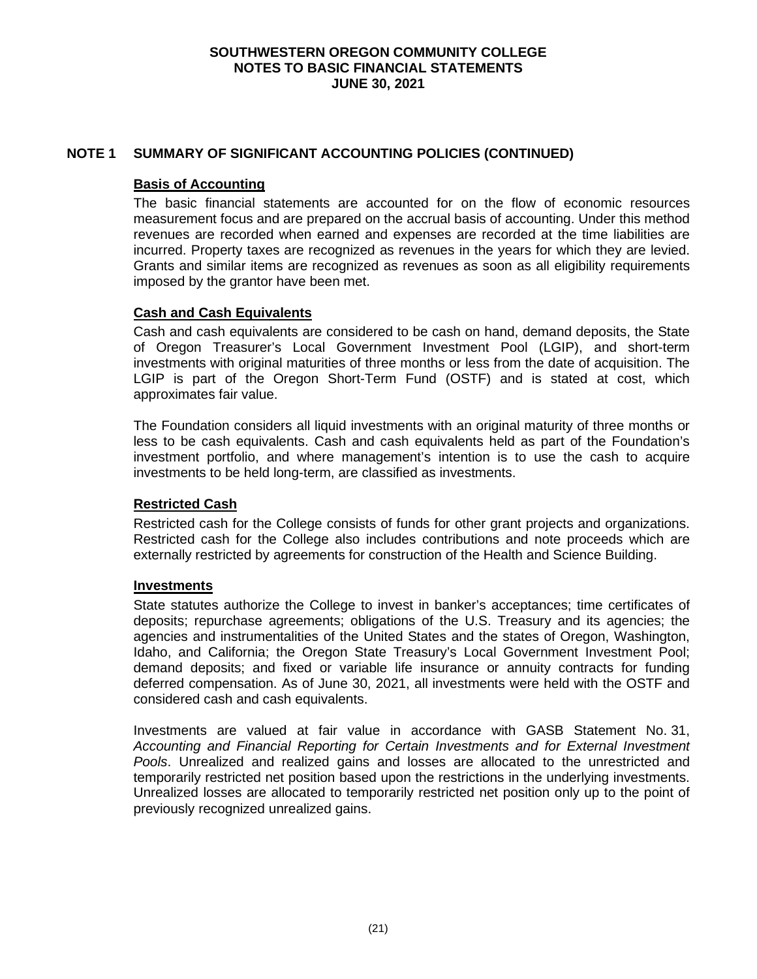# **NOTE 1 SUMMARY OF SIGNIFICANT ACCOUNTING POLICIES (CONTINUED)**

### **Basis of Accounting**

The basic financial statements are accounted for on the flow of economic resources measurement focus and are prepared on the accrual basis of accounting. Under this method revenues are recorded when earned and expenses are recorded at the time liabilities are incurred. Property taxes are recognized as revenues in the years for which they are levied. Grants and similar items are recognized as revenues as soon as all eligibility requirements imposed by the grantor have been met.

### **Cash and Cash Equivalents**

Cash and cash equivalents are considered to be cash on hand, demand deposits, the State of Oregon Treasurer's Local Government Investment Pool (LGIP), and short-term investments with original maturities of three months or less from the date of acquisition. The LGIP is part of the Oregon Short-Term Fund (OSTF) and is stated at cost, which approximates fair value.

The Foundation considers all liquid investments with an original maturity of three months or less to be cash equivalents. Cash and cash equivalents held as part of the Foundation's investment portfolio, and where management's intention is to use the cash to acquire investments to be held long-term, are classified as investments.

### **Restricted Cash**

Restricted cash for the College consists of funds for other grant projects and organizations. Restricted cash for the College also includes contributions and note proceeds which are externally restricted by agreements for construction of the Health and Science Building.

### **Investments**

State statutes authorize the College to invest in banker's acceptances; time certificates of deposits; repurchase agreements; obligations of the U.S. Treasury and its agencies; the agencies and instrumentalities of the United States and the states of Oregon, Washington, Idaho, and California; the Oregon State Treasury's Local Government Investment Pool; demand deposits; and fixed or variable life insurance or annuity contracts for funding deferred compensation. As of June 30, 2021, all investments were held with the OSTF and considered cash and cash equivalents.

Investments are valued at fair value in accordance with GASB Statement No. 31, *Accounting and Financial Reporting for Certain Investments and for External Investment Pools*. Unrealized and realized gains and losses are allocated to the unrestricted and temporarily restricted net position based upon the restrictions in the underlying investments. Unrealized losses are allocated to temporarily restricted net position only up to the point of previously recognized unrealized gains.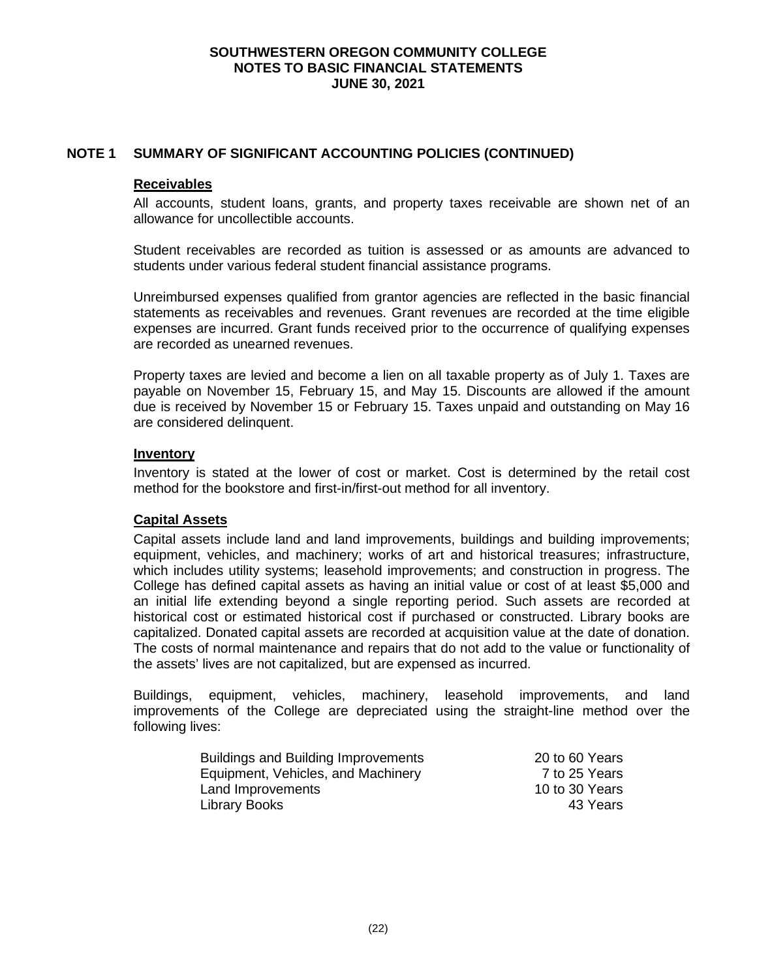# **NOTE 1 SUMMARY OF SIGNIFICANT ACCOUNTING POLICIES (CONTINUED)**

#### **Receivables**

All accounts, student loans, grants, and property taxes receivable are shown net of an allowance for uncollectible accounts.

Student receivables are recorded as tuition is assessed or as amounts are advanced to students under various federal student financial assistance programs.

Unreimbursed expenses qualified from grantor agencies are reflected in the basic financial statements as receivables and revenues. Grant revenues are recorded at the time eligible expenses are incurred. Grant funds received prior to the occurrence of qualifying expenses are recorded as unearned revenues.

Property taxes are levied and become a lien on all taxable property as of July 1. Taxes are payable on November 15, February 15, and May 15. Discounts are allowed if the amount due is received by November 15 or February 15. Taxes unpaid and outstanding on May 16 are considered delinquent.

### **Inventory**

Inventory is stated at the lower of cost or market. Cost is determined by the retail cost method for the bookstore and first-in/first-out method for all inventory.

### **Capital Assets**

Capital assets include land and land improvements, buildings and building improvements; equipment, vehicles, and machinery; works of art and historical treasures; infrastructure, which includes utility systems; leasehold improvements; and construction in progress. The College has defined capital assets as having an initial value or cost of at least \$5,000 and an initial life extending beyond a single reporting period. Such assets are recorded at historical cost or estimated historical cost if purchased or constructed. Library books are capitalized. Donated capital assets are recorded at acquisition value at the date of donation. The costs of normal maintenance and repairs that do not add to the value or functionality of the assets' lives are not capitalized, but are expensed as incurred.

Buildings, equipment, vehicles, machinery, leasehold improvements, and land improvements of the College are depreciated using the straight-line method over the following lives:

| <b>Buildings and Building Improvements</b> | 20 to 60 Years |
|--------------------------------------------|----------------|
| Equipment, Vehicles, and Machinery         | 7 to 25 Years  |
| Land Improvements                          | 10 to 30 Years |
| Library Books                              | 43 Years       |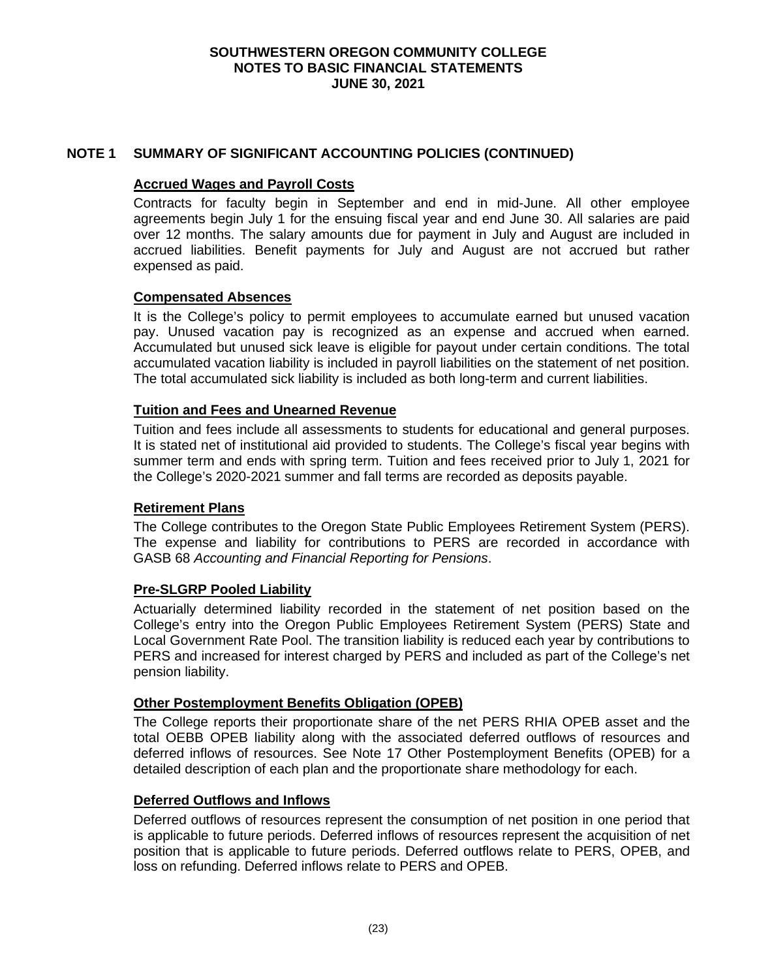# **NOTE 1 SUMMARY OF SIGNIFICANT ACCOUNTING POLICIES (CONTINUED)**

### **Accrued Wages and Payroll Costs**

Contracts for faculty begin in September and end in mid-June. All other employee agreements begin July 1 for the ensuing fiscal year and end June 30. All salaries are paid over 12 months. The salary amounts due for payment in July and August are included in accrued liabilities. Benefit payments for July and August are not accrued but rather expensed as paid.

## **Compensated Absences**

It is the College's policy to permit employees to accumulate earned but unused vacation pay. Unused vacation pay is recognized as an expense and accrued when earned. Accumulated but unused sick leave is eligible for payout under certain conditions. The total accumulated vacation liability is included in payroll liabilities on the statement of net position. The total accumulated sick liability is included as both long-term and current liabilities.

## **Tuition and Fees and Unearned Revenue**

Tuition and fees include all assessments to students for educational and general purposes. It is stated net of institutional aid provided to students. The College's fiscal year begins with summer term and ends with spring term. Tuition and fees received prior to July 1, 2021 for the College's 2020-2021 summer and fall terms are recorded as deposits payable.

### **Retirement Plans**

The College contributes to the Oregon State Public Employees Retirement System (PERS). The expense and liability for contributions to PERS are recorded in accordance with GASB 68 *Accounting and Financial Reporting for Pensions*.

### **Pre-SLGRP Pooled Liability**

Actuarially determined liability recorded in the statement of net position based on the College's entry into the Oregon Public Employees Retirement System (PERS) State and Local Government Rate Pool. The transition liability is reduced each year by contributions to PERS and increased for interest charged by PERS and included as part of the College's net pension liability.

### **Other Postemployment Benefits Obligation (OPEB)**

The College reports their proportionate share of the net PERS RHIA OPEB asset and the total OEBB OPEB liability along with the associated deferred outflows of resources and deferred inflows of resources. See Note 17 Other Postemployment Benefits (OPEB) for a detailed description of each plan and the proportionate share methodology for each.

### **Deferred Outflows and Inflows**

Deferred outflows of resources represent the consumption of net position in one period that is applicable to future periods. Deferred inflows of resources represent the acquisition of net position that is applicable to future periods. Deferred outflows relate to PERS, OPEB, and loss on refunding. Deferred inflows relate to PERS and OPEB.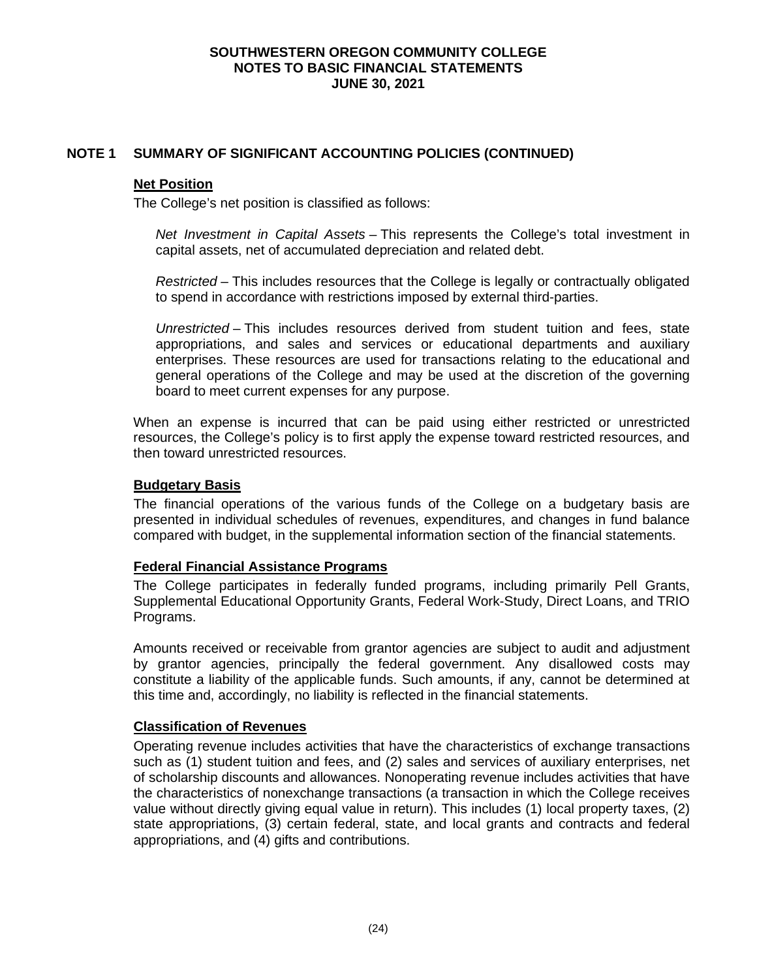# **NOTE 1 SUMMARY OF SIGNIFICANT ACCOUNTING POLICIES (CONTINUED)**

#### **Net Position**

The College's net position is classified as follows:

*Net Investment in Capital Assets* – This represents the College's total investment in capital assets, net of accumulated depreciation and related debt.

*Restricted* – This includes resources that the College is legally or contractually obligated to spend in accordance with restrictions imposed by external third-parties.

*Unrestricted* – This includes resources derived from student tuition and fees, state appropriations, and sales and services or educational departments and auxiliary enterprises. These resources are used for transactions relating to the educational and general operations of the College and may be used at the discretion of the governing board to meet current expenses for any purpose.

When an expense is incurred that can be paid using either restricted or unrestricted resources, the College's policy is to first apply the expense toward restricted resources, and then toward unrestricted resources.

### **Budgetary Basis**

The financial operations of the various funds of the College on a budgetary basis are presented in individual schedules of revenues, expenditures, and changes in fund balance compared with budget, in the supplemental information section of the financial statements.

### **Federal Financial Assistance Programs**

The College participates in federally funded programs, including primarily Pell Grants, Supplemental Educational Opportunity Grants, Federal Work-Study, Direct Loans, and TRIO Programs.

Amounts received or receivable from grantor agencies are subject to audit and adjustment by grantor agencies, principally the federal government. Any disallowed costs may constitute a liability of the applicable funds. Such amounts, if any, cannot be determined at this time and, accordingly, no liability is reflected in the financial statements.

# **Classification of Revenues**

Operating revenue includes activities that have the characteristics of exchange transactions such as (1) student tuition and fees, and (2) sales and services of auxiliary enterprises, net of scholarship discounts and allowances. Nonoperating revenue includes activities that have the characteristics of nonexchange transactions (a transaction in which the College receives value without directly giving equal value in return). This includes (1) local property taxes, (2) state appropriations, (3) certain federal, state, and local grants and contracts and federal appropriations, and (4) gifts and contributions.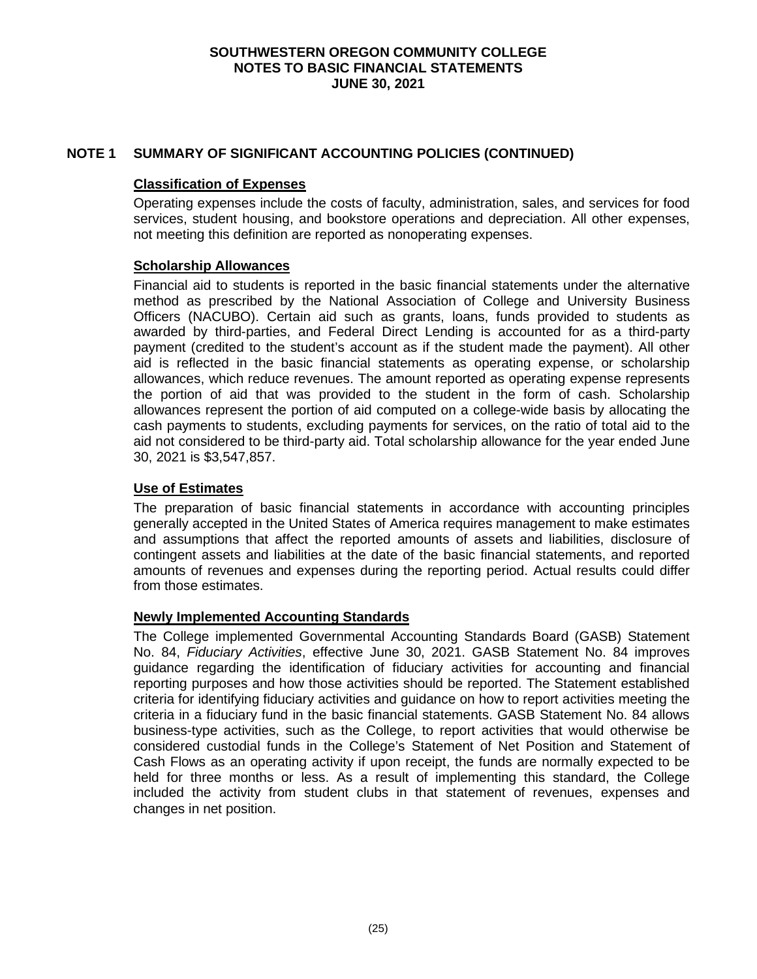# **NOTE 1 SUMMARY OF SIGNIFICANT ACCOUNTING POLICIES (CONTINUED)**

#### **Classification of Expenses**

Operating expenses include the costs of faculty, administration, sales, and services for food services, student housing, and bookstore operations and depreciation. All other expenses, not meeting this definition are reported as nonoperating expenses.

#### **Scholarship Allowances**

Financial aid to students is reported in the basic financial statements under the alternative method as prescribed by the National Association of College and University Business Officers (NACUBO). Certain aid such as grants, loans, funds provided to students as awarded by third-parties, and Federal Direct Lending is accounted for as a third-party payment (credited to the student's account as if the student made the payment). All other aid is reflected in the basic financial statements as operating expense, or scholarship allowances, which reduce revenues. The amount reported as operating expense represents the portion of aid that was provided to the student in the form of cash. Scholarship allowances represent the portion of aid computed on a college-wide basis by allocating the cash payments to students, excluding payments for services, on the ratio of total aid to the aid not considered to be third-party aid. Total scholarship allowance for the year ended June 30, 2021 is \$3,547,857.

### **Use of Estimates**

The preparation of basic financial statements in accordance with accounting principles generally accepted in the United States of America requires management to make estimates and assumptions that affect the reported amounts of assets and liabilities, disclosure of contingent assets and liabilities at the date of the basic financial statements, and reported amounts of revenues and expenses during the reporting period. Actual results could differ from those estimates.

### **Newly Implemented Accounting Standards**

The College implemented Governmental Accounting Standards Board (GASB) Statement No. 84, *Fiduciary Activities*, effective June 30, 2021. GASB Statement No. 84 improves guidance regarding the identification of fiduciary activities for accounting and financial reporting purposes and how those activities should be reported. The Statement established criteria for identifying fiduciary activities and guidance on how to report activities meeting the criteria in a fiduciary fund in the basic financial statements. GASB Statement No. 84 allows business-type activities, such as the College, to report activities that would otherwise be considered custodial funds in the College's Statement of Net Position and Statement of Cash Flows as an operating activity if upon receipt, the funds are normally expected to be held for three months or less. As a result of implementing this standard, the College included the activity from student clubs in that statement of revenues, expenses and changes in net position.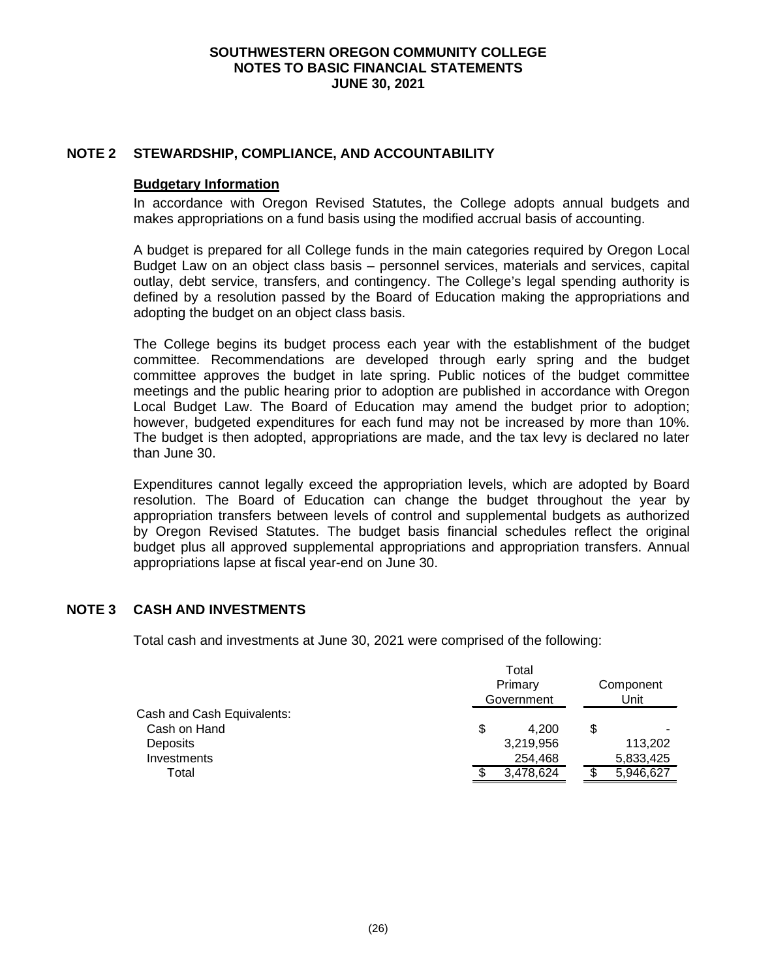## **NOTE 2 STEWARDSHIP, COMPLIANCE, AND ACCOUNTABILITY**

### **Budgetary Information**

In accordance with Oregon Revised Statutes, the College adopts annual budgets and makes appropriations on a fund basis using the modified accrual basis of accounting.

A budget is prepared for all College funds in the main categories required by Oregon Local Budget Law on an object class basis – personnel services, materials and services, capital outlay, debt service, transfers, and contingency. The College's legal spending authority is defined by a resolution passed by the Board of Education making the appropriations and adopting the budget on an object class basis.

The College begins its budget process each year with the establishment of the budget committee. Recommendations are developed through early spring and the budget committee approves the budget in late spring. Public notices of the budget committee meetings and the public hearing prior to adoption are published in accordance with Oregon Local Budget Law. The Board of Education may amend the budget prior to adoption; however, budgeted expenditures for each fund may not be increased by more than 10%. The budget is then adopted, appropriations are made, and the tax levy is declared no later than June 30.

Expenditures cannot legally exceed the appropriation levels, which are adopted by Board resolution. The Board of Education can change the budget throughout the year by appropriation transfers between levels of control and supplemental budgets as authorized by Oregon Revised Statutes. The budget basis financial schedules reflect the original budget plus all approved supplemental appropriations and appropriation transfers. Annual appropriations lapse at fiscal year-end on June 30.

### **NOTE 3 CASH AND INVESTMENTS**

Total cash and investments at June 30, 2021 were comprised of the following:

|                            | Total<br>Primary<br>Government |           |    | Component<br>Unit |  |
|----------------------------|--------------------------------|-----------|----|-------------------|--|
| Cash and Cash Equivalents: |                                |           |    |                   |  |
| Cash on Hand               | \$                             | 4.200     | \$ |                   |  |
| Deposits                   |                                | 3,219,956 |    | 113,202           |  |
| <b>Investments</b>         |                                | 254,468   |    | 5,833,425         |  |
| Total                      |                                | 3,478,624 |    | 5,946,627         |  |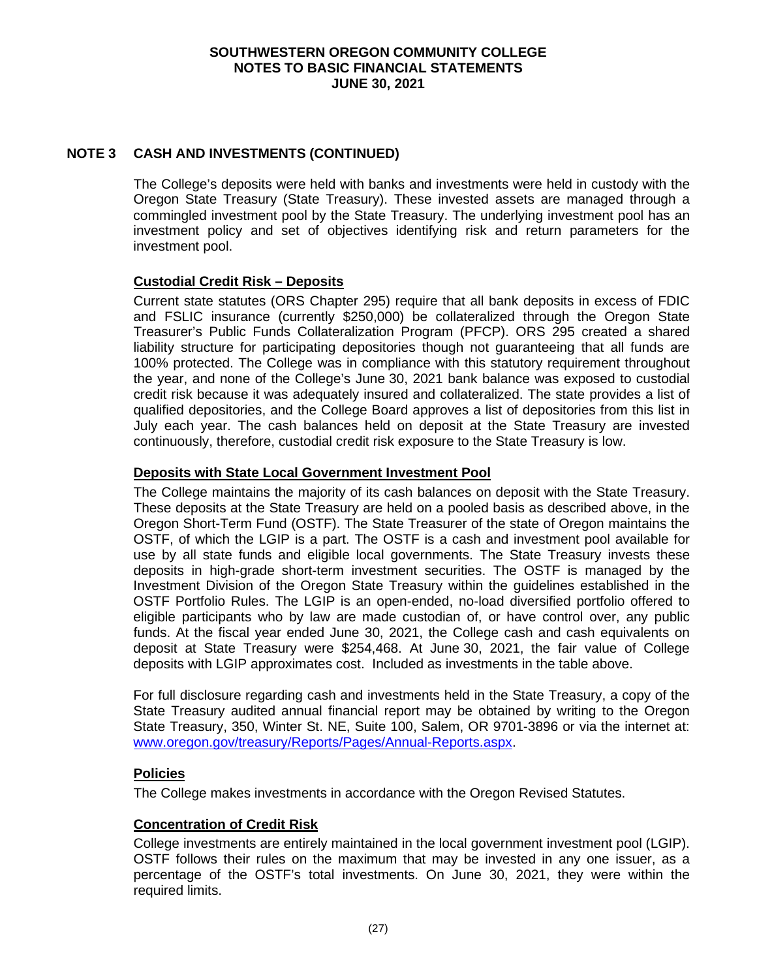# **NOTE 3 CASH AND INVESTMENTS (CONTINUED)**

The College's deposits were held with banks and investments were held in custody with the Oregon State Treasury (State Treasury). These invested assets are managed through a commingled investment pool by the State Treasury. The underlying investment pool has an investment policy and set of objectives identifying risk and return parameters for the investment pool.

# **Custodial Credit Risk – Deposits**

Current state statutes (ORS Chapter 295) require that all bank deposits in excess of FDIC and FSLIC insurance (currently \$250,000) be collateralized through the Oregon State Treasurer's Public Funds Collateralization Program (PFCP). ORS 295 created a shared liability structure for participating depositories though not guaranteeing that all funds are 100% protected. The College was in compliance with this statutory requirement throughout the year, and none of the College's June 30, 2021 bank balance was exposed to custodial credit risk because it was adequately insured and collateralized. The state provides a list of qualified depositories, and the College Board approves a list of depositories from this list in July each year. The cash balances held on deposit at the State Treasury are invested continuously, therefore, custodial credit risk exposure to the State Treasury is low.

# **Deposits with State Local Government Investment Pool**

The College maintains the majority of its cash balances on deposit with the State Treasury. These deposits at the State Treasury are held on a pooled basis as described above, in the Oregon Short-Term Fund (OSTF). The State Treasurer of the state of Oregon maintains the OSTF, of which the LGIP is a part. The OSTF is a cash and investment pool available for use by all state funds and eligible local governments. The State Treasury invests these deposits in high-grade short-term investment securities. The OSTF is managed by the Investment Division of the Oregon State Treasury within the guidelines established in the OSTF Portfolio Rules. The LGIP is an open-ended, no-load diversified portfolio offered to eligible participants who by law are made custodian of, or have control over, any public funds. At the fiscal year ended June 30, 2021, the College cash and cash equivalents on deposit at State Treasury were \$254,468. At June 30, 2021, the fair value of College deposits with LGIP approximates cost. Included as investments in the table above.

For full disclosure regarding cash and investments held in the State Treasury, a copy of the State Treasury audited annual financial report may be obtained by writing to the Oregon State Treasury, 350, Winter St. NE, Suite 100, Salem, OR 9701-3896 or via the internet at: [www.oregon.gov/treasury/Reports/Pages/Annual-Reports.aspx.](http://www.oregon.gov/treasury/Reports/Pages/Annual-Reports.aspx)

# **Policies**

The College makes investments in accordance with the Oregon Revised Statutes.

# **Concentration of Credit Risk**

College investments are entirely maintained in the local government investment pool (LGIP). OSTF follows their rules on the maximum that may be invested in any one issuer, as a percentage of the OSTF's total investments. On June 30, 2021, they were within the required limits.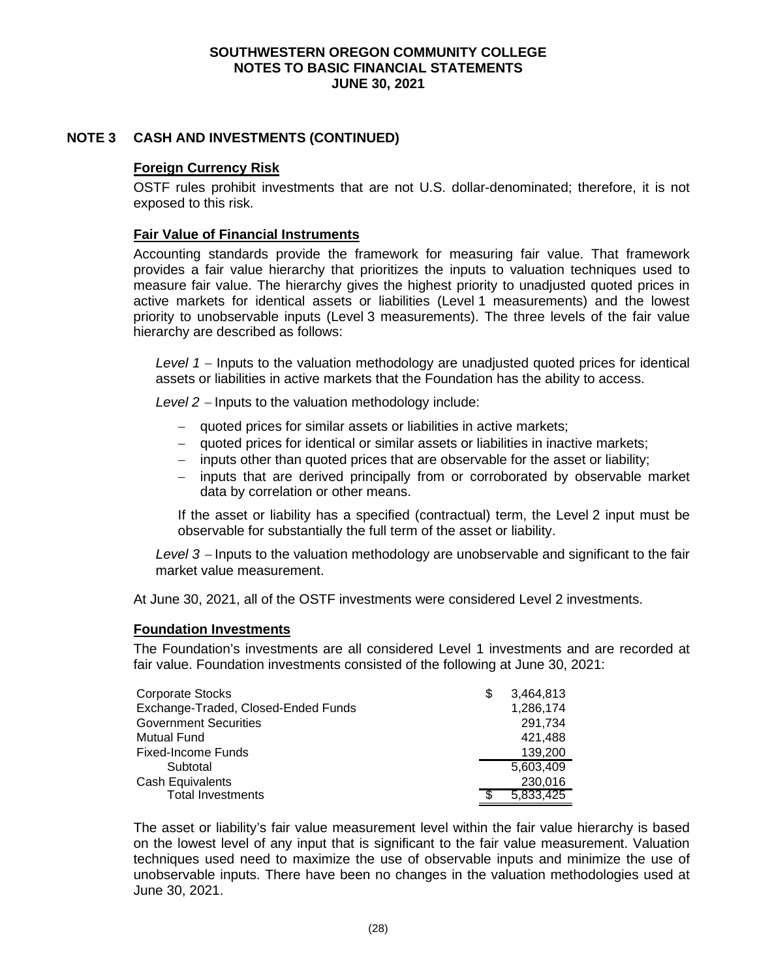# **NOTE 3 CASH AND INVESTMENTS (CONTINUED)**

# **Foreign Currency Risk**

OSTF rules prohibit investments that are not U.S. dollar-denominated; therefore, it is not exposed to this risk.

### **Fair Value of Financial Instruments**

Accounting standards provide the framework for measuring fair value. That framework provides a fair value hierarchy that prioritizes the inputs to valuation techniques used to measure fair value. The hierarchy gives the highest priority to unadjusted quoted prices in active markets for identical assets or liabilities (Level 1 measurements) and the lowest priority to unobservable inputs (Level 3 measurements). The three levels of the fair value hierarchy are described as follows:

*Level 1* − Inputs to the valuation methodology are unadjusted quoted prices for identical assets or liabilities in active markets that the Foundation has the ability to access.

*Level 2* <sup>−</sup> Inputs to the valuation methodology include:

- − quoted prices for similar assets or liabilities in active markets;
- − quoted prices for identical or similar assets or liabilities in inactive markets;
- − inputs other than quoted prices that are observable for the asset or liability;
- − inputs that are derived principally from or corroborated by observable market data by correlation or other means.

If the asset or liability has a specified (contractual) term, the Level 2 input must be observable for substantially the full term of the asset or liability.

*Level 3* <sup>−</sup> Inputs to the valuation methodology are unobservable and significant to the fair market value measurement.

At June 30, 2021, all of the OSTF investments were considered Level 2 investments.

### **Foundation Investments**

The Foundation's investments are all considered Level 1 investments and are recorded at fair value. Foundation investments consisted of the following at June 30, 2021:

| Corporate Stocks                    | S | 3,464,813 |
|-------------------------------------|---|-----------|
| Exchange-Traded, Closed-Ended Funds |   | 1,286,174 |
| <b>Government Securities</b>        |   | 291,734   |
| <b>Mutual Fund</b>                  |   | 421,488   |
| <b>Fixed-Income Funds</b>           |   | 139,200   |
| Subtotal                            |   | 5,603,409 |
| Cash Equivalents                    |   | 230,016   |
| <b>Total Investments</b>            |   | 5,833,425 |

The asset or liability's fair value measurement level within the fair value hierarchy is based on the lowest level of any input that is significant to the fair value measurement. Valuation techniques used need to maximize the use of observable inputs and minimize the use of unobservable inputs. There have been no changes in the valuation methodologies used at June 30, 2021.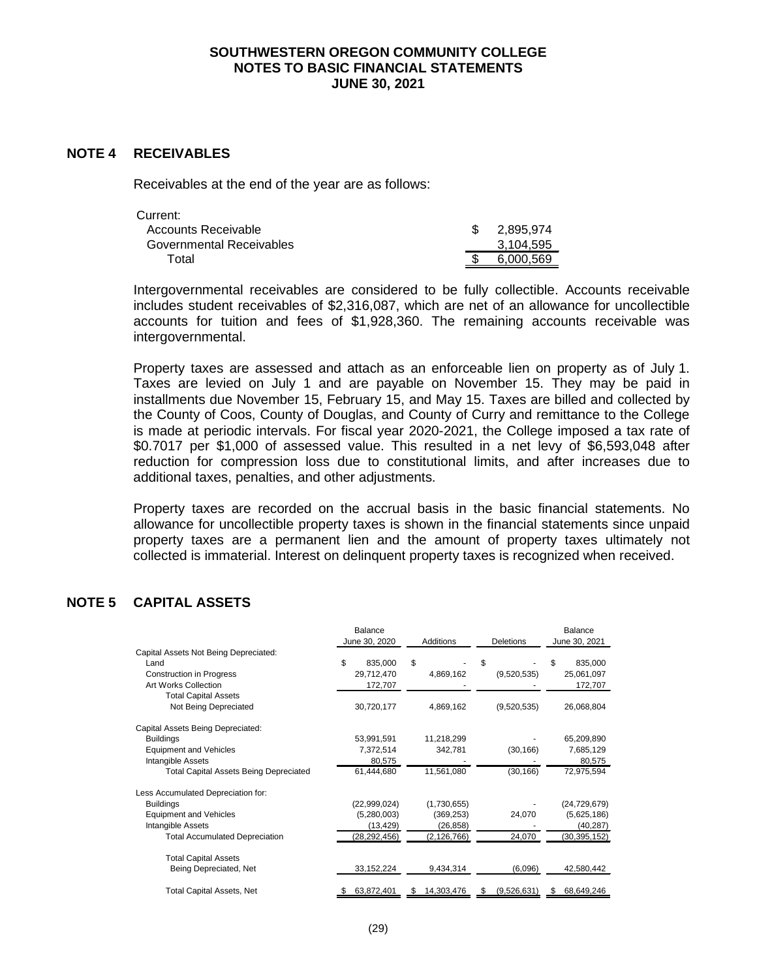#### **NOTE 4 RECEIVABLES**

Receivables at the end of the year are as follows:

| Current:                 |           |
|--------------------------|-----------|
| Accounts Receivable      | 2.895.974 |
| Governmental Receivables | 3,104,595 |
| Total                    | 6.000.569 |

Intergovernmental receivables are considered to be fully collectible. Accounts receivable includes student receivables of \$2,316,087, which are net of an allowance for uncollectible accounts for tuition and fees of \$1,928,360. The remaining accounts receivable was intergovernmental.

Property taxes are assessed and attach as an enforceable lien on property as of July 1. Taxes are levied on July 1 and are payable on November 15. They may be paid in installments due November 15, February 15, and May 15. Taxes are billed and collected by the County of Coos, County of Douglas, and County of Curry and remittance to the College is made at periodic intervals. For fiscal year 2020-2021, the College imposed a tax rate of \$0.7017 per \$1,000 of assessed value. This resulted in a net levy of \$6,593,048 after reduction for compression loss due to constitutional limits, and after increases due to additional taxes, penalties, and other adjustments.

Property taxes are recorded on the accrual basis in the basic financial statements. No allowance for uncollectible property taxes is shown in the financial statements since unpaid property taxes are a permanent lien and the amount of property taxes ultimately not collected is immaterial. Interest on delinquent property taxes is recognized when received.

# **NOTE 5 CAPITAL ASSETS**

|                                               | Balance        |               |                  | Balance        |  |
|-----------------------------------------------|----------------|---------------|------------------|----------------|--|
|                                               | June 30, 2020  | Additions     | <b>Deletions</b> | June 30, 2021  |  |
| Capital Assets Not Being Depreciated:         |                |               |                  |                |  |
| Land                                          | \$<br>835,000  | \$            | \$               | \$<br>835,000  |  |
| <b>Construction in Progress</b>               | 29,712,470     | 4,869,162     | (9,520,535)      | 25,061,097     |  |
| Art Works Collection                          | 172,707        |               |                  | 172,707        |  |
| <b>Total Capital Assets</b>                   |                |               |                  |                |  |
| Not Being Depreciated                         | 30,720,177     | 4,869,162     | (9,520,535)      | 26,068,804     |  |
| Capital Assets Being Depreciated:             |                |               |                  |                |  |
| <b>Buildings</b>                              | 53,991,591     | 11,218,299    |                  | 65,209,890     |  |
| <b>Equipment and Vehicles</b>                 | 7,372,514      | 342,781       | (30, 166)        | 7,685,129      |  |
| Intangible Assets                             | 80,575         |               |                  | 80,575         |  |
| <b>Total Capital Assets Being Depreciated</b> | 61,444,680     | 11,561,080    | (30, 166)        | 72,975,594     |  |
| Less Accumulated Depreciation for:            |                |               |                  |                |  |
| <b>Buildings</b>                              | (22,999,024)   | (1,730,655)   |                  | (24, 729, 679) |  |
| <b>Equipment and Vehicles</b>                 | (5,280,003)    | (369, 253)    | 24,070           | (5,625,186)    |  |
| Intangible Assets                             | (13, 429)      | (26, 858)     |                  | (40, 287)      |  |
| <b>Total Accumulated Depreciation</b>         | (28, 292, 456) | (2, 126, 766) | 24,070           | (30, 395, 152) |  |
| <b>Total Capital Assets</b>                   |                |               |                  |                |  |
| Being Depreciated, Net                        | 33, 152, 224   | 9,434,314     | (6,096)          | 42,580,442     |  |
| Total Capital Assets, Net                     | 63,872,401     | 14,303,476    | (9,526,631)      | 68,649,246     |  |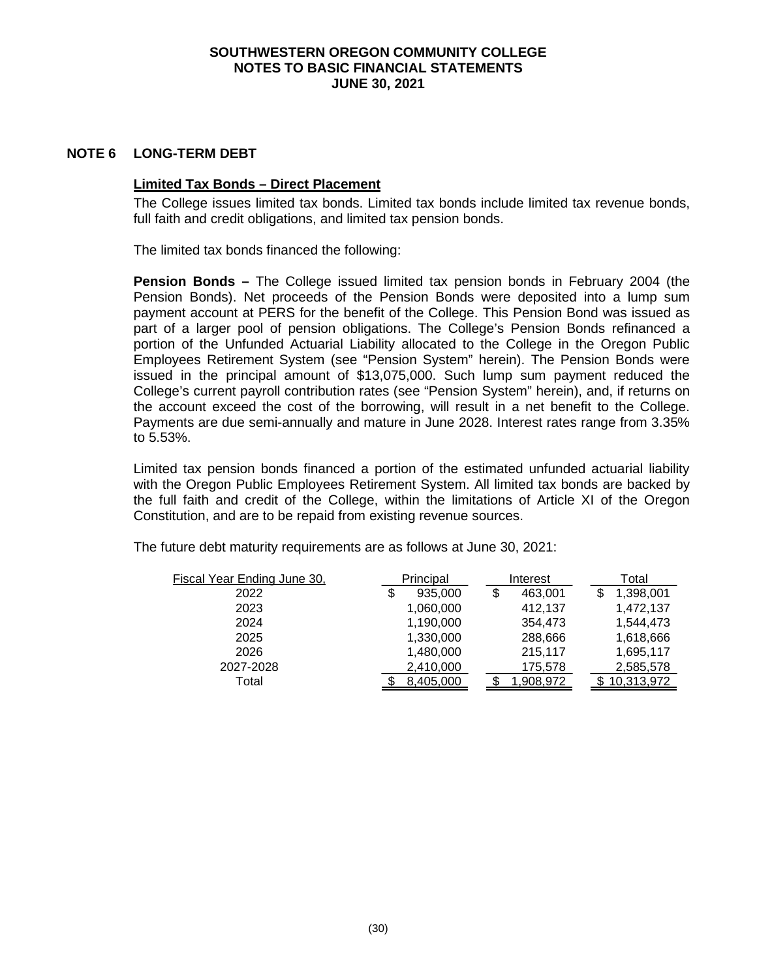### **NOTE 6 LONG-TERM DEBT**

### **Limited Tax Bonds – Direct Placement**

The College issues limited tax bonds. Limited tax bonds include limited tax revenue bonds, full faith and credit obligations, and limited tax pension bonds.

The limited tax bonds financed the following:

**Pension Bonds –** The College issued limited tax pension bonds in February 2004 (the Pension Bonds). Net proceeds of the Pension Bonds were deposited into a lump sum payment account at PERS for the benefit of the College. This Pension Bond was issued as part of a larger pool of pension obligations. The College's Pension Bonds refinanced a portion of the Unfunded Actuarial Liability allocated to the College in the Oregon Public Employees Retirement System (see "Pension System" herein). The Pension Bonds were issued in the principal amount of \$13,075,000. Such lump sum payment reduced the College's current payroll contribution rates (see "Pension System" herein), and, if returns on the account exceed the cost of the borrowing, will result in a net benefit to the College. Payments are due semi-annually and mature in June 2028. Interest rates range from 3.35% to 5.53%.

Limited tax pension bonds financed a portion of the estimated unfunded actuarial liability with the Oregon Public Employees Retirement System. All limited tax bonds are backed by the full faith and credit of the College, within the limitations of Article XI of the Oregon Constitution, and are to be repaid from existing revenue sources.

| Fiscal Year Ending June 30, | Principal     | Interest      | Total      |
|-----------------------------|---------------|---------------|------------|
| 2022                        | 935,000<br>\$ | \$<br>463,001 | 1,398,001  |
| 2023                        | 1,060,000     | 412,137       | 1,472,137  |
| 2024                        | 1,190,000     | 354,473       | 1,544,473  |
| 2025                        | 1,330,000     | 288,666       | 1,618,666  |
| 2026                        | 1,480,000     | 215,117       | 1,695,117  |
| 2027-2028                   | 2,410,000     | 175,578       | 2,585,578  |
| Total                       | 8,405,000     | 1,908,972     | 10,313,972 |
|                             |               |               |            |

The future debt maturity requirements are as follows at June 30, 2021: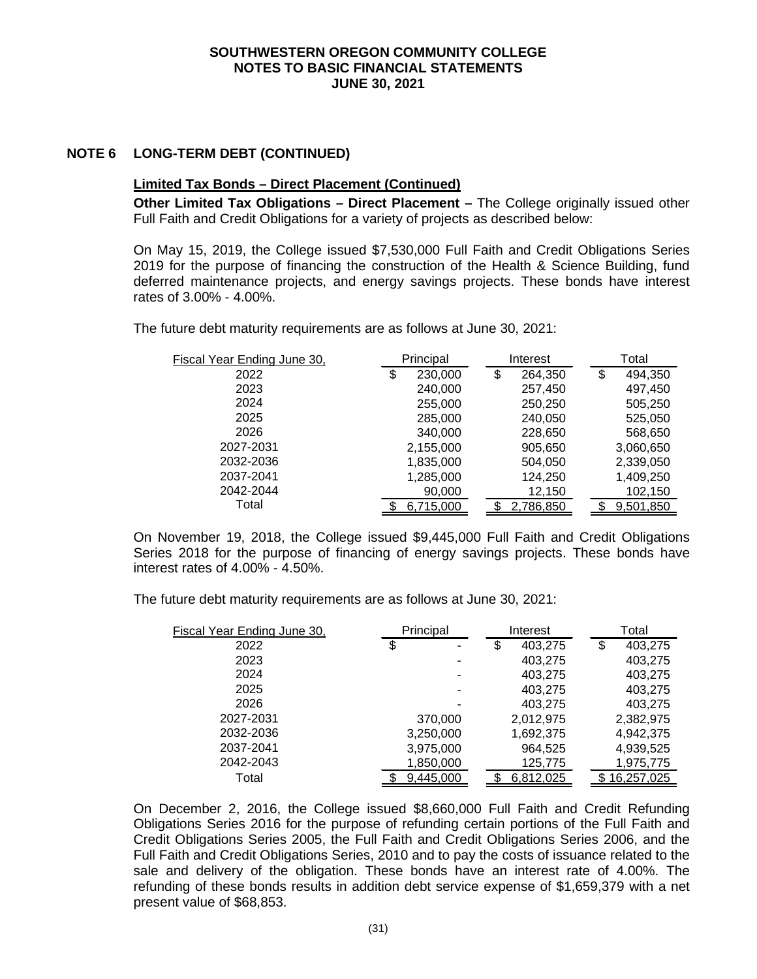# **NOTE 6 LONG-TERM DEBT (CONTINUED)**

### **Limited Tax Bonds – Direct Placement (Continued)**

**Other Limited Tax Obligations – Direct Placement –** The College originally issued other Full Faith and Credit Obligations for a variety of projects as described below:

On May 15, 2019, the College issued \$7,530,000 Full Faith and Credit Obligations Series 2019 for the purpose of financing the construction of the Health & Science Building, fund deferred maintenance projects, and energy savings projects. These bonds have interest rates of 3.00% - 4.00%.

The future debt maturity requirements are as follows at June 30, 2021:

| Fiscal Year Ending June 30, | Principal     | Interest      | Total         |
|-----------------------------|---------------|---------------|---------------|
| 2022                        | 230,000<br>\$ | \$<br>264,350 | \$<br>494.350 |
| 2023                        | 240,000       | 257,450       | 497,450       |
| 2024                        | 255,000       | 250,250       | 505,250       |
| 2025                        | 285,000       | 240,050       | 525,050       |
| 2026                        | 340,000       | 228,650       | 568,650       |
| 2027-2031                   | 2,155,000     | 905,650       | 3,060,650     |
| 2032-2036                   | 1,835,000     | 504,050       | 2,339,050     |
| 2037-2041                   | 1,285,000     | 124,250       | 1,409,250     |
| 2042-2044                   | 90,000        | 12,150        | 102,150       |
| Total                       | 6,715,000     | 2,786,850     | 9,501,850     |

On November 19, 2018, the College issued \$9,445,000 Full Faith and Credit Obligations Series 2018 for the purpose of financing of energy savings projects. These bonds have interest rates of 4.00% - 4.50%.

The future debt maturity requirements are as follows at June 30, 2021:

| Fiscal Year Ending June 30, | Principal | Interest      | Total         |
|-----------------------------|-----------|---------------|---------------|
| 2022                        | \$<br>۰   | \$<br>403,275 | \$<br>403,275 |
| 2023                        |           | 403,275       | 403,275       |
| 2024                        | ۰         | 403,275       | 403,275       |
| 2025                        | ۰         | 403,275       | 403,275       |
| 2026                        |           | 403,275       | 403,275       |
| 2027-2031                   | 370,000   | 2,012,975     | 2,382,975     |
| 2032-2036                   | 3,250,000 | 1,692,375     | 4,942,375     |
| 2037-2041                   | 3,975,000 | 964,525       | 4,939,525     |
| 2042-2043                   | 1,850,000 | 125,775       | 1,975,775     |
| Total                       | 9,445,000 | 6,812,025     | 16,257,025    |

On December 2, 2016, the College issued \$8,660,000 Full Faith and Credit Refunding Obligations Series 2016 for the purpose of refunding certain portions of the Full Faith and Credit Obligations Series 2005, the Full Faith and Credit Obligations Series 2006, and the Full Faith and Credit Obligations Series, 2010 and to pay the costs of issuance related to the sale and delivery of the obligation. These bonds have an interest rate of 4.00%. The refunding of these bonds results in addition debt service expense of \$1,659,379 with a net present value of \$68,853.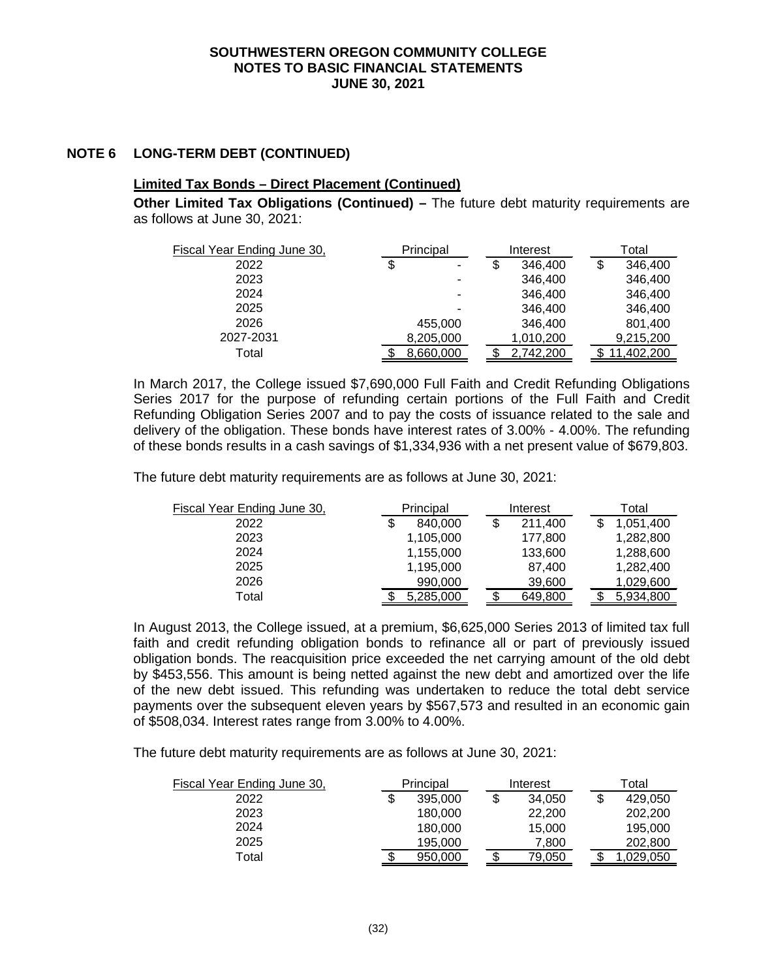## **NOTE 6 LONG-TERM DEBT (CONTINUED)**

### **Limited Tax Bonds – Direct Placement (Continued)**

**Other Limited Tax Obligations (Continued) –** The future debt maturity requirements are as follows at June 30, 2021:

| Fiscal Year Ending June 30, | Principal |    | Interest  | Total      |
|-----------------------------|-----------|----|-----------|------------|
| 2022                        | \$<br>٠   | \$ | 346,400   | 346,400    |
| 2023                        |           |    | 346,400   | 346,400    |
| 2024                        | ۰         |    | 346,400   | 346,400    |
| 2025                        |           |    | 346,400   | 346,400    |
| 2026                        | 455,000   |    | 346,400   | 801,400    |
| 2027-2031                   | 8,205,000 |    | 1,010,200 | 9,215,200  |
| Total                       | 8,660,000 |    | 2,742,200 | 11,402,200 |

In March 2017, the College issued \$7,690,000 Full Faith and Credit Refunding Obligations Series 2017 for the purpose of refunding certain portions of the Full Faith and Credit Refunding Obligation Series 2007 and to pay the costs of issuance related to the sale and delivery of the obligation. These bonds have interest rates of 3.00% - 4.00%. The refunding of these bonds results in a cash savings of \$1,334,936 with a net present value of \$679,803.

The future debt maturity requirements are as follows at June 30, 2021:

| Fiscal Year Ending June 30, | Principal     |    | Interest |  | Total     |
|-----------------------------|---------------|----|----------|--|-----------|
| 2022                        | \$<br>840,000 | \$ | 211.400  |  | 1,051,400 |
| 2023                        | 1,105,000     |    | 177,800  |  | 1,282,800 |
| 2024                        | 1,155,000     |    | 133,600  |  | 1,288,600 |
| 2025                        | 1,195,000     |    | 87,400   |  | 1,282,400 |
| 2026                        | 990,000       |    | 39,600   |  | 1,029,600 |
| Total                       | 5,285,000     |    | 649,800  |  | 5,934,800 |

In August 2013, the College issued, at a premium, \$6,625,000 Series 2013 of limited tax full faith and credit refunding obligation bonds to refinance all or part of previously issued obligation bonds. The reacquisition price exceeded the net carrying amount of the old debt by \$453,556. This amount is being netted against the new debt and amortized over the life of the new debt issued. This refunding was undertaken to reduce the total debt service payments over the subsequent eleven years by \$567,573 and resulted in an economic gain of \$508,034. Interest rates range from 3.00% to 4.00%.

The future debt maturity requirements are as follows at June 30, 2021:

| Fiscal Year Ending June 30, |   | Principal |    |        |  | Interest  |  | Total |
|-----------------------------|---|-----------|----|--------|--|-----------|--|-------|
| 2022                        | S | 395,000   | \$ | 34.050 |  | 429.050   |  |       |
| 2023                        |   | 180,000   |    | 22,200 |  | 202,200   |  |       |
| 2024                        |   | 180,000   |    | 15,000 |  | 195.000   |  |       |
| 2025                        |   | 195.000   |    | 7.800  |  | 202.800   |  |       |
| Total                       |   | 950,000   |    | 79,050 |  | 029,050,۱ |  |       |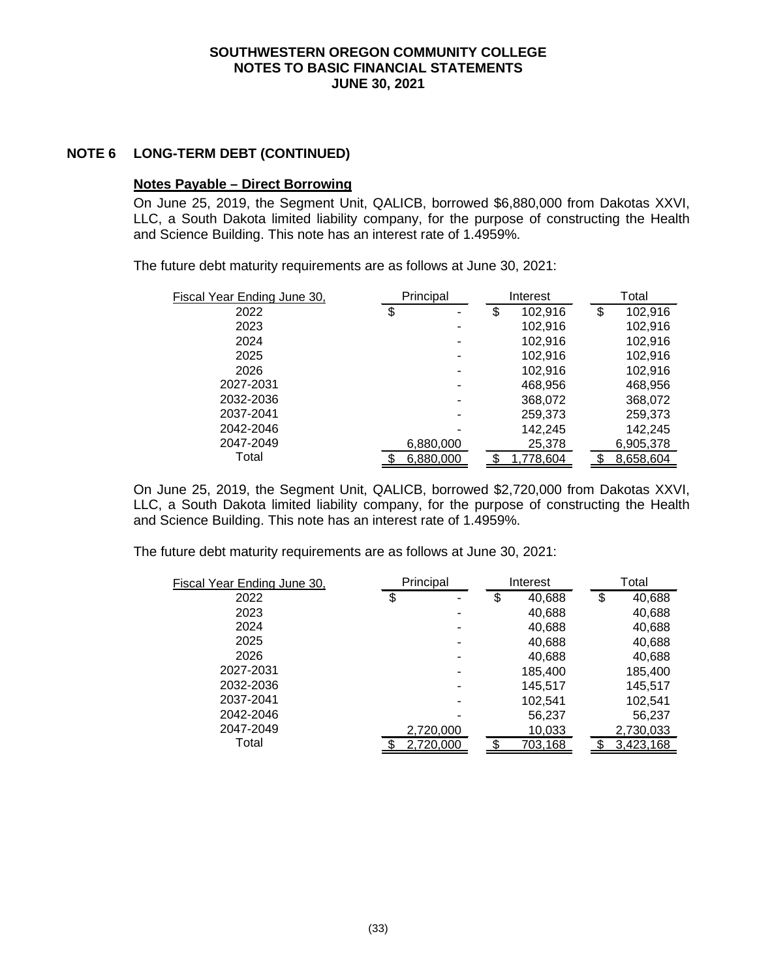## **NOTE 6 LONG-TERM DEBT (CONTINUED)**

### **Notes Payable – Direct Borrowing**

On June 25, 2019, the Segment Unit, QALICB, borrowed \$6,880,000 from Dakotas XXVI, LLC, a South Dakota limited liability company, for the purpose of constructing the Health and Science Building. This note has an interest rate of 1.4959%.

The future debt maturity requirements are as follows at June 30, 2021:

| Fiscal Year Ending June 30, |    | Principal |    |           |               | Interest | Total |
|-----------------------------|----|-----------|----|-----------|---------------|----------|-------|
| 2022                        | \$ | ٠         | \$ | 102,916   | \$<br>102,916 |          |       |
| 2023                        |    |           |    | 102.916   | 102,916       |          |       |
| 2024                        |    |           |    | 102,916   | 102,916       |          |       |
| 2025                        |    | ۰         |    | 102.916   | 102,916       |          |       |
| 2026                        |    | ۰         |    | 102.916   | 102,916       |          |       |
| 2027-2031                   |    |           |    | 468,956   | 468,956       |          |       |
| 2032-2036                   |    |           |    | 368,072   | 368,072       |          |       |
| 2037-2041                   |    | ۰         |    | 259,373   | 259,373       |          |       |
| 2042-2046                   |    |           |    | 142,245   | 142,245       |          |       |
| 2047-2049                   |    | 6,880,000 |    | 25,378    | 6,905,378     |          |       |
| Total                       |    | 6,880,000 |    | 1,778,604 | 8,658,604     |          |       |

On June 25, 2019, the Segment Unit, QALICB, borrowed \$2,720,000 from Dakotas XXVI, LLC, a South Dakota limited liability company, for the purpose of constructing the Health and Science Building. This note has an interest rate of 1.4959%.

The future debt maturity requirements are as follows at June 30, 2021:

| Fiscal Year Ending June 30, | Principal |    | Interest |    | Total     |  |
|-----------------------------|-----------|----|----------|----|-----------|--|
| 2022                        | \$<br>۰   | \$ | 40,688   | \$ | 40,688    |  |
| 2023                        |           |    | 40,688   |    | 40,688    |  |
| 2024                        |           |    | 40,688   |    | 40,688    |  |
| 2025                        | ۰         |    | 40,688   |    | 40,688    |  |
| 2026                        | ٠         |    | 40,688   |    | 40,688    |  |
| 2027-2031                   | -         |    | 185,400  |    | 185,400   |  |
| 2032-2036                   |           |    | 145,517  |    | 145,517   |  |
| 2037-2041                   |           |    | 102.541  |    | 102,541   |  |
| 2042-2046                   |           |    | 56,237   |    | 56,237    |  |
| 2047-2049                   | 2,720,000 |    | 10,033   |    | 2,730,033 |  |
| Total                       | 2,720,000 |    | 703,168  |    | 3,423,168 |  |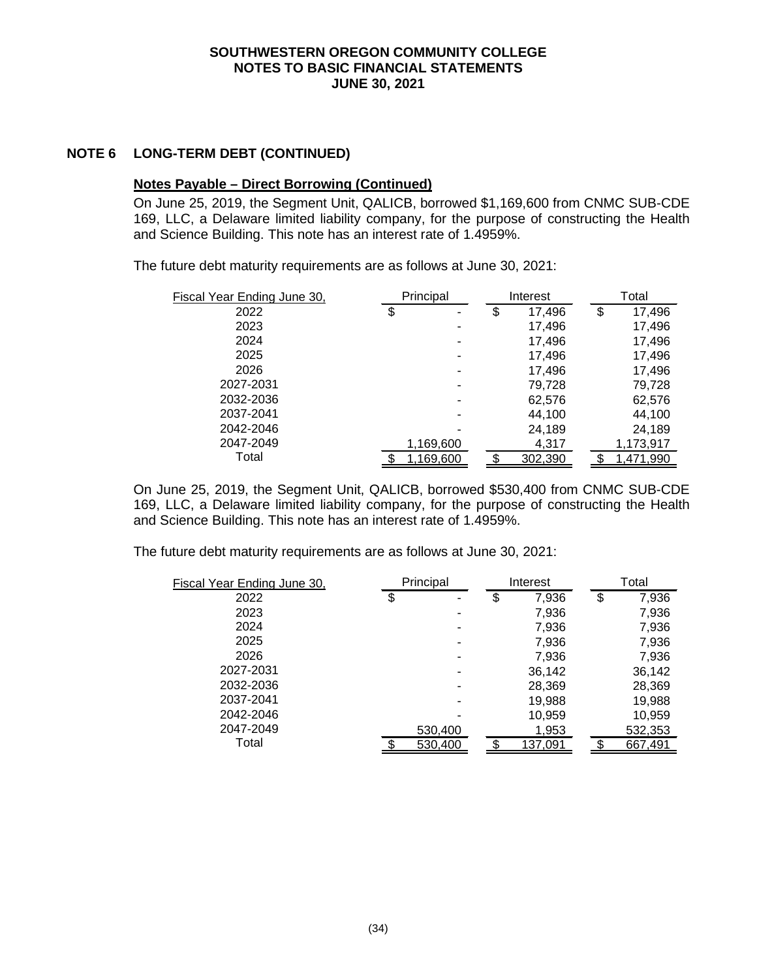## **NOTE 6 LONG-TERM DEBT (CONTINUED)**

## **Notes Payable – Direct Borrowing (Continued)**

On June 25, 2019, the Segment Unit, QALICB, borrowed \$1,169,600 from CNMC SUB-CDE 169, LLC, a Delaware limited liability company, for the purpose of constructing the Health and Science Building. This note has an interest rate of 1.4959%.

The future debt maturity requirements are as follows at June 30, 2021:

| Fiscal Year Ending June 30, | Principal |    | Interest | Total        |
|-----------------------------|-----------|----|----------|--------------|
| 2022                        | \$<br>۰   | \$ | 17,496   | \$<br>17,496 |
| 2023                        |           |    | 17,496   | 17,496       |
| 2024                        |           |    | 17,496   | 17,496       |
| 2025                        | ۰         |    | 17,496   | 17,496       |
| 2026                        | ۰         |    | 17,496   | 17,496       |
| 2027-2031                   | -         |    | 79,728   | 79,728       |
| 2032-2036                   | -         |    | 62,576   | 62,576       |
| 2037-2041                   | ۰         |    | 44.100   | 44,100       |
| 2042-2046                   |           |    | 24,189   | 24,189       |
| 2047-2049                   | 1,169,600 |    | 4,317    | 1,173,917    |
| Total                       | 1,169,600 |    | 302,390  | 1.471.990    |

On June 25, 2019, the Segment Unit, QALICB, borrowed \$530,400 from CNMC SUB-CDE 169, LLC, a Delaware limited liability company, for the purpose of constructing the Health and Science Building. This note has an interest rate of 1.4959%.

The future debt maturity requirements are as follows at June 30, 2021:

| Fiscal Year Ending June 30, | Principal |    | Interest |    | Total   |
|-----------------------------|-----------|----|----------|----|---------|
| 2022                        | \$        | \$ | 7,936    | \$ | 7,936   |
| 2023                        |           |    | 7,936    |    | 7,936   |
| 2024                        |           |    | 7,936    |    | 7,936   |
| 2025                        | ٠         |    | 7,936    |    | 7,936   |
| 2026                        | -         |    | 7,936    |    | 7,936   |
| 2027-2031                   |           |    | 36,142   |    | 36,142  |
| 2032-2036                   | -         |    | 28,369   |    | 28,369  |
| 2037-2041                   | ۰         |    | 19,988   |    | 19,988  |
| 2042-2046                   |           |    | 10,959   |    | 10,959  |
| 2047-2049                   | 530,400   |    | 1,953    |    | 532,353 |
| Total                       | 530,400   |    | 137,091  |    | 667.491 |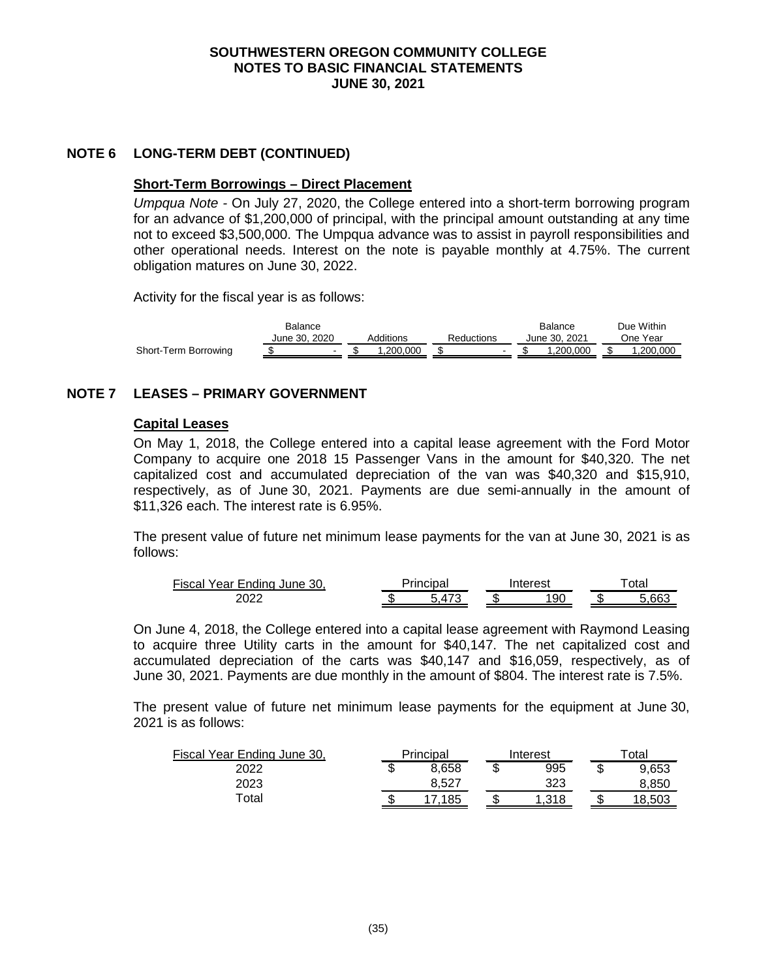## **NOTE 6 LONG-TERM DEBT (CONTINUED)**

#### **Short-Term Borrowings – Direct Placement**

*Umpqua Note -* On July 27, 2020, the College entered into a short-term borrowing program for an advance of \$1,200,000 of principal, with the principal amount outstanding at any time not to exceed \$3,500,000. The Umpqua advance was to assist in payroll responsibilities and other operational needs. Interest on the note is payable monthly at 4.75%. The current obligation matures on June 30, 2022.

Activity for the fiscal year is as follows:

|                      | Balance                  |           |            | <b>Balance</b> | Due Within |
|----------------------|--------------------------|-----------|------------|----------------|------------|
|                      | June 30, 2020            | Additions | Reductions | June 30. 2021  | One Year   |
| Short-Term Borrowing | $\overline{\phantom{0}}$ | .200.000  | $\sim$     | .200.000       | .200.000   |

## **NOTE 7 LEASES – PRIMARY GOVERNMENT**

#### **Capital Leases**

On May 1, 2018, the College entered into a capital lease agreement with the Ford Motor Company to acquire one 2018 15 Passenger Vans in the amount for \$40,320. The net capitalized cost and accumulated depreciation of the van was \$40,320 and \$15,910, respectively, as of June 30, 2021. Payments are due semi-annually in the amount of \$11,326 each. The interest rate is 6.95%.

The present value of future net minimum lease payments for the van at June 30, 2021 is as follows:

| Fiscal<br>`Year Ending June 30. | Principal |                          |      | Interest | otal |     |  |
|---------------------------------|-----------|--------------------------|------|----------|------|-----|--|
| 2022                            | - 11      | $\overline{\phantom{a}}$ | - 13 | 90       | ٠D   | GRC |  |

On June 4, 2018, the College entered into a capital lease agreement with Raymond Leasing to acquire three Utility carts in the amount for \$40,147. The net capitalized cost and accumulated depreciation of the carts was \$40,147 and \$16,059, respectively, as of June 30, 2021. Payments are due monthly in the amount of \$804. The interest rate is 7.5%.

The present value of future net minimum lease payments for the equipment at June 30, 2021 is as follows:

| Fiscal Year Ending June 30, |   | Principal |   | Interest | $\tau$ otal |        |
|-----------------------------|---|-----------|---|----------|-------------|--------|
| 2022                        | J | 8.658     | ጥ | 995      | Œ           | 9,653  |
| 2023                        |   | 8.527     |   | 323      |             | 8.850  |
| Total                       |   | .185      |   | .318     |             | 18.503 |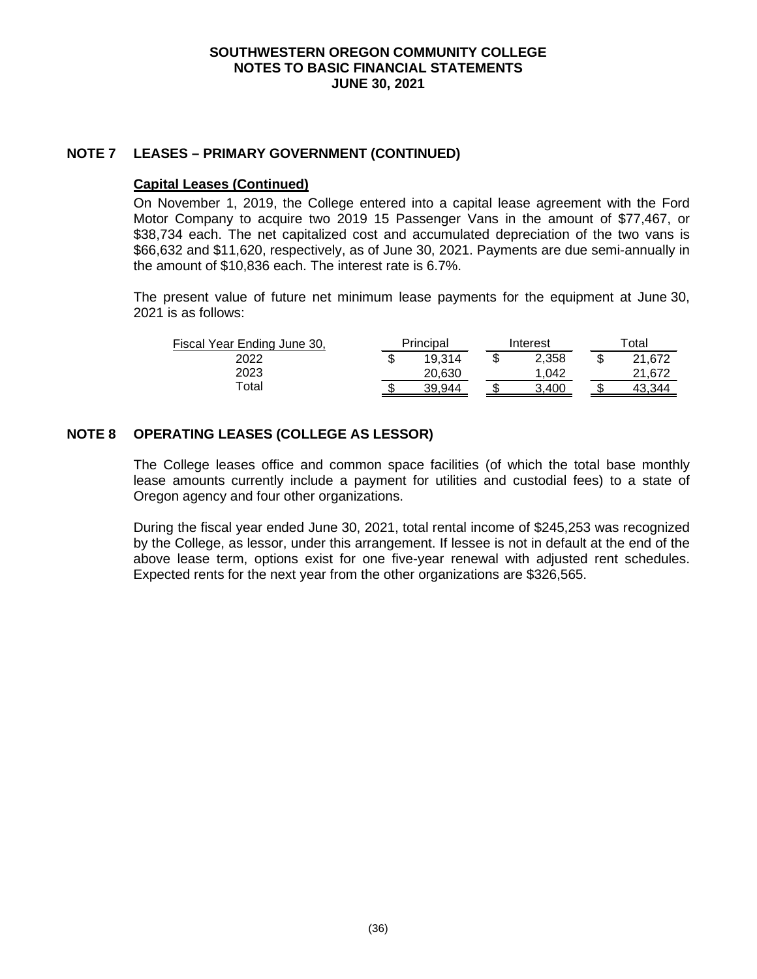## **NOTE 7 LEASES – PRIMARY GOVERNMENT (CONTINUED)**

#### **Capital Leases (Continued)**

On November 1, 2019, the College entered into a capital lease agreement with the Ford Motor Company to acquire two 2019 15 Passenger Vans in the amount of \$77,467, or \$38,734 each. The net capitalized cost and accumulated depreciation of the two vans is \$66,632 and \$11,620, respectively, as of June 30, 2021. Payments are due semi-annually in the amount of \$10,836 each. The interest rate is 6.7%.

The present value of future net minimum lease payments for the equipment at June 30, 2021 is as follows:

| Fiscal Year Ending June 30, | Principal |        | Interest |       | ™otal  |
|-----------------------------|-----------|--------|----------|-------|--------|
| 2022                        |           | 19.314 | Œ        | 2.358 | 21.672 |
| 2023                        |           | 20.630 |          | 1.042 | 21.672 |
| Total                       |           | 39.944 |          | 3.400 |        |

# **NOTE 8 OPERATING LEASES (COLLEGE AS LESSOR)**

The College leases office and common space facilities (of which the total base monthly lease amounts currently include a payment for utilities and custodial fees) to a state of Oregon agency and four other organizations.

During the fiscal year ended June 30, 2021, total rental income of \$245,253 was recognized by the College, as lessor, under this arrangement. If lessee is not in default at the end of the above lease term, options exist for one five-year renewal with adjusted rent schedules. Expected rents for the next year from the other organizations are \$326,565.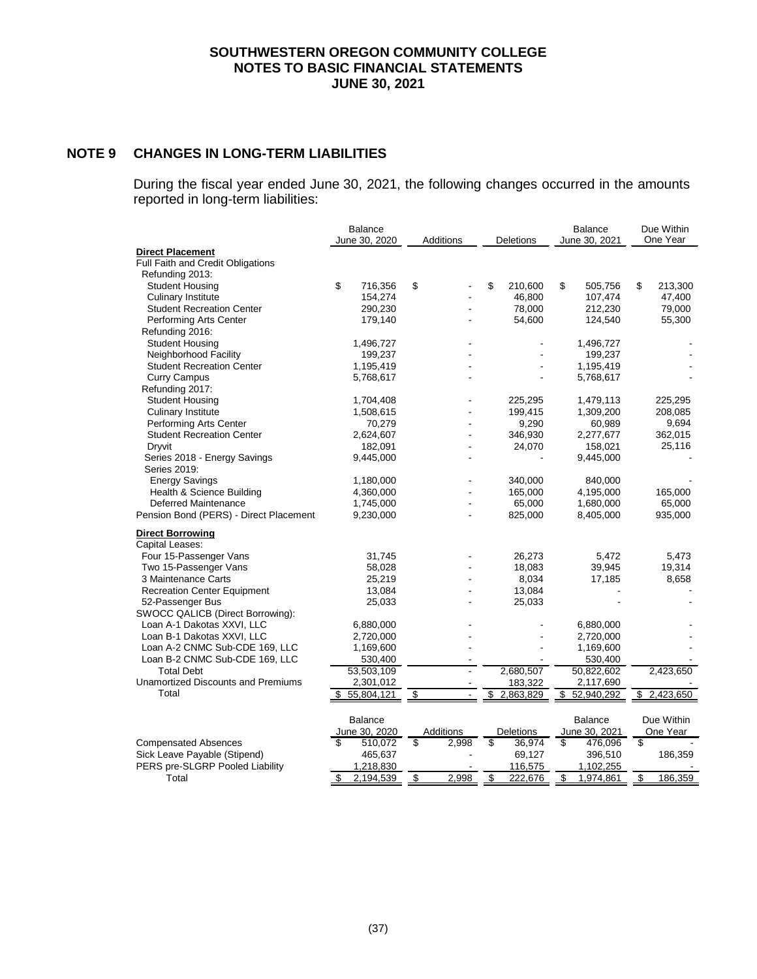# **NOTE 9 CHANGES IN LONG-TERM LIABILITIES**

During the fiscal year ended June 30, 2021, the following changes occurred in the amounts reported in long-term liabilities:

| <b>Direct Placement</b><br><b>Full Faith and Credit Obligations</b><br>Refunding 2013:<br><b>Student Housing</b><br>\$<br>716,356<br>\$<br>\$<br>210,600<br>\$<br>505.756<br>\$<br>213,300<br><b>Culinary Institute</b><br>154,274<br>46,800<br>107,474<br>47,400<br>79,000<br>78.000<br><b>Student Recreation Center</b><br>290,230<br>212,230<br>179,140<br>54,600<br>55,300<br>Performing Arts Center<br>124,540<br>Refunding 2016:<br><b>Student Housing</b><br>1,496,727<br>1,496,727<br>Neighborhood Facility<br>199,237<br>199,237<br><b>Student Recreation Center</b><br>1,195,419<br>1,195,419<br><b>Curry Campus</b><br>5,768,617<br>5,768,617<br>Refunding 2017:<br><b>Student Housing</b><br>1,704,408<br>225,295<br>1,479,113<br>225,295<br><b>Culinary Institute</b><br>1,508,615<br>199,415<br>1,309,200<br>208,085<br>Performing Arts Center<br>70,279<br>9,290<br>9,694<br>60,989<br><b>Student Recreation Center</b><br>346,930<br>362,015<br>2,624,607<br>2,277,677<br>Dryvit<br>182,091<br>24,070<br>158,021<br>25,116<br>Series 2018 - Energy Savings<br>9,445,000<br>9,445,000<br>Series 2019:<br><b>Energy Savings</b><br>340,000<br>840,000<br>1,180,000<br>Health & Science Building<br>165,000<br>4,360,000<br>4,195,000<br>165,000<br>Deferred Maintenance<br>1,745,000<br>65,000<br>1,680,000<br>65,000<br>Pension Bond (PERS) - Direct Placement<br>935,000<br>9,230,000<br>825,000<br>8,405,000<br><b>Direct Borrowing</b><br>Capital Leases:<br>26,273<br>Four 15-Passenger Vans<br>31,745<br>5,472<br>5,473<br>Two 15-Passenger Vans<br>58,028<br>18,083<br>19,314<br>39,945<br>8,658<br>3 Maintenance Carts<br>25,219<br>8,034<br>17,185<br>13,084<br>13,084<br><b>Recreation Center Equipment</b><br>25,033<br>25,033<br>52-Passenger Bus<br>SWOCC QALICB (Direct Borrowing):<br>Loan A-1 Dakotas XXVI, LLC<br>6,880,000<br>6,880,000<br>Loan B-1 Dakotas XXVI, LLC<br>2,720,000<br>2,720,000<br>Loan A-2 CNMC Sub-CDE 169, LLC<br>1,169,600<br>1,169,600<br>Loan B-2 CNMC Sub-CDE 169, LLC<br>530,400<br>530,400<br>2,680,507<br>2,423,650<br><b>Total Debt</b><br>53,503,109<br>50,822,602<br><b>Unamortized Discounts and Premiums</b><br>183,322<br>2,117,690<br>2,301,012<br>Total<br>\$55,804,121<br>52,940,292<br>\$2,423,650<br>\$<br>2,863,829<br>\$<br>\$<br><b>Balance</b><br><b>Balance</b><br>Due Within<br>June 30, 2020<br>Additions<br>June 30, 2021<br>One Year<br>Deletions<br>\$<br>\$<br><b>Compensated Absences</b><br>510,072<br>2,998<br>36,974<br>\$<br>476,096<br>\$<br>\$<br>Sick Leave Payable (Stipend)<br>465,637<br>69,127<br>396,510<br>186,359<br>PERS pre-SLGRP Pooled Liability<br>116,575<br>1,218,830<br>1,102,255 |       | <b>Balance</b><br>June 30, 2020 | Additions<br>Deletions |       |    | <b>Balance</b><br>June 30, 2021 |    | Due Within<br>One Year |    |         |
|------------------------------------------------------------------------------------------------------------------------------------------------------------------------------------------------------------------------------------------------------------------------------------------------------------------------------------------------------------------------------------------------------------------------------------------------------------------------------------------------------------------------------------------------------------------------------------------------------------------------------------------------------------------------------------------------------------------------------------------------------------------------------------------------------------------------------------------------------------------------------------------------------------------------------------------------------------------------------------------------------------------------------------------------------------------------------------------------------------------------------------------------------------------------------------------------------------------------------------------------------------------------------------------------------------------------------------------------------------------------------------------------------------------------------------------------------------------------------------------------------------------------------------------------------------------------------------------------------------------------------------------------------------------------------------------------------------------------------------------------------------------------------------------------------------------------------------------------------------------------------------------------------------------------------------------------------------------------------------------------------------------------------------------------------------------------------------------------------------------------------------------------------------------------------------------------------------------------------------------------------------------------------------------------------------------------------------------------------------------------------------------------------------------------------------------------------------------------------------------------------------------------------------------------------------------------------------------------------------------------------------------------------------------------------------------|-------|---------------------------------|------------------------|-------|----|---------------------------------|----|------------------------|----|---------|
|                                                                                                                                                                                                                                                                                                                                                                                                                                                                                                                                                                                                                                                                                                                                                                                                                                                                                                                                                                                                                                                                                                                                                                                                                                                                                                                                                                                                                                                                                                                                                                                                                                                                                                                                                                                                                                                                                                                                                                                                                                                                                                                                                                                                                                                                                                                                                                                                                                                                                                                                                                                                                                                                                          |       |                                 |                        |       |    |                                 |    |                        |    |         |
|                                                                                                                                                                                                                                                                                                                                                                                                                                                                                                                                                                                                                                                                                                                                                                                                                                                                                                                                                                                                                                                                                                                                                                                                                                                                                                                                                                                                                                                                                                                                                                                                                                                                                                                                                                                                                                                                                                                                                                                                                                                                                                                                                                                                                                                                                                                                                                                                                                                                                                                                                                                                                                                                                          |       |                                 |                        |       |    |                                 |    |                        |    |         |
|                                                                                                                                                                                                                                                                                                                                                                                                                                                                                                                                                                                                                                                                                                                                                                                                                                                                                                                                                                                                                                                                                                                                                                                                                                                                                                                                                                                                                                                                                                                                                                                                                                                                                                                                                                                                                                                                                                                                                                                                                                                                                                                                                                                                                                                                                                                                                                                                                                                                                                                                                                                                                                                                                          |       |                                 |                        |       |    |                                 |    |                        |    |         |
|                                                                                                                                                                                                                                                                                                                                                                                                                                                                                                                                                                                                                                                                                                                                                                                                                                                                                                                                                                                                                                                                                                                                                                                                                                                                                                                                                                                                                                                                                                                                                                                                                                                                                                                                                                                                                                                                                                                                                                                                                                                                                                                                                                                                                                                                                                                                                                                                                                                                                                                                                                                                                                                                                          |       |                                 |                        |       |    |                                 |    |                        |    |         |
|                                                                                                                                                                                                                                                                                                                                                                                                                                                                                                                                                                                                                                                                                                                                                                                                                                                                                                                                                                                                                                                                                                                                                                                                                                                                                                                                                                                                                                                                                                                                                                                                                                                                                                                                                                                                                                                                                                                                                                                                                                                                                                                                                                                                                                                                                                                                                                                                                                                                                                                                                                                                                                                                                          |       |                                 |                        |       |    |                                 |    |                        |    |         |
|                                                                                                                                                                                                                                                                                                                                                                                                                                                                                                                                                                                                                                                                                                                                                                                                                                                                                                                                                                                                                                                                                                                                                                                                                                                                                                                                                                                                                                                                                                                                                                                                                                                                                                                                                                                                                                                                                                                                                                                                                                                                                                                                                                                                                                                                                                                                                                                                                                                                                                                                                                                                                                                                                          |       |                                 |                        |       |    |                                 |    |                        |    |         |
|                                                                                                                                                                                                                                                                                                                                                                                                                                                                                                                                                                                                                                                                                                                                                                                                                                                                                                                                                                                                                                                                                                                                                                                                                                                                                                                                                                                                                                                                                                                                                                                                                                                                                                                                                                                                                                                                                                                                                                                                                                                                                                                                                                                                                                                                                                                                                                                                                                                                                                                                                                                                                                                                                          |       |                                 |                        |       |    |                                 |    |                        |    |         |
|                                                                                                                                                                                                                                                                                                                                                                                                                                                                                                                                                                                                                                                                                                                                                                                                                                                                                                                                                                                                                                                                                                                                                                                                                                                                                                                                                                                                                                                                                                                                                                                                                                                                                                                                                                                                                                                                                                                                                                                                                                                                                                                                                                                                                                                                                                                                                                                                                                                                                                                                                                                                                                                                                          |       |                                 |                        |       |    |                                 |    |                        |    |         |
|                                                                                                                                                                                                                                                                                                                                                                                                                                                                                                                                                                                                                                                                                                                                                                                                                                                                                                                                                                                                                                                                                                                                                                                                                                                                                                                                                                                                                                                                                                                                                                                                                                                                                                                                                                                                                                                                                                                                                                                                                                                                                                                                                                                                                                                                                                                                                                                                                                                                                                                                                                                                                                                                                          |       |                                 |                        |       |    |                                 |    |                        |    |         |
|                                                                                                                                                                                                                                                                                                                                                                                                                                                                                                                                                                                                                                                                                                                                                                                                                                                                                                                                                                                                                                                                                                                                                                                                                                                                                                                                                                                                                                                                                                                                                                                                                                                                                                                                                                                                                                                                                                                                                                                                                                                                                                                                                                                                                                                                                                                                                                                                                                                                                                                                                                                                                                                                                          |       |                                 |                        |       |    |                                 |    |                        |    |         |
|                                                                                                                                                                                                                                                                                                                                                                                                                                                                                                                                                                                                                                                                                                                                                                                                                                                                                                                                                                                                                                                                                                                                                                                                                                                                                                                                                                                                                                                                                                                                                                                                                                                                                                                                                                                                                                                                                                                                                                                                                                                                                                                                                                                                                                                                                                                                                                                                                                                                                                                                                                                                                                                                                          |       |                                 |                        |       |    |                                 |    |                        |    |         |
|                                                                                                                                                                                                                                                                                                                                                                                                                                                                                                                                                                                                                                                                                                                                                                                                                                                                                                                                                                                                                                                                                                                                                                                                                                                                                                                                                                                                                                                                                                                                                                                                                                                                                                                                                                                                                                                                                                                                                                                                                                                                                                                                                                                                                                                                                                                                                                                                                                                                                                                                                                                                                                                                                          |       |                                 |                        |       |    |                                 |    |                        |    |         |
|                                                                                                                                                                                                                                                                                                                                                                                                                                                                                                                                                                                                                                                                                                                                                                                                                                                                                                                                                                                                                                                                                                                                                                                                                                                                                                                                                                                                                                                                                                                                                                                                                                                                                                                                                                                                                                                                                                                                                                                                                                                                                                                                                                                                                                                                                                                                                                                                                                                                                                                                                                                                                                                                                          |       |                                 |                        |       |    |                                 |    |                        |    |         |
|                                                                                                                                                                                                                                                                                                                                                                                                                                                                                                                                                                                                                                                                                                                                                                                                                                                                                                                                                                                                                                                                                                                                                                                                                                                                                                                                                                                                                                                                                                                                                                                                                                                                                                                                                                                                                                                                                                                                                                                                                                                                                                                                                                                                                                                                                                                                                                                                                                                                                                                                                                                                                                                                                          |       |                                 |                        |       |    |                                 |    |                        |    |         |
|                                                                                                                                                                                                                                                                                                                                                                                                                                                                                                                                                                                                                                                                                                                                                                                                                                                                                                                                                                                                                                                                                                                                                                                                                                                                                                                                                                                                                                                                                                                                                                                                                                                                                                                                                                                                                                                                                                                                                                                                                                                                                                                                                                                                                                                                                                                                                                                                                                                                                                                                                                                                                                                                                          |       |                                 |                        |       |    |                                 |    |                        |    |         |
|                                                                                                                                                                                                                                                                                                                                                                                                                                                                                                                                                                                                                                                                                                                                                                                                                                                                                                                                                                                                                                                                                                                                                                                                                                                                                                                                                                                                                                                                                                                                                                                                                                                                                                                                                                                                                                                                                                                                                                                                                                                                                                                                                                                                                                                                                                                                                                                                                                                                                                                                                                                                                                                                                          |       |                                 |                        |       |    |                                 |    |                        |    |         |
|                                                                                                                                                                                                                                                                                                                                                                                                                                                                                                                                                                                                                                                                                                                                                                                                                                                                                                                                                                                                                                                                                                                                                                                                                                                                                                                                                                                                                                                                                                                                                                                                                                                                                                                                                                                                                                                                                                                                                                                                                                                                                                                                                                                                                                                                                                                                                                                                                                                                                                                                                                                                                                                                                          |       |                                 |                        |       |    |                                 |    |                        |    |         |
|                                                                                                                                                                                                                                                                                                                                                                                                                                                                                                                                                                                                                                                                                                                                                                                                                                                                                                                                                                                                                                                                                                                                                                                                                                                                                                                                                                                                                                                                                                                                                                                                                                                                                                                                                                                                                                                                                                                                                                                                                                                                                                                                                                                                                                                                                                                                                                                                                                                                                                                                                                                                                                                                                          |       |                                 |                        |       |    |                                 |    |                        |    |         |
|                                                                                                                                                                                                                                                                                                                                                                                                                                                                                                                                                                                                                                                                                                                                                                                                                                                                                                                                                                                                                                                                                                                                                                                                                                                                                                                                                                                                                                                                                                                                                                                                                                                                                                                                                                                                                                                                                                                                                                                                                                                                                                                                                                                                                                                                                                                                                                                                                                                                                                                                                                                                                                                                                          |       |                                 |                        |       |    |                                 |    |                        |    |         |
|                                                                                                                                                                                                                                                                                                                                                                                                                                                                                                                                                                                                                                                                                                                                                                                                                                                                                                                                                                                                                                                                                                                                                                                                                                                                                                                                                                                                                                                                                                                                                                                                                                                                                                                                                                                                                                                                                                                                                                                                                                                                                                                                                                                                                                                                                                                                                                                                                                                                                                                                                                                                                                                                                          |       |                                 |                        |       |    |                                 |    |                        |    |         |
|                                                                                                                                                                                                                                                                                                                                                                                                                                                                                                                                                                                                                                                                                                                                                                                                                                                                                                                                                                                                                                                                                                                                                                                                                                                                                                                                                                                                                                                                                                                                                                                                                                                                                                                                                                                                                                                                                                                                                                                                                                                                                                                                                                                                                                                                                                                                                                                                                                                                                                                                                                                                                                                                                          |       |                                 |                        |       |    |                                 |    |                        |    |         |
|                                                                                                                                                                                                                                                                                                                                                                                                                                                                                                                                                                                                                                                                                                                                                                                                                                                                                                                                                                                                                                                                                                                                                                                                                                                                                                                                                                                                                                                                                                                                                                                                                                                                                                                                                                                                                                                                                                                                                                                                                                                                                                                                                                                                                                                                                                                                                                                                                                                                                                                                                                                                                                                                                          |       |                                 |                        |       |    |                                 |    |                        |    |         |
|                                                                                                                                                                                                                                                                                                                                                                                                                                                                                                                                                                                                                                                                                                                                                                                                                                                                                                                                                                                                                                                                                                                                                                                                                                                                                                                                                                                                                                                                                                                                                                                                                                                                                                                                                                                                                                                                                                                                                                                                                                                                                                                                                                                                                                                                                                                                                                                                                                                                                                                                                                                                                                                                                          |       |                                 |                        |       |    |                                 |    |                        |    |         |
|                                                                                                                                                                                                                                                                                                                                                                                                                                                                                                                                                                                                                                                                                                                                                                                                                                                                                                                                                                                                                                                                                                                                                                                                                                                                                                                                                                                                                                                                                                                                                                                                                                                                                                                                                                                                                                                                                                                                                                                                                                                                                                                                                                                                                                                                                                                                                                                                                                                                                                                                                                                                                                                                                          |       |                                 |                        |       |    |                                 |    |                        |    |         |
|                                                                                                                                                                                                                                                                                                                                                                                                                                                                                                                                                                                                                                                                                                                                                                                                                                                                                                                                                                                                                                                                                                                                                                                                                                                                                                                                                                                                                                                                                                                                                                                                                                                                                                                                                                                                                                                                                                                                                                                                                                                                                                                                                                                                                                                                                                                                                                                                                                                                                                                                                                                                                                                                                          |       |                                 |                        |       |    |                                 |    |                        |    |         |
|                                                                                                                                                                                                                                                                                                                                                                                                                                                                                                                                                                                                                                                                                                                                                                                                                                                                                                                                                                                                                                                                                                                                                                                                                                                                                                                                                                                                                                                                                                                                                                                                                                                                                                                                                                                                                                                                                                                                                                                                                                                                                                                                                                                                                                                                                                                                                                                                                                                                                                                                                                                                                                                                                          |       |                                 |                        |       |    |                                 |    |                        |    |         |
|                                                                                                                                                                                                                                                                                                                                                                                                                                                                                                                                                                                                                                                                                                                                                                                                                                                                                                                                                                                                                                                                                                                                                                                                                                                                                                                                                                                                                                                                                                                                                                                                                                                                                                                                                                                                                                                                                                                                                                                                                                                                                                                                                                                                                                                                                                                                                                                                                                                                                                                                                                                                                                                                                          |       |                                 |                        |       |    |                                 |    |                        |    |         |
|                                                                                                                                                                                                                                                                                                                                                                                                                                                                                                                                                                                                                                                                                                                                                                                                                                                                                                                                                                                                                                                                                                                                                                                                                                                                                                                                                                                                                                                                                                                                                                                                                                                                                                                                                                                                                                                                                                                                                                                                                                                                                                                                                                                                                                                                                                                                                                                                                                                                                                                                                                                                                                                                                          |       |                                 |                        |       |    |                                 |    |                        |    |         |
|                                                                                                                                                                                                                                                                                                                                                                                                                                                                                                                                                                                                                                                                                                                                                                                                                                                                                                                                                                                                                                                                                                                                                                                                                                                                                                                                                                                                                                                                                                                                                                                                                                                                                                                                                                                                                                                                                                                                                                                                                                                                                                                                                                                                                                                                                                                                                                                                                                                                                                                                                                                                                                                                                          |       |                                 |                        |       |    |                                 |    |                        |    |         |
|                                                                                                                                                                                                                                                                                                                                                                                                                                                                                                                                                                                                                                                                                                                                                                                                                                                                                                                                                                                                                                                                                                                                                                                                                                                                                                                                                                                                                                                                                                                                                                                                                                                                                                                                                                                                                                                                                                                                                                                                                                                                                                                                                                                                                                                                                                                                                                                                                                                                                                                                                                                                                                                                                          |       |                                 |                        |       |    |                                 |    |                        |    |         |
|                                                                                                                                                                                                                                                                                                                                                                                                                                                                                                                                                                                                                                                                                                                                                                                                                                                                                                                                                                                                                                                                                                                                                                                                                                                                                                                                                                                                                                                                                                                                                                                                                                                                                                                                                                                                                                                                                                                                                                                                                                                                                                                                                                                                                                                                                                                                                                                                                                                                                                                                                                                                                                                                                          |       |                                 |                        |       |    |                                 |    |                        |    |         |
|                                                                                                                                                                                                                                                                                                                                                                                                                                                                                                                                                                                                                                                                                                                                                                                                                                                                                                                                                                                                                                                                                                                                                                                                                                                                                                                                                                                                                                                                                                                                                                                                                                                                                                                                                                                                                                                                                                                                                                                                                                                                                                                                                                                                                                                                                                                                                                                                                                                                                                                                                                                                                                                                                          |       |                                 |                        |       |    |                                 |    |                        |    |         |
|                                                                                                                                                                                                                                                                                                                                                                                                                                                                                                                                                                                                                                                                                                                                                                                                                                                                                                                                                                                                                                                                                                                                                                                                                                                                                                                                                                                                                                                                                                                                                                                                                                                                                                                                                                                                                                                                                                                                                                                                                                                                                                                                                                                                                                                                                                                                                                                                                                                                                                                                                                                                                                                                                          |       |                                 |                        |       |    |                                 |    |                        |    |         |
|                                                                                                                                                                                                                                                                                                                                                                                                                                                                                                                                                                                                                                                                                                                                                                                                                                                                                                                                                                                                                                                                                                                                                                                                                                                                                                                                                                                                                                                                                                                                                                                                                                                                                                                                                                                                                                                                                                                                                                                                                                                                                                                                                                                                                                                                                                                                                                                                                                                                                                                                                                                                                                                                                          |       |                                 |                        |       |    |                                 |    |                        |    |         |
|                                                                                                                                                                                                                                                                                                                                                                                                                                                                                                                                                                                                                                                                                                                                                                                                                                                                                                                                                                                                                                                                                                                                                                                                                                                                                                                                                                                                                                                                                                                                                                                                                                                                                                                                                                                                                                                                                                                                                                                                                                                                                                                                                                                                                                                                                                                                                                                                                                                                                                                                                                                                                                                                                          |       |                                 |                        |       |    |                                 |    |                        |    |         |
|                                                                                                                                                                                                                                                                                                                                                                                                                                                                                                                                                                                                                                                                                                                                                                                                                                                                                                                                                                                                                                                                                                                                                                                                                                                                                                                                                                                                                                                                                                                                                                                                                                                                                                                                                                                                                                                                                                                                                                                                                                                                                                                                                                                                                                                                                                                                                                                                                                                                                                                                                                                                                                                                                          |       |                                 |                        |       |    |                                 |    |                        |    |         |
|                                                                                                                                                                                                                                                                                                                                                                                                                                                                                                                                                                                                                                                                                                                                                                                                                                                                                                                                                                                                                                                                                                                                                                                                                                                                                                                                                                                                                                                                                                                                                                                                                                                                                                                                                                                                                                                                                                                                                                                                                                                                                                                                                                                                                                                                                                                                                                                                                                                                                                                                                                                                                                                                                          |       |                                 |                        |       |    |                                 |    |                        |    |         |
|                                                                                                                                                                                                                                                                                                                                                                                                                                                                                                                                                                                                                                                                                                                                                                                                                                                                                                                                                                                                                                                                                                                                                                                                                                                                                                                                                                                                                                                                                                                                                                                                                                                                                                                                                                                                                                                                                                                                                                                                                                                                                                                                                                                                                                                                                                                                                                                                                                                                                                                                                                                                                                                                                          |       |                                 |                        |       |    |                                 |    |                        |    |         |
|                                                                                                                                                                                                                                                                                                                                                                                                                                                                                                                                                                                                                                                                                                                                                                                                                                                                                                                                                                                                                                                                                                                                                                                                                                                                                                                                                                                                                                                                                                                                                                                                                                                                                                                                                                                                                                                                                                                                                                                                                                                                                                                                                                                                                                                                                                                                                                                                                                                                                                                                                                                                                                                                                          |       |                                 |                        |       |    |                                 |    |                        |    |         |
|                                                                                                                                                                                                                                                                                                                                                                                                                                                                                                                                                                                                                                                                                                                                                                                                                                                                                                                                                                                                                                                                                                                                                                                                                                                                                                                                                                                                                                                                                                                                                                                                                                                                                                                                                                                                                                                                                                                                                                                                                                                                                                                                                                                                                                                                                                                                                                                                                                                                                                                                                                                                                                                                                          |       |                                 |                        |       |    |                                 |    |                        |    |         |
|                                                                                                                                                                                                                                                                                                                                                                                                                                                                                                                                                                                                                                                                                                                                                                                                                                                                                                                                                                                                                                                                                                                                                                                                                                                                                                                                                                                                                                                                                                                                                                                                                                                                                                                                                                                                                                                                                                                                                                                                                                                                                                                                                                                                                                                                                                                                                                                                                                                                                                                                                                                                                                                                                          |       |                                 |                        |       |    |                                 |    |                        |    |         |
|                                                                                                                                                                                                                                                                                                                                                                                                                                                                                                                                                                                                                                                                                                                                                                                                                                                                                                                                                                                                                                                                                                                                                                                                                                                                                                                                                                                                                                                                                                                                                                                                                                                                                                                                                                                                                                                                                                                                                                                                                                                                                                                                                                                                                                                                                                                                                                                                                                                                                                                                                                                                                                                                                          |       |                                 |                        |       |    |                                 |    |                        |    |         |
|                                                                                                                                                                                                                                                                                                                                                                                                                                                                                                                                                                                                                                                                                                                                                                                                                                                                                                                                                                                                                                                                                                                                                                                                                                                                                                                                                                                                                                                                                                                                                                                                                                                                                                                                                                                                                                                                                                                                                                                                                                                                                                                                                                                                                                                                                                                                                                                                                                                                                                                                                                                                                                                                                          |       |                                 |                        |       |    |                                 |    |                        |    |         |
|                                                                                                                                                                                                                                                                                                                                                                                                                                                                                                                                                                                                                                                                                                                                                                                                                                                                                                                                                                                                                                                                                                                                                                                                                                                                                                                                                                                                                                                                                                                                                                                                                                                                                                                                                                                                                                                                                                                                                                                                                                                                                                                                                                                                                                                                                                                                                                                                                                                                                                                                                                                                                                                                                          |       |                                 |                        |       |    |                                 |    |                        |    |         |
|                                                                                                                                                                                                                                                                                                                                                                                                                                                                                                                                                                                                                                                                                                                                                                                                                                                                                                                                                                                                                                                                                                                                                                                                                                                                                                                                                                                                                                                                                                                                                                                                                                                                                                                                                                                                                                                                                                                                                                                                                                                                                                                                                                                                                                                                                                                                                                                                                                                                                                                                                                                                                                                                                          | Total | \$<br>2,194,539                 | \$                     | 2,998 | \$ | 222,676                         | \$ | 1,974,861              | \$ | 186,359 |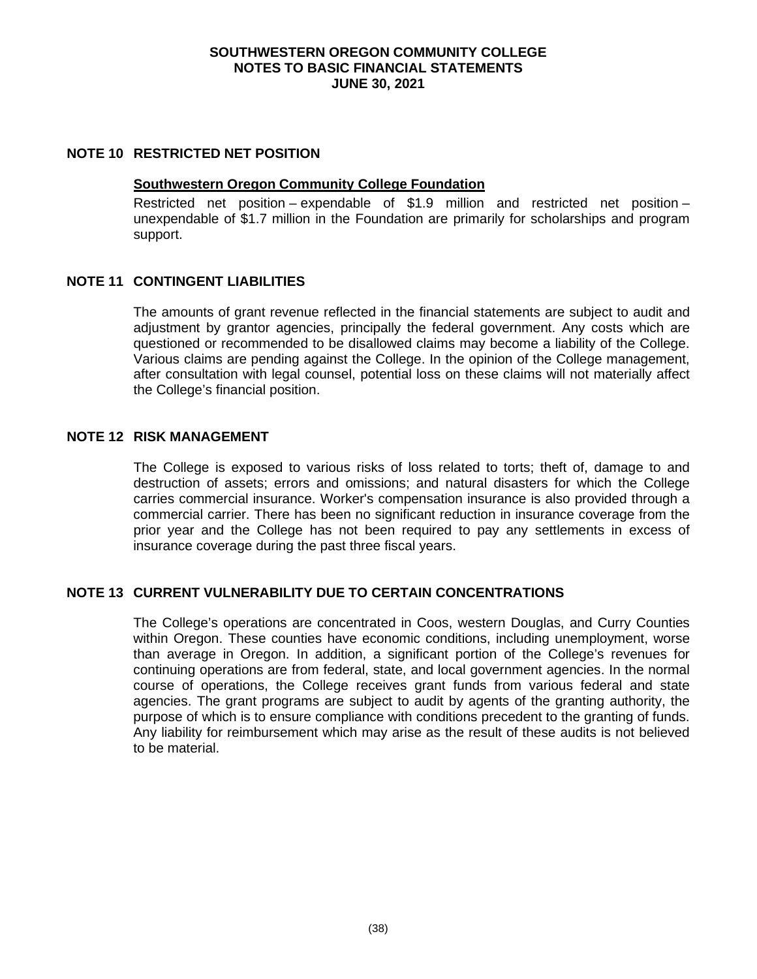#### **NOTE 10 RESTRICTED NET POSITION**

#### **Southwestern Oregon Community College Foundation**

Restricted net position – expendable of \$1.9 million and restricted net position – unexpendable of \$1.7 million in the Foundation are primarily for scholarships and program support.

#### **NOTE 11 CONTINGENT LIABILITIES**

The amounts of grant revenue reflected in the financial statements are subject to audit and adjustment by grantor agencies, principally the federal government. Any costs which are questioned or recommended to be disallowed claims may become a liability of the College. Various claims are pending against the College. In the opinion of the College management, after consultation with legal counsel, potential loss on these claims will not materially affect the College's financial position.

#### **NOTE 12 RISK MANAGEMENT**

The College is exposed to various risks of loss related to torts; theft of, damage to and destruction of assets; errors and omissions; and natural disasters for which the College carries commercial insurance. Worker's compensation insurance is also provided through a commercial carrier. There has been no significant reduction in insurance coverage from the prior year and the College has not been required to pay any settlements in excess of insurance coverage during the past three fiscal years.

## **NOTE 13 CURRENT VULNERABILITY DUE TO CERTAIN CONCENTRATIONS**

The College's operations are concentrated in Coos, western Douglas, and Curry Counties within Oregon. These counties have economic conditions, including unemployment, worse than average in Oregon. In addition, a significant portion of the College's revenues for continuing operations are from federal, state, and local government agencies. In the normal course of operations, the College receives grant funds from various federal and state agencies. The grant programs are subject to audit by agents of the granting authority, the purpose of which is to ensure compliance with conditions precedent to the granting of funds. Any liability for reimbursement which may arise as the result of these audits is not believed to be material.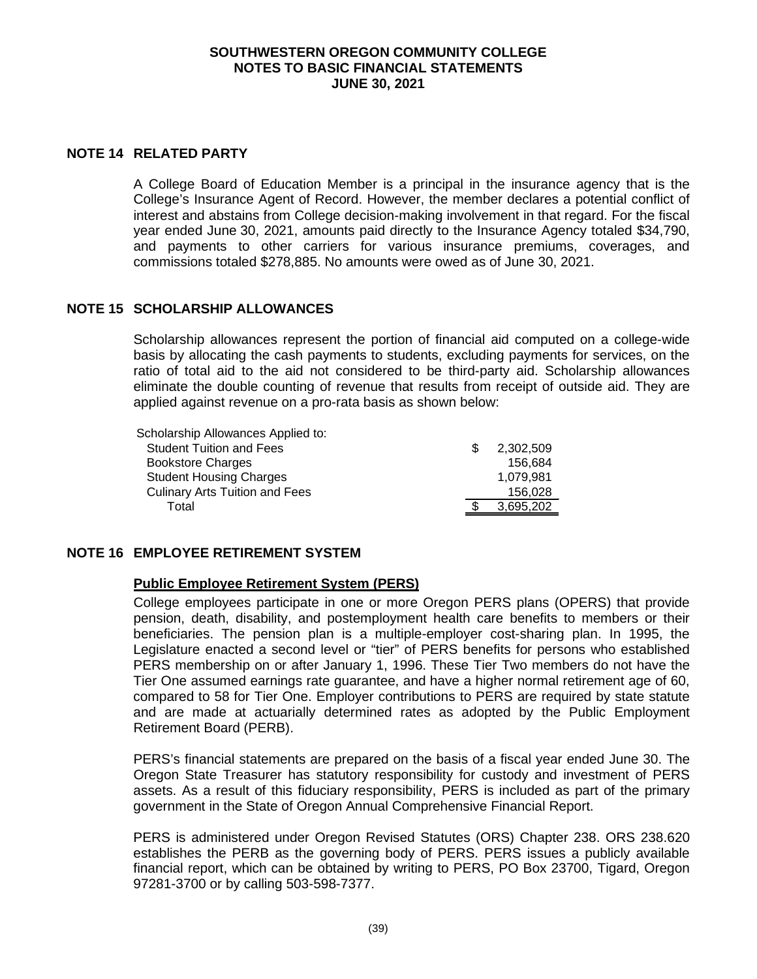#### **NOTE 14 RELATED PARTY**

A College Board of Education Member is a principal in the insurance agency that is the College's Insurance Agent of Record. However, the member declares a potential conflict of interest and abstains from College decision-making involvement in that regard. For the fiscal year ended June 30, 2021, amounts paid directly to the Insurance Agency totaled \$34,790, and payments to other carriers for various insurance premiums, coverages, and commissions totaled \$278,885. No amounts were owed as of June 30, 2021.

# **NOTE 15 SCHOLARSHIP ALLOWANCES**

Scholarship allowances represent the portion of financial aid computed on a college-wide basis by allocating the cash payments to students, excluding payments for services, on the ratio of total aid to the aid not considered to be third-party aid. Scholarship allowances eliminate the double counting of revenue that results from receipt of outside aid. They are applied against revenue on a pro-rata basis as shown below:

| Scholarship Allowances Applied to:    |           |
|---------------------------------------|-----------|
| <b>Student Tuition and Fees</b>       | 2,302,509 |
| <b>Bookstore Charges</b>              | 156.684   |
| <b>Student Housing Charges</b>        | 1,079,981 |
| <b>Culinary Arts Tuition and Fees</b> | 156,028   |
| Total                                 | 3.695.202 |

# **NOTE 16 EMPLOYEE RETIREMENT SYSTEM**

#### **Public Employee Retirement System (PERS)**

College employees participate in one or more Oregon PERS plans (OPERS) that provide pension, death, disability, and postemployment health care benefits to members or their beneficiaries. The pension plan is a multiple-employer cost-sharing plan. In 1995, the Legislature enacted a second level or "tier" of PERS benefits for persons who established PERS membership on or after January 1, 1996. These Tier Two members do not have the Tier One assumed earnings rate guarantee, and have a higher normal retirement age of 60, compared to 58 for Tier One. Employer contributions to PERS are required by state statute and are made at actuarially determined rates as adopted by the Public Employment Retirement Board (PERB).

PERS's financial statements are prepared on the basis of a fiscal year ended June 30. The Oregon State Treasurer has statutory responsibility for custody and investment of PERS assets. As a result of this fiduciary responsibility, PERS is included as part of the primary government in the State of Oregon Annual Comprehensive Financial Report.

PERS is administered under Oregon Revised Statutes (ORS) Chapter 238. ORS 238.620 establishes the PERB as the governing body of PERS. PERS issues a publicly available financial report, which can be obtained by writing to PERS, PO Box 23700, Tigard, Oregon 97281-3700 or by calling 503-598-7377.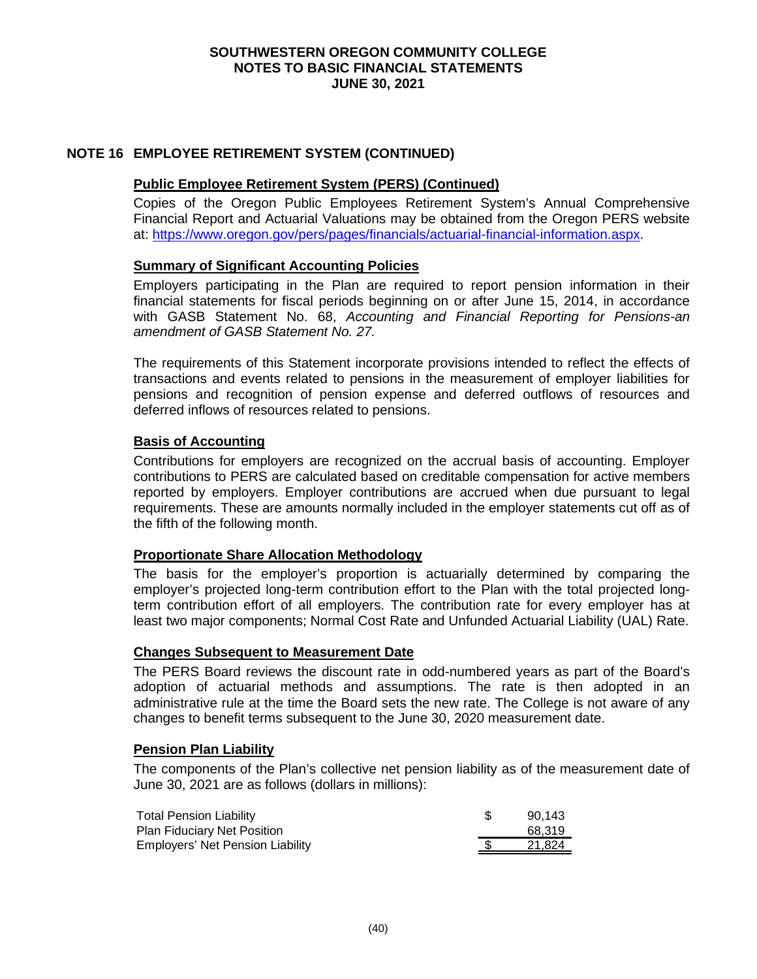## **NOTE 16 EMPLOYEE RETIREMENT SYSTEM (CONTINUED)**

#### **Public Employee Retirement System (PERS) (Continued)**

Copies of the Oregon Public Employees Retirement System's Annual Comprehensive Financial Report and Actuarial Valuations may be obtained from the Oregon PERS website at: [https://www.oregon.gov/pers/pages/financials/actuarial-financial-information.aspx.](https://www.oregon.gov/pers/pages/financials/actuarial-financial-information.aspx)

#### **Summary of Significant Accounting Policies**

Employers participating in the Plan are required to report pension information in their financial statements for fiscal periods beginning on or after June 15, 2014, in accordance with GASB Statement No. 68, *Accounting and Financial Reporting for Pensions-an amendment of GASB Statement No. 27.*

The requirements of this Statement incorporate provisions intended to reflect the effects of transactions and events related to pensions in the measurement of employer liabilities for pensions and recognition of pension expense and deferred outflows of resources and deferred inflows of resources related to pensions.

#### **Basis of Accounting**

Contributions for employers are recognized on the accrual basis of accounting. Employer contributions to PERS are calculated based on creditable compensation for active members reported by employers. Employer contributions are accrued when due pursuant to legal requirements. These are amounts normally included in the employer statements cut off as of the fifth of the following month.

#### **Proportionate Share Allocation Methodology**

The basis for the employer's proportion is actuarially determined by comparing the employer's projected long-term contribution effort to the Plan with the total projected longterm contribution effort of all employers. The contribution rate for every employer has at least two major components; Normal Cost Rate and Unfunded Actuarial Liability (UAL) Rate.

#### **Changes Subsequent to Measurement Date**

The PERS Board reviews the discount rate in odd-numbered years as part of the Board's adoption of actuarial methods and assumptions. The rate is then adopted in an administrative rule at the time the Board sets the new rate. The College is not aware of any changes to benefit terms subsequent to the June 30, 2020 measurement date.

#### **Pension Plan Liability**

The components of the Plan's collective net pension liability as of the measurement date of June 30, 2021 are as follows (dollars in millions):

| <b>Total Pension Liability</b>     | 90.143 |
|------------------------------------|--------|
| <b>Plan Fiduciary Net Position</b> | 68.319 |
| Employers' Net Pension Liability   | 21.824 |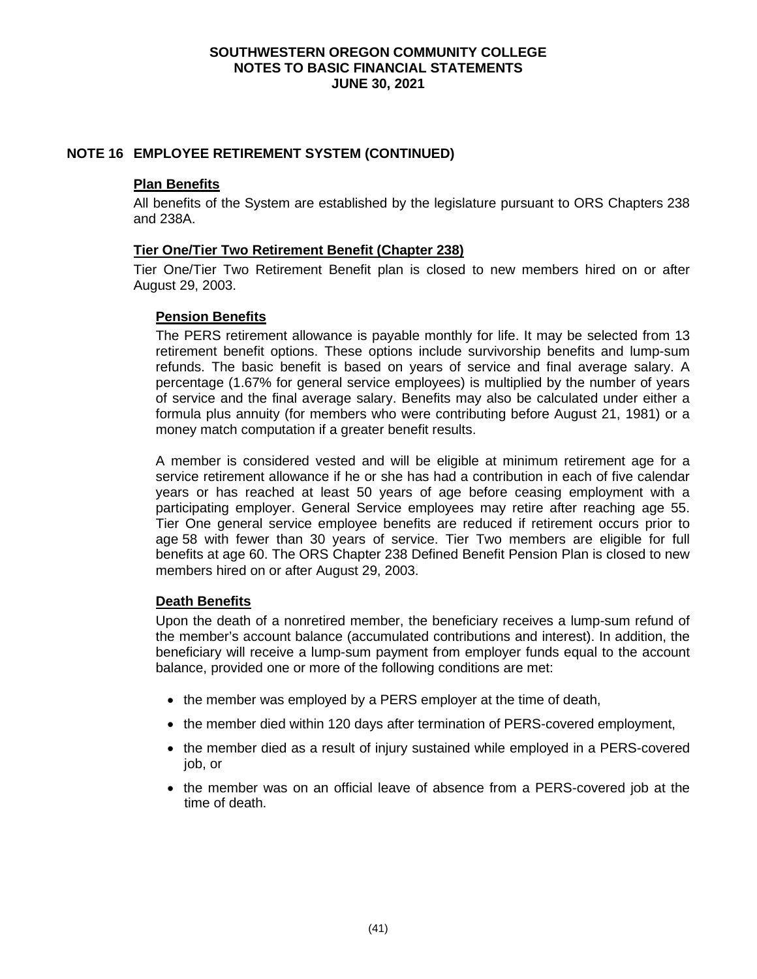## **NOTE 16 EMPLOYEE RETIREMENT SYSTEM (CONTINUED)**

## **Plan Benefits**

All benefits of the System are established by the legislature pursuant to ORS Chapters 238 and 238A.

## **Tier One/Tier Two Retirement Benefit (Chapter 238)**

Tier One/Tier Two Retirement Benefit plan is closed to new members hired on or after August 29, 2003.

## **Pension Benefits**

The PERS retirement allowance is payable monthly for life. It may be selected from 13 retirement benefit options. These options include survivorship benefits and lump-sum refunds. The basic benefit is based on years of service and final average salary. A percentage (1.67% for general service employees) is multiplied by the number of years of service and the final average salary. Benefits may also be calculated under either a formula plus annuity (for members who were contributing before August 21, 1981) or a money match computation if a greater benefit results.

A member is considered vested and will be eligible at minimum retirement age for a service retirement allowance if he or she has had a contribution in each of five calendar years or has reached at least 50 years of age before ceasing employment with a participating employer. General Service employees may retire after reaching age 55. Tier One general service employee benefits are reduced if retirement occurs prior to age 58 with fewer than 30 years of service. Tier Two members are eligible for full benefits at age 60. The ORS Chapter 238 Defined Benefit Pension Plan is closed to new members hired on or after August 29, 2003.

#### **Death Benefits**

Upon the death of a nonretired member, the beneficiary receives a lump-sum refund of the member's account balance (accumulated contributions and interest). In addition, the beneficiary will receive a lump-sum payment from employer funds equal to the account balance, provided one or more of the following conditions are met:

- the member was employed by a PERS employer at the time of death,
- the member died within 120 days after termination of PERS-covered employment,
- the member died as a result of injury sustained while employed in a PERS-covered job, or
- the member was on an official leave of absence from a PERS-covered job at the time of death.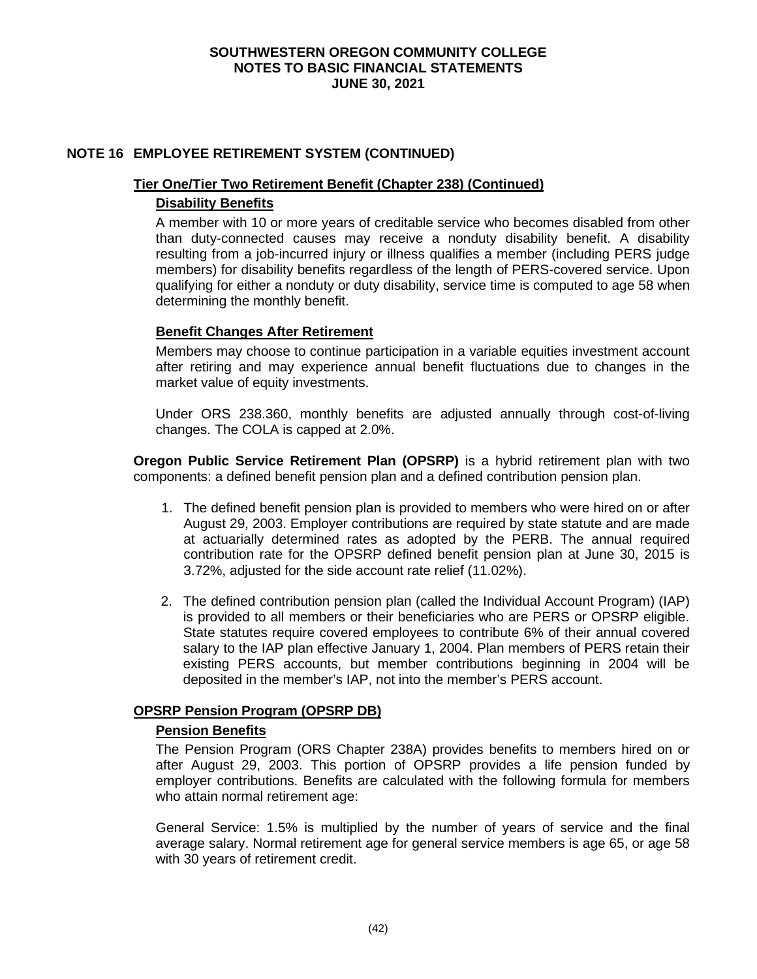## **NOTE 16 EMPLOYEE RETIREMENT SYSTEM (CONTINUED)**

#### **Tier One/Tier Two Retirement Benefit (Chapter 238) (Continued)**

#### **Disability Benefits**

A member with 10 or more years of creditable service who becomes disabled from other than duty-connected causes may receive a nonduty disability benefit. A disability resulting from a job-incurred injury or illness qualifies a member (including PERS judge members) for disability benefits regardless of the length of PERS-covered service. Upon qualifying for either a nonduty or duty disability, service time is computed to age 58 when determining the monthly benefit.

## **Benefit Changes After Retirement**

Members may choose to continue participation in a variable equities investment account after retiring and may experience annual benefit fluctuations due to changes in the market value of equity investments.

Under ORS 238.360, monthly benefits are adjusted annually through cost-of-living changes. The COLA is capped at 2.0%.

**Oregon Public Service Retirement Plan (OPSRP)** is a hybrid retirement plan with two components: a defined benefit pension plan and a defined contribution pension plan.

- 1. The defined benefit pension plan is provided to members who were hired on or after August 29, 2003. Employer contributions are required by state statute and are made at actuarially determined rates as adopted by the PERB. The annual required contribution rate for the OPSRP defined benefit pension plan at June 30, 2015 is 3.72%, adjusted for the side account rate relief (11.02%).
- 2. The defined contribution pension plan (called the Individual Account Program) (IAP) is provided to all members or their beneficiaries who are PERS or OPSRP eligible. State statutes require covered employees to contribute 6% of their annual covered salary to the IAP plan effective January 1, 2004. Plan members of PERS retain their existing PERS accounts, but member contributions beginning in 2004 will be deposited in the member's IAP, not into the member's PERS account.

#### **OPSRP Pension Program (OPSRP DB)**

#### **Pension Benefits**

The Pension Program (ORS Chapter 238A) provides benefits to members hired on or after August 29, 2003. This portion of OPSRP provides a life pension funded by employer contributions. Benefits are calculated with the following formula for members who attain normal retirement age:

General Service: 1.5% is multiplied by the number of years of service and the final average salary. Normal retirement age for general service members is age 65, or age 58 with 30 years of retirement credit.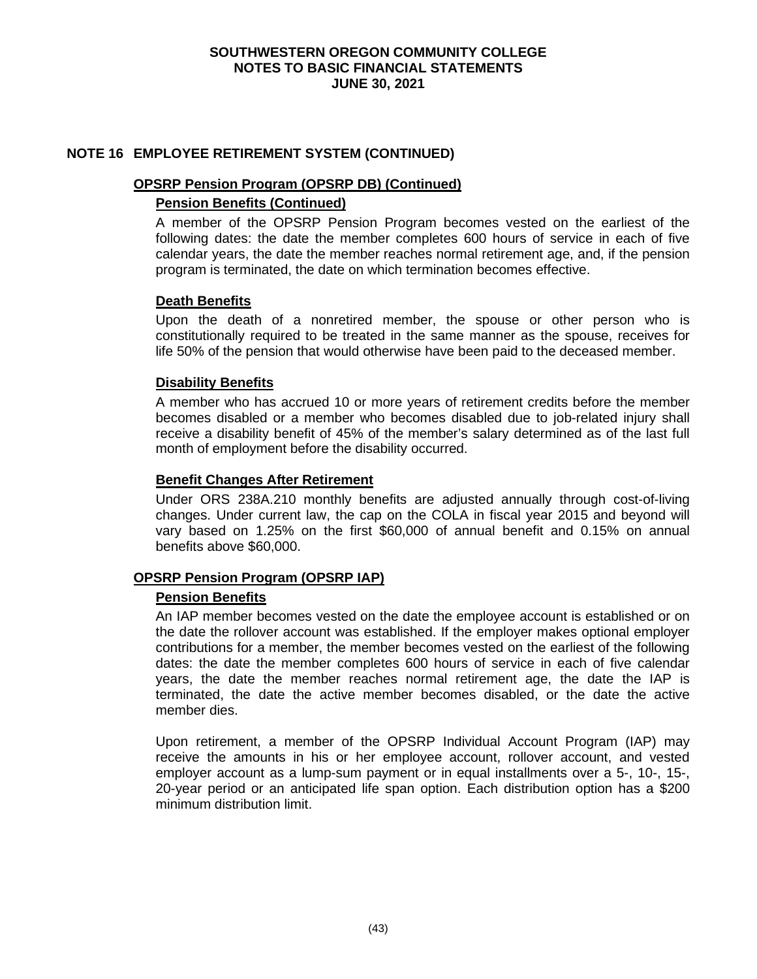## **NOTE 16 EMPLOYEE RETIREMENT SYSTEM (CONTINUED)**

#### **OPSRP Pension Program (OPSRP DB) (Continued)**

## **Pension Benefits (Continued)**

A member of the OPSRP Pension Program becomes vested on the earliest of the following dates: the date the member completes 600 hours of service in each of five calendar years, the date the member reaches normal retirement age, and, if the pension program is terminated, the date on which termination becomes effective.

## **Death Benefits**

Upon the death of a nonretired member, the spouse or other person who is constitutionally required to be treated in the same manner as the spouse, receives for life 50% of the pension that would otherwise have been paid to the deceased member.

## **Disability Benefits**

A member who has accrued 10 or more years of retirement credits before the member becomes disabled or a member who becomes disabled due to job-related injury shall receive a disability benefit of 45% of the member's salary determined as of the last full month of employment before the disability occurred.

#### **Benefit Changes After Retirement**

Under ORS 238A.210 monthly benefits are adjusted annually through cost-of-living changes. Under current law, the cap on the COLA in fiscal year 2015 and beyond will vary based on 1.25% on the first \$60,000 of annual benefit and 0.15% on annual benefits above \$60,000.

#### **OPSRP Pension Program (OPSRP IAP)**

#### **Pension Benefits**

An IAP member becomes vested on the date the employee account is established or on the date the rollover account was established. If the employer makes optional employer contributions for a member, the member becomes vested on the earliest of the following dates: the date the member completes 600 hours of service in each of five calendar years, the date the member reaches normal retirement age, the date the IAP is terminated, the date the active member becomes disabled, or the date the active member dies.

Upon retirement, a member of the OPSRP Individual Account Program (IAP) may receive the amounts in his or her employee account, rollover account, and vested employer account as a lump-sum payment or in equal installments over a 5-, 10-, 15-, 20-year period or an anticipated life span option. Each distribution option has a \$200 minimum distribution limit.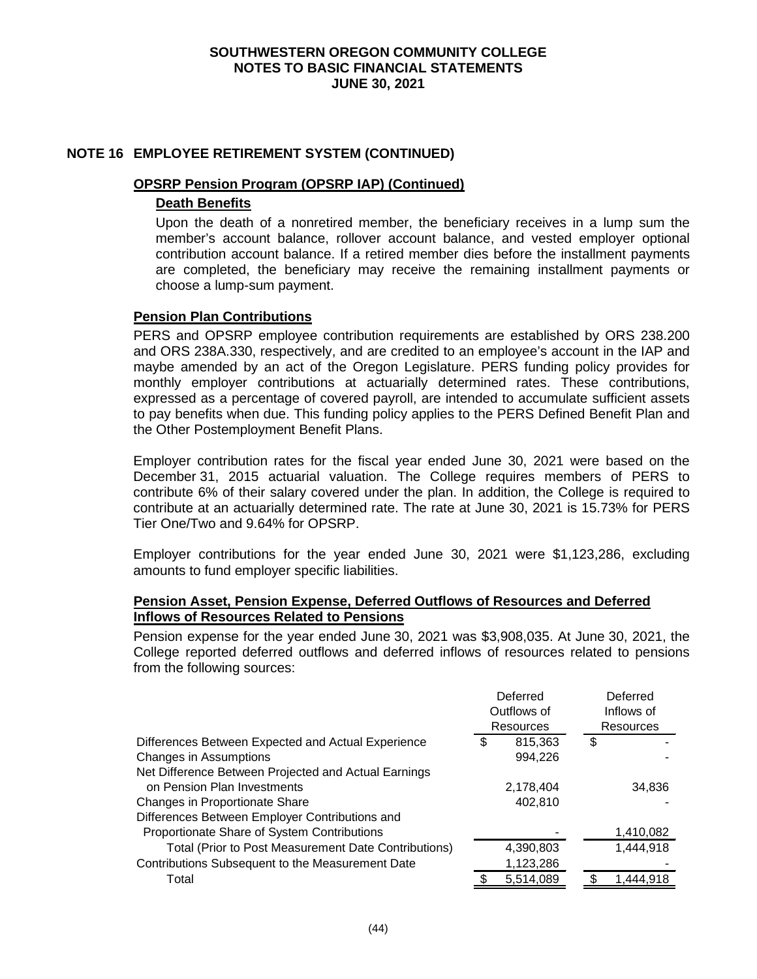## **NOTE 16 EMPLOYEE RETIREMENT SYSTEM (CONTINUED)**

#### **OPSRP Pension Program (OPSRP IAP) (Continued)**

## **Death Benefits**

Upon the death of a nonretired member, the beneficiary receives in a lump sum the member's account balance, rollover account balance, and vested employer optional contribution account balance. If a retired member dies before the installment payments are completed, the beneficiary may receive the remaining installment payments or choose a lump-sum payment.

## **Pension Plan Contributions**

PERS and OPSRP employee contribution requirements are established by ORS 238.200 and ORS 238A.330, respectively, and are credited to an employee's account in the IAP and maybe amended by an act of the Oregon Legislature. PERS funding policy provides for monthly employer contributions at actuarially determined rates. These contributions, expressed as a percentage of covered payroll, are intended to accumulate sufficient assets to pay benefits when due. This funding policy applies to the PERS Defined Benefit Plan and the Other Postemployment Benefit Plans.

Employer contribution rates for the fiscal year ended June 30, 2021 were based on the December 31, 2015 actuarial valuation. The College requires members of PERS to contribute 6% of their salary covered under the plan. In addition, the College is required to contribute at an actuarially determined rate. The rate at June 30, 2021 is 15.73% for PERS Tier One/Two and 9.64% for OPSRP.

Employer contributions for the year ended June 30, 2021 were \$1,123,286, excluding amounts to fund employer specific liabilities.

#### **Pension Asset, Pension Expense, Deferred Outflows of Resources and Deferred Inflows of Resources Related to Pensions**

Pension expense for the year ended June 30, 2021 was \$3,908,035. At June 30, 2021, the College reported deferred outflows and deferred inflows of resources related to pensions from the following sources:

|                                                      | Deferred<br>Outflows of<br><b>Resources</b> |           |   | Deferred<br>Inflows of |
|------------------------------------------------------|---------------------------------------------|-----------|---|------------------------|
|                                                      |                                             |           |   | Resources              |
| Differences Between Expected and Actual Experience   | \$                                          | 815,363   | S |                        |
| Changes in Assumptions                               |                                             | 994,226   |   |                        |
| Net Difference Between Projected and Actual Earnings |                                             |           |   |                        |
| on Pension Plan Investments                          |                                             | 2,178,404 |   | 34,836                 |
| Changes in Proportionate Share                       |                                             | 402.810   |   |                        |
| Differences Between Employer Contributions and       |                                             |           |   |                        |
| Proportionate Share of System Contributions          |                                             |           |   | 1,410,082              |
| Total (Prior to Post Measurement Date Contributions) |                                             | 4,390,803 |   | 1,444,918              |
| Contributions Subsequent to the Measurement Date     |                                             | 1,123,286 |   |                        |
| Total                                                |                                             | 5,514,089 |   | 1,444,918              |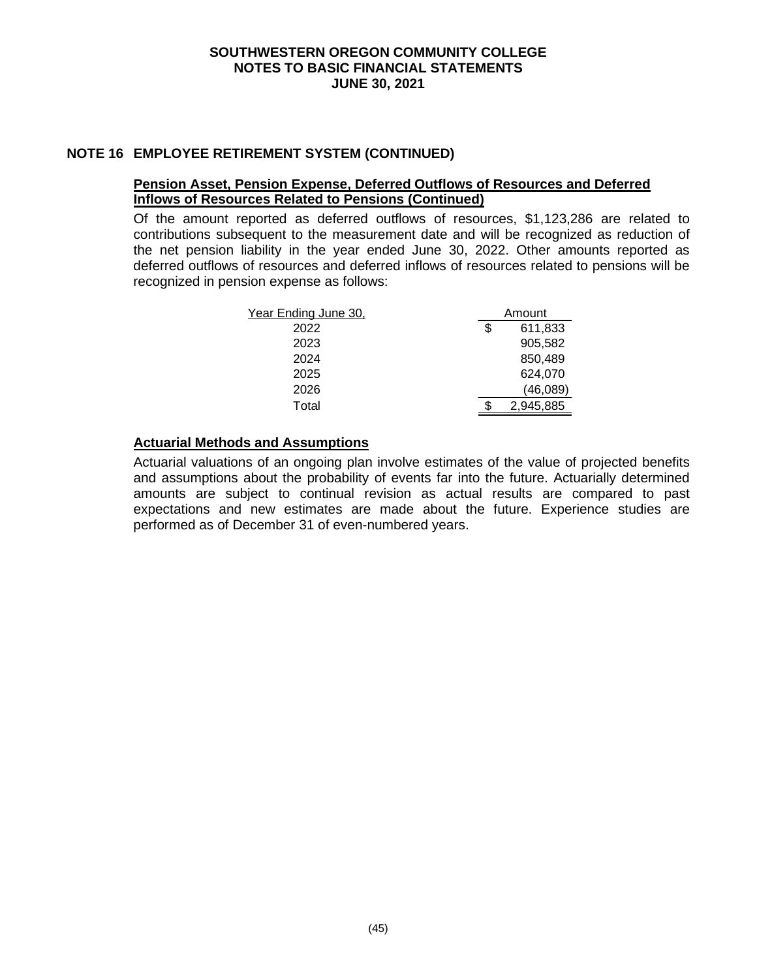# **NOTE 16 EMPLOYEE RETIREMENT SYSTEM (CONTINUED)**

## **Pension Asset, Pension Expense, Deferred Outflows of Resources and Deferred Inflows of Resources Related to Pensions (Continued)**

Of the amount reported as deferred outflows of resources, \$1,123,286 are related to contributions subsequent to the measurement date and will be recognized as reduction of the net pension liability in the year ended June 30, 2022. Other amounts reported as deferred outflows of resources and deferred inflows of resources related to pensions will be recognized in pension expense as follows:

| Year Ending June 30, | Amount        |
|----------------------|---------------|
| 2022                 | \$<br>611,833 |
| 2023                 | 905,582       |
| 2024                 | 850,489       |
| 2025                 | 624,070       |
| 2026                 | (46,089)      |
| Total                | 2,945,885     |

# **Actuarial Methods and Assumptions**

Actuarial valuations of an ongoing plan involve estimates of the value of projected benefits and assumptions about the probability of events far into the future. Actuarially determined amounts are subject to continual revision as actual results are compared to past expectations and new estimates are made about the future. Experience studies are performed as of December 31 of even-numbered years.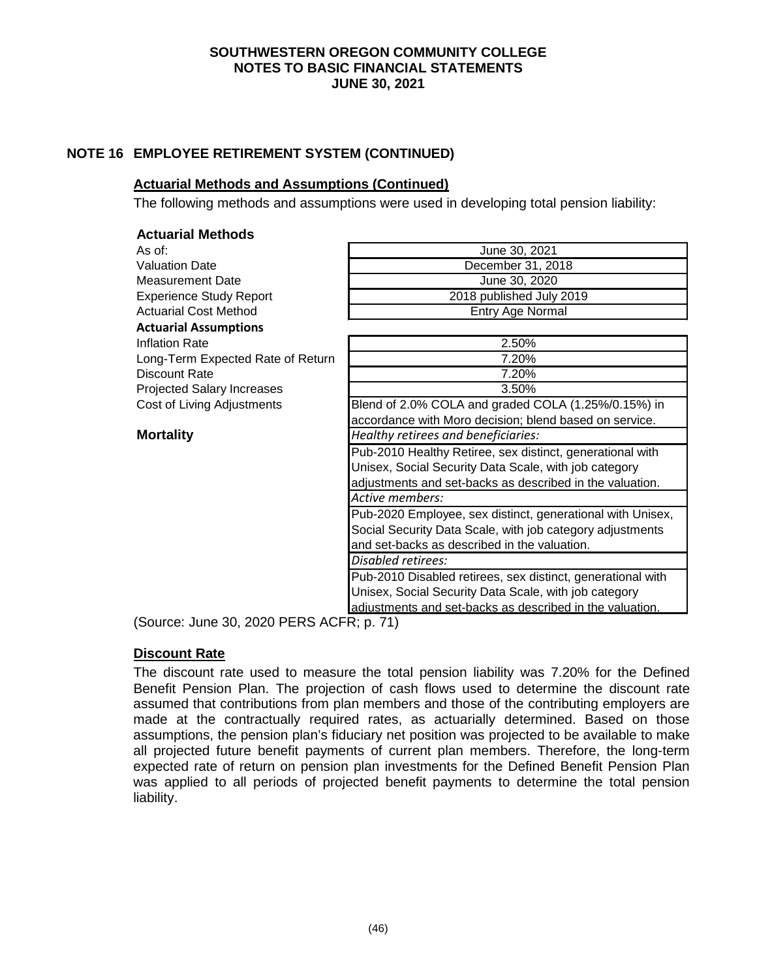# **NOTE 16 EMPLOYEE RETIREMENT SYSTEM (CONTINUED)**

## **Actuarial Methods and Assumptions (Continued)**

The following methods and assumptions were used in developing total pension liability:

| <b>Actuarial Methods</b>          |                                                             |
|-----------------------------------|-------------------------------------------------------------|
| As of:                            | June 30, 2021                                               |
| <b>Valuation Date</b>             | December 31, 2018                                           |
| <b>Measurement Date</b>           | June 30, 2020                                               |
| <b>Experience Study Report</b>    | 2018 published July 2019                                    |
| <b>Actuarial Cost Method</b>      | Entry Age Normal                                            |
| <b>Actuarial Assumptions</b>      |                                                             |
| <b>Inflation Rate</b>             | 2.50%                                                       |
| Long-Term Expected Rate of Return | 7.20%                                                       |
| Discount Rate                     | 7.20%                                                       |
| Projected Salary Increases        | 3.50%                                                       |
| Cost of Living Adjustments        | Blend of 2.0% COLA and graded COLA (1.25%/0.15%) in         |
|                                   | accordance with Moro decision; blend based on service.      |
| <b>Mortality</b>                  | Healthy retirees and beneficiaries:                         |
|                                   | Pub-2010 Healthy Retiree, sex distinct, generational with   |
|                                   | Unisex, Social Security Data Scale, with job category       |
|                                   | adjustments and set-backs as described in the valuation.    |
|                                   | Active members:                                             |
|                                   | Pub-2020 Employee, sex distinct, generational with Unisex,  |
|                                   | Social Security Data Scale, with job category adjustments   |
|                                   | and set-backs as described in the valuation.                |
|                                   | Disabled retirees:                                          |
|                                   | Pub-2010 Disabled retirees, sex distinct, generational with |
|                                   | Unisex, Social Security Data Scale, with job category       |
|                                   | adjustments and set-backs as described in the valuation.    |

(Source: June 30, 2020 PERS ACFR; p. 71)

#### **Discount Rate**

The discount rate used to measure the total pension liability was 7.20% for the Defined Benefit Pension Plan. The projection of cash flows used to determine the discount rate assumed that contributions from plan members and those of the contributing employers are made at the contractually required rates, as actuarially determined. Based on those assumptions, the pension plan's fiduciary net position was projected to be available to make all projected future benefit payments of current plan members. Therefore, the long-term expected rate of return on pension plan investments for the Defined Benefit Pension Plan was applied to all periods of projected benefit payments to determine the total pension liability.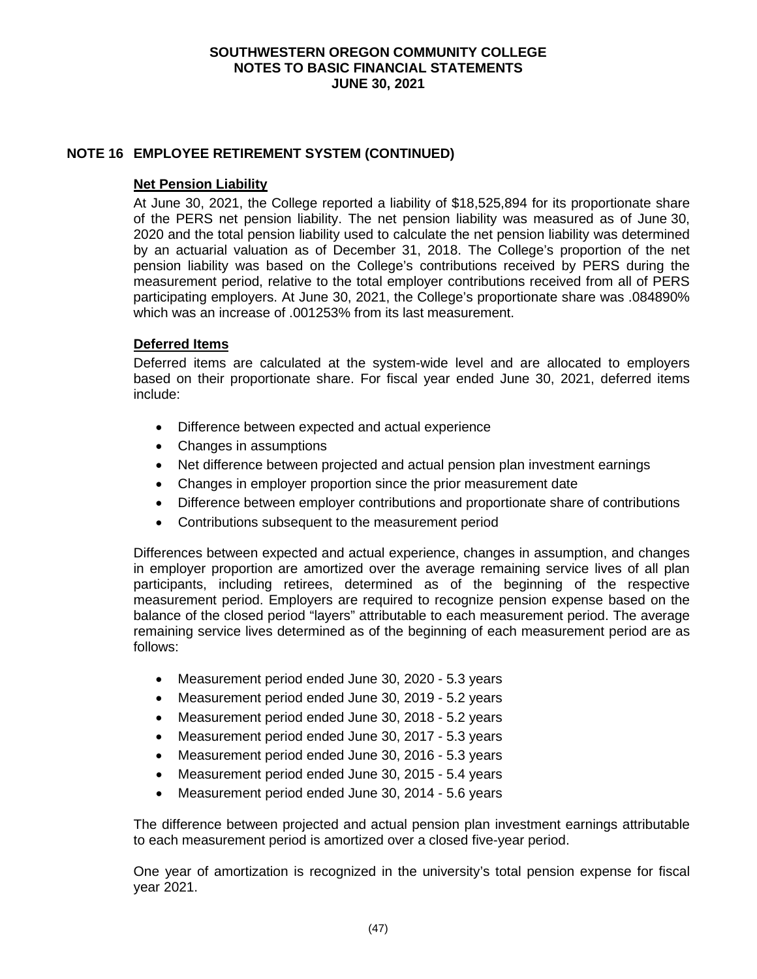## **NOTE 16 EMPLOYEE RETIREMENT SYSTEM (CONTINUED)**

#### **Net Pension Liability**

At June 30, 2021, the College reported a liability of \$18,525,894 for its proportionate share of the PERS net pension liability. The net pension liability was measured as of June 30, 2020 and the total pension liability used to calculate the net pension liability was determined by an actuarial valuation as of December 31, 2018. The College's proportion of the net pension liability was based on the College's contributions received by PERS during the measurement period, relative to the total employer contributions received from all of PERS participating employers. At June 30, 2021, the College's proportionate share was .084890% which was an increase of .001253% from its last measurement.

## **Deferred Items**

Deferred items are calculated at the system-wide level and are allocated to employers based on their proportionate share. For fiscal year ended June 30, 2021, deferred items include:

- Difference between expected and actual experience
- Changes in assumptions
- Net difference between projected and actual pension plan investment earnings
- Changes in employer proportion since the prior measurement date
- Difference between employer contributions and proportionate share of contributions
- Contributions subsequent to the measurement period

Differences between expected and actual experience, changes in assumption, and changes in employer proportion are amortized over the average remaining service lives of all plan participants, including retirees, determined as of the beginning of the respective measurement period. Employers are required to recognize pension expense based on the balance of the closed period "layers" attributable to each measurement period. The average remaining service lives determined as of the beginning of each measurement period are as follows:

- Measurement period ended June 30, 2020 5.3 years
- Measurement period ended June 30, 2019 5.2 years
- Measurement period ended June 30, 2018 5.2 years
- Measurement period ended June 30, 2017 5.3 years
- Measurement period ended June 30, 2016 5.3 years
- Measurement period ended June 30, 2015 5.4 years
- Measurement period ended June 30, 2014 5.6 years

The difference between projected and actual pension plan investment earnings attributable to each measurement period is amortized over a closed five-year period.

One year of amortization is recognized in the university's total pension expense for fiscal year 2021.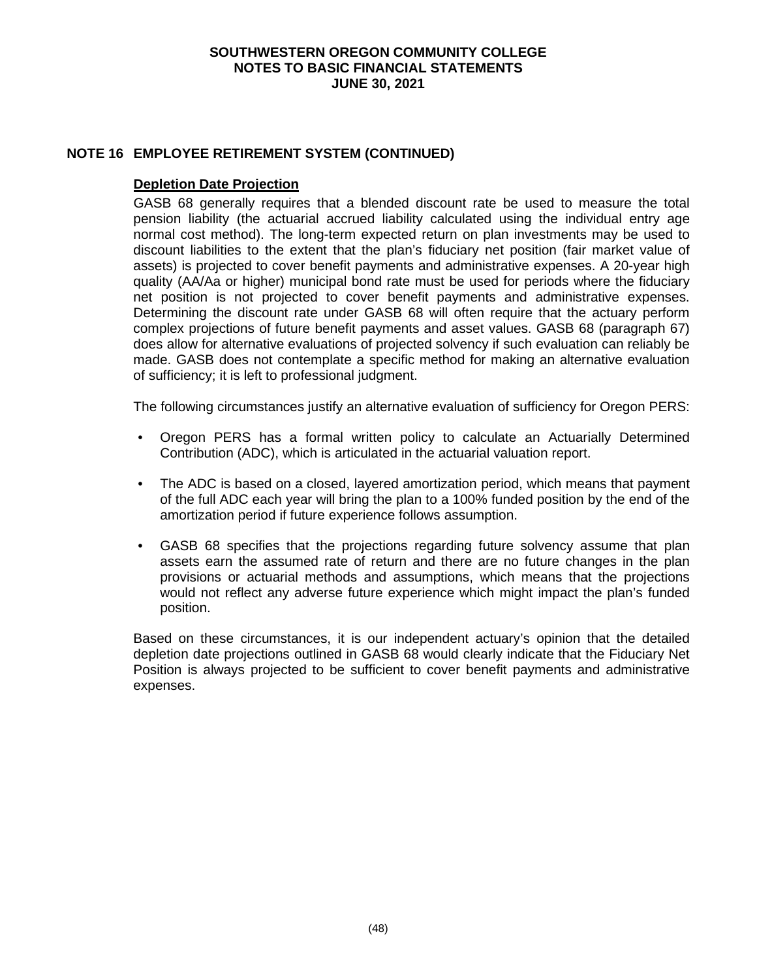## **NOTE 16 EMPLOYEE RETIREMENT SYSTEM (CONTINUED)**

#### **Depletion Date Projection**

GASB 68 generally requires that a blended discount rate be used to measure the total pension liability (the actuarial accrued liability calculated using the individual entry age normal cost method). The long-term expected return on plan investments may be used to discount liabilities to the extent that the plan's fiduciary net position (fair market value of assets) is projected to cover benefit payments and administrative expenses. A 20-year high quality (AA/Aa or higher) municipal bond rate must be used for periods where the fiduciary net position is not projected to cover benefit payments and administrative expenses. Determining the discount rate under GASB 68 will often require that the actuary perform complex projections of future benefit payments and asset values. GASB 68 (paragraph 67) does allow for alternative evaluations of projected solvency if such evaluation can reliably be made. GASB does not contemplate a specific method for making an alternative evaluation of sufficiency; it is left to professional judgment.

The following circumstances justify an alternative evaluation of sufficiency for Oregon PERS:

- Oregon PERS has a formal written policy to calculate an Actuarially Determined Contribution (ADC), which is articulated in the actuarial valuation report.
- The ADC is based on a closed, layered amortization period, which means that payment of the full ADC each year will bring the plan to a 100% funded position by the end of the amortization period if future experience follows assumption.
- GASB 68 specifies that the projections regarding future solvency assume that plan assets earn the assumed rate of return and there are no future changes in the plan provisions or actuarial methods and assumptions, which means that the projections would not reflect any adverse future experience which might impact the plan's funded position.

Based on these circumstances, it is our independent actuary's opinion that the detailed depletion date projections outlined in GASB 68 would clearly indicate that the Fiduciary Net Position is always projected to be sufficient to cover benefit payments and administrative expenses.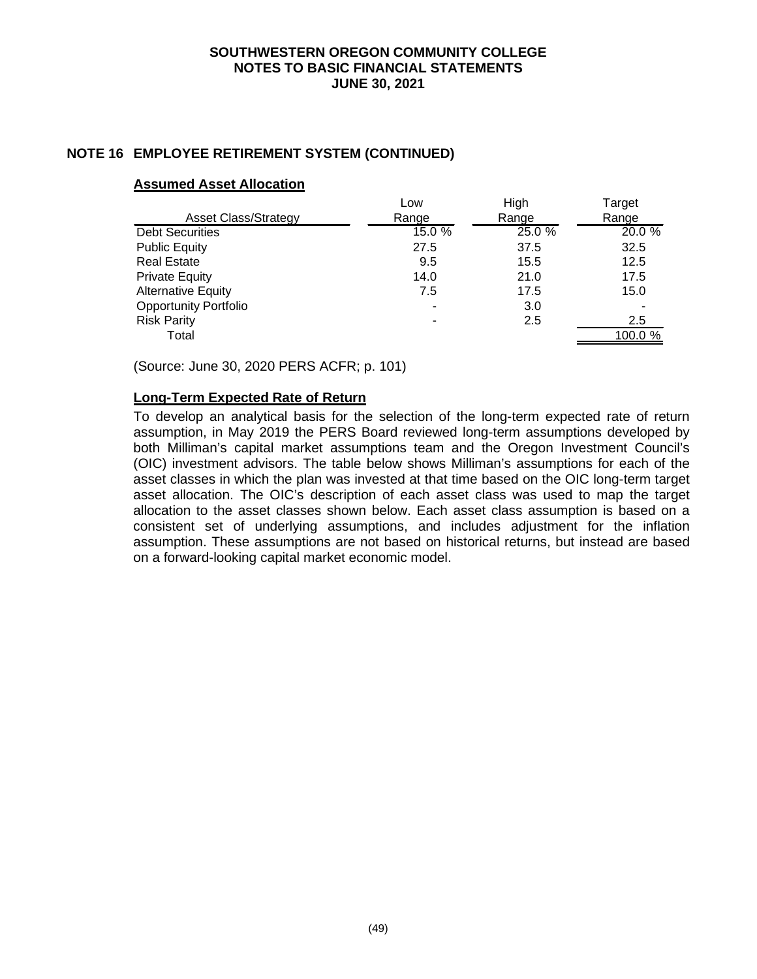## **NOTE 16 EMPLOYEE RETIREMENT SYSTEM (CONTINUED)**

#### **Assumed Asset Allocation**

|                              | Low                      | High   | Target  |
|------------------------------|--------------------------|--------|---------|
| <b>Asset Class/Strategy</b>  | Range                    | Range  | Range   |
| <b>Debt Securities</b>       | 15.0 %                   | 25.0 % | 20.0 %  |
| <b>Public Equity</b>         | 27.5                     | 37.5   | 32.5    |
| <b>Real Estate</b>           | 9.5                      | 15.5   | 12.5    |
| <b>Private Equity</b>        | 14.0                     | 21.0   | 17.5    |
| <b>Alternative Equity</b>    | 7.5                      | 17.5   | 15.0    |
| <b>Opportunity Portfolio</b> | ٠                        | 3.0    |         |
| <b>Risk Parity</b>           | $\overline{\phantom{a}}$ | 2.5    | 2.5     |
| Total                        |                          |        | 100.0 % |

(Source: June 30, 2020 PERS ACFR; p. 101)

#### **Long-Term Expected Rate of Return**

To develop an analytical basis for the selection of the long-term expected rate of return assumption, in May 2019 the PERS Board reviewed long-term assumptions developed by both Milliman's capital market assumptions team and the Oregon Investment Council's (OIC) investment advisors. The table below shows Milliman's assumptions for each of the asset classes in which the plan was invested at that time based on the OIC long-term target asset allocation. The OIC's description of each asset class was used to map the target allocation to the asset classes shown below. Each asset class assumption is based on a consistent set of underlying assumptions, and includes adjustment for the inflation assumption. These assumptions are not based on historical returns, but instead are based on a forward-looking capital market economic model.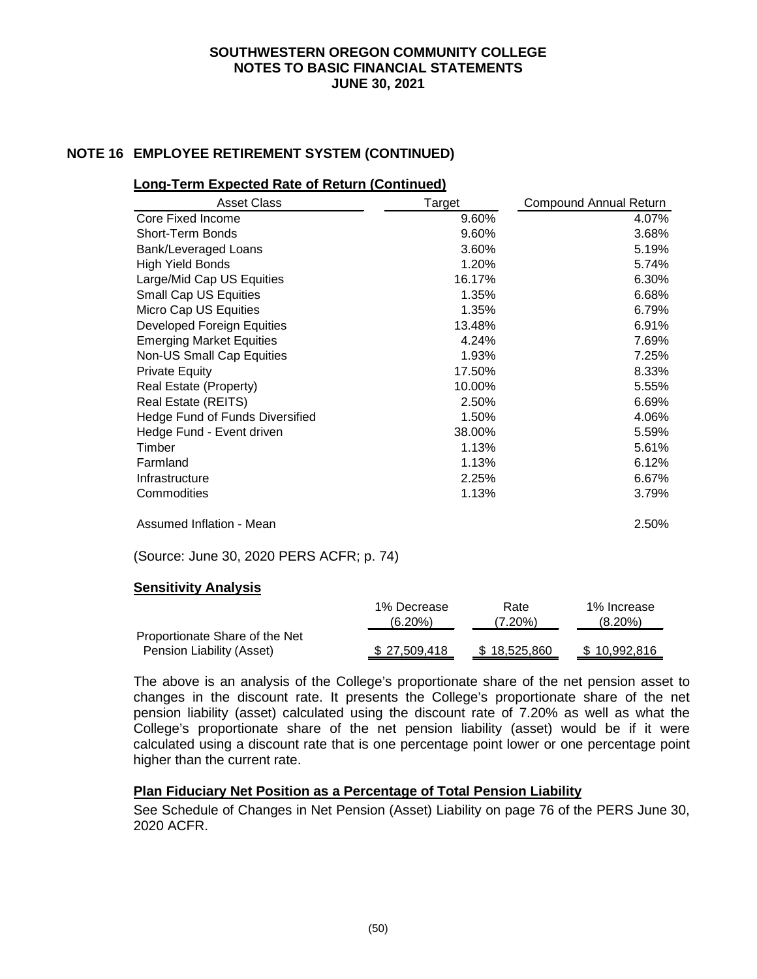## **NOTE 16 EMPLOYEE RETIREMENT SYSTEM (CONTINUED)**

#### **Long-Term Expected Rate of Return (Continued)**

| <b>Asset Class</b>                     | Target | <b>Compound Annual Return</b> |
|----------------------------------------|--------|-------------------------------|
| Core Fixed Income                      | 9.60%  | 4.07%                         |
| <b>Short-Term Bonds</b>                | 9.60%  | 3.68%                         |
| Bank/Leveraged Loans                   | 3.60%  | 5.19%                         |
| <b>High Yield Bonds</b>                | 1.20%  | 5.74%                         |
| Large/Mid Cap US Equities              | 16.17% | 6.30%                         |
| <b>Small Cap US Equities</b>           | 1.35%  | 6.68%                         |
| Micro Cap US Equities                  | 1.35%  | 6.79%                         |
| Developed Foreign Equities             | 13.48% | 6.91%                         |
| <b>Emerging Market Equities</b>        | 4.24%  | 7.69%                         |
| Non-US Small Cap Equities              | 1.93%  | 7.25%                         |
| <b>Private Equity</b>                  | 17.50% | 8.33%                         |
| Real Estate (Property)                 | 10.00% | 5.55%                         |
| Real Estate (REITS)                    | 2.50%  | 6.69%                         |
| <b>Hedge Fund of Funds Diversified</b> | 1.50%  | 4.06%                         |
| Hedge Fund - Event driven              | 38.00% | 5.59%                         |
| Timber                                 | 1.13%  | 5.61%                         |
| Farmland                               | 1.13%  | 6.12%                         |
| Infrastructure                         | 2.25%  | 6.67%                         |
| Commodities                            | 1.13%  | 3.79%                         |
| Assumed Inflation - Mean               |        | 2.50%                         |

(Source: June 30, 2020 PERS ACFR; p. 74)

#### **Sensitivity Analysis**

|                                                             | 1% Decrease  | Rate         | 1% Increase  |
|-------------------------------------------------------------|--------------|--------------|--------------|
|                                                             | $(6.20\%)$   | $(7.20\%)$   | (8.20%)      |
| Proportionate Share of the Net<br>Pension Liability (Asset) | \$27.509.418 | \$18,525,860 | \$10.992.816 |

The above is an analysis of the College's proportionate share of the net pension asset to changes in the discount rate. It presents the College's proportionate share of the net pension liability (asset) calculated using the discount rate of 7.20% as well as what the College's proportionate share of the net pension liability (asset) would be if it were calculated using a discount rate that is one percentage point lower or one percentage point higher than the current rate.

# **Plan Fiduciary Net Position as a Percentage of Total Pension Liability**

See Schedule of Changes in Net Pension (Asset) Liability on page 76 of the PERS June 30, 2020 ACFR.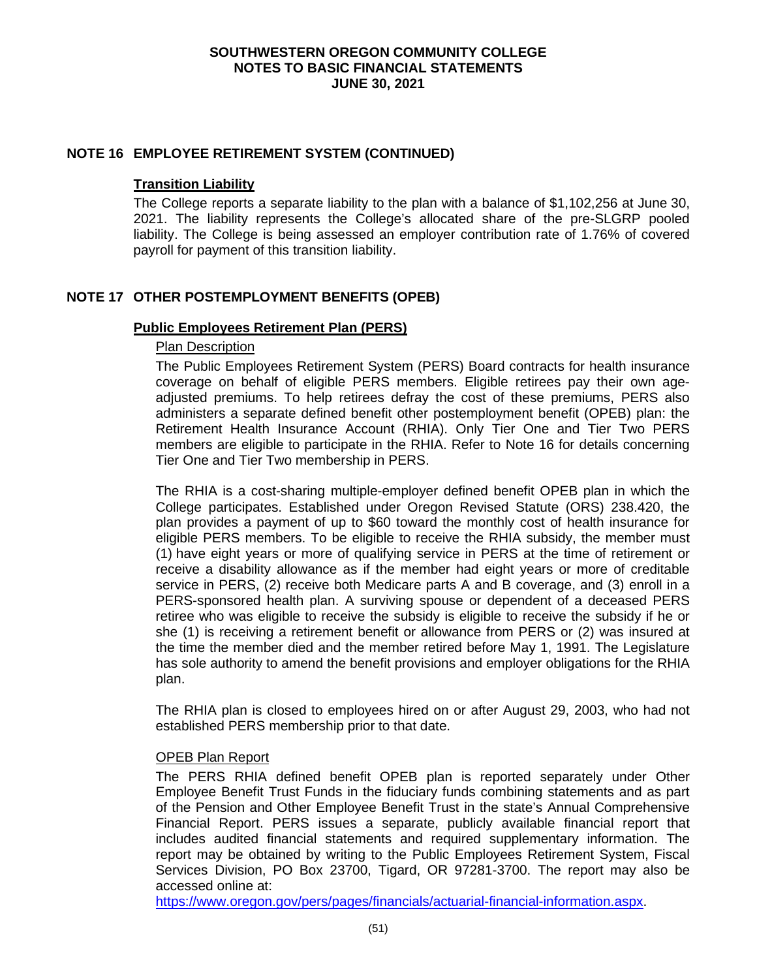#### **NOTE 16 EMPLOYEE RETIREMENT SYSTEM (CONTINUED)**

#### **Transition Liability**

The College reports a separate liability to the plan with a balance of \$1,102,256 at June 30, 2021. The liability represents the College's allocated share of the pre-SLGRP pooled liability. The College is being assessed an employer contribution rate of 1.76% of covered payroll for payment of this transition liability.

# **NOTE 17 OTHER POSTEMPLOYMENT BENEFITS (OPEB)**

## **Public Employees Retirement Plan (PERS)**

## Plan Description

The Public Employees Retirement System (PERS) Board contracts for health insurance coverage on behalf of eligible PERS members. Eligible retirees pay their own ageadjusted premiums. To help retirees defray the cost of these premiums, PERS also administers a separate defined benefit other postemployment benefit (OPEB) plan: the Retirement Health Insurance Account (RHIA). Only Tier One and Tier Two PERS members are eligible to participate in the RHIA. Refer to Note 16 for details concerning Tier One and Tier Two membership in PERS.

The RHIA is a cost-sharing multiple-employer defined benefit OPEB plan in which the College participates. Established under Oregon Revised Statute (ORS) 238.420, the plan provides a payment of up to \$60 toward the monthly cost of health insurance for eligible PERS members. To be eligible to receive the RHIA subsidy, the member must (1) have eight years or more of qualifying service in PERS at the time of retirement or receive a disability allowance as if the member had eight years or more of creditable service in PERS, (2) receive both Medicare parts A and B coverage, and (3) enroll in a PERS-sponsored health plan. A surviving spouse or dependent of a deceased PERS retiree who was eligible to receive the subsidy is eligible to receive the subsidy if he or she (1) is receiving a retirement benefit or allowance from PERS or (2) was insured at the time the member died and the member retired before May 1, 1991. The Legislature has sole authority to amend the benefit provisions and employer obligations for the RHIA plan.

The RHIA plan is closed to employees hired on or after August 29, 2003, who had not established PERS membership prior to that date.

#### OPEB Plan Report

The PERS RHIA defined benefit OPEB plan is reported separately under Other Employee Benefit Trust Funds in the fiduciary funds combining statements and as part of the Pension and Other Employee Benefit Trust in the state's Annual Comprehensive Financial Report. PERS issues a separate, publicly available financial report that includes audited financial statements and required supplementary information. The report may be obtained by writing to the Public Employees Retirement System, Fiscal Services Division, PO Box 23700, Tigard, OR 97281-3700. The report may also be accessed online at:

[https://www.oregon.gov/pers/pages/financials/actuarial-financial-information.aspx.](https://www.oregon.gov/pers/pages/financials/actuarial-financial-information.aspx)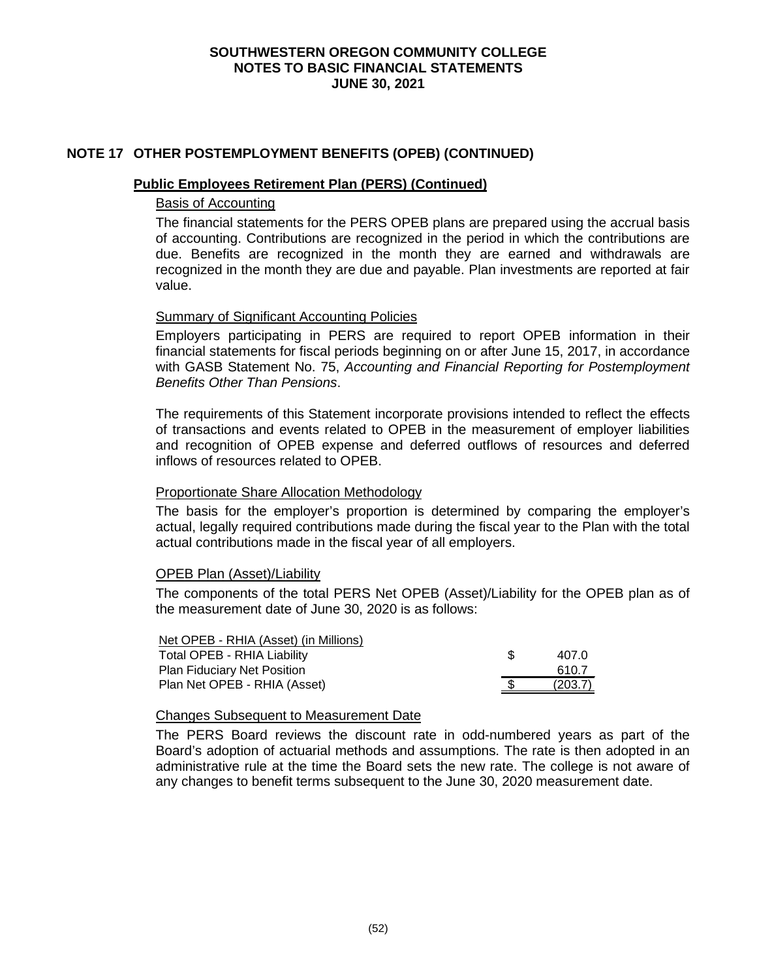## **NOTE 17 OTHER POSTEMPLOYMENT BENEFITS (OPEB) (CONTINUED)**

#### **Public Employees Retirement Plan (PERS) (Continued)**

#### Basis of Accounting

The financial statements for the PERS OPEB plans are prepared using the accrual basis of accounting. Contributions are recognized in the period in which the contributions are due. Benefits are recognized in the month they are earned and withdrawals are recognized in the month they are due and payable. Plan investments are reported at fair value.

#### Summary of Significant Accounting Policies

Employers participating in PERS are required to report OPEB information in their financial statements for fiscal periods beginning on or after June 15, 2017, in accordance with GASB Statement No. 75, *Accounting and Financial Reporting for Postemployment Benefits Other Than Pensions*.

The requirements of this Statement incorporate provisions intended to reflect the effects of transactions and events related to OPEB in the measurement of employer liabilities and recognition of OPEB expense and deferred outflows of resources and deferred inflows of resources related to OPEB.

#### Proportionate Share Allocation Methodology

The basis for the employer's proportion is determined by comparing the employer's actual, legally required contributions made during the fiscal year to the Plan with the total actual contributions made in the fiscal year of all employers.

#### OPEB Plan (Asset)/Liability

The components of the total PERS Net OPEB (Asset)/Liability for the OPEB plan as of the measurement date of June 30, 2020 is as follows:

| Net OPEB - RHIA (Asset) (in Millions) |      |         |
|---------------------------------------|------|---------|
| <b>Total OPEB - RHIA Liability</b>    |      | 407.0   |
| <b>Plan Fiduciary Net Position</b>    |      | 610.7   |
| Plan Net OPEB - RHIA (Asset)          | - SS | (203.7) |

#### Changes Subsequent to Measurement Date

The PERS Board reviews the discount rate in odd-numbered years as part of the Board's adoption of actuarial methods and assumptions. The rate is then adopted in an administrative rule at the time the Board sets the new rate. The college is not aware of any changes to benefit terms subsequent to the June 30, 2020 measurement date.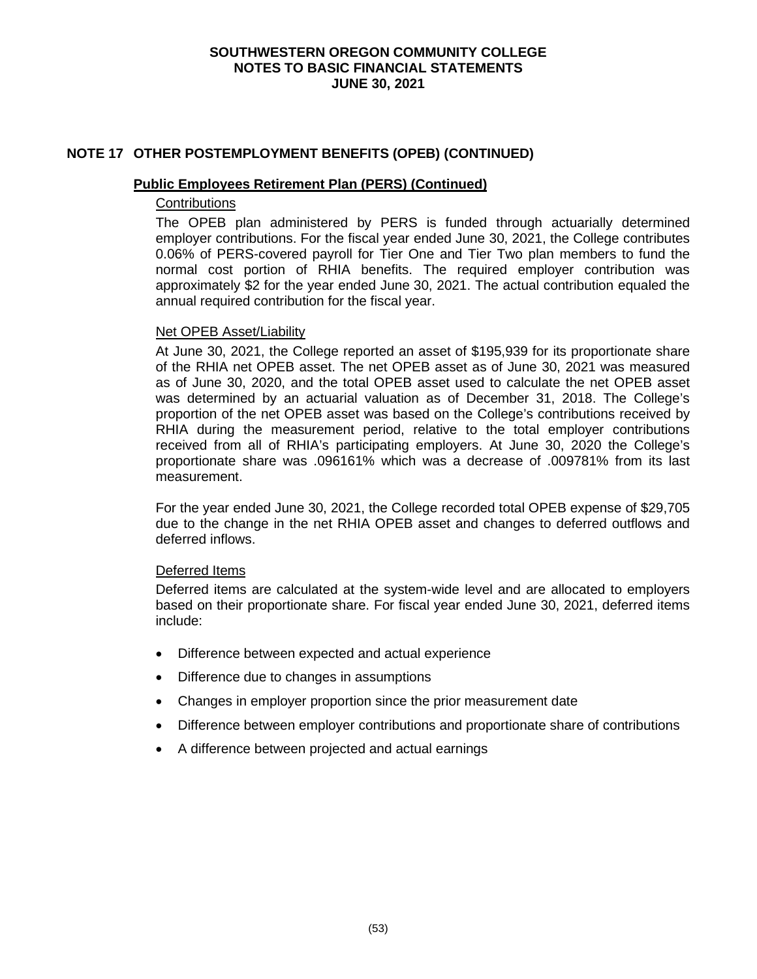## **NOTE 17 OTHER POSTEMPLOYMENT BENEFITS (OPEB) (CONTINUED)**

#### **Public Employees Retirement Plan (PERS) (Continued)**

# **Contributions**

The OPEB plan administered by PERS is funded through actuarially determined employer contributions. For the fiscal year ended June 30, 2021, the College contributes 0.06% of PERS-covered payroll for Tier One and Tier Two plan members to fund the normal cost portion of RHIA benefits. The required employer contribution was approximately \$2 for the year ended June 30, 2021. The actual contribution equaled the annual required contribution for the fiscal year.

#### Net OPEB Asset/Liability

At June 30, 2021, the College reported an asset of \$195,939 for its proportionate share of the RHIA net OPEB asset. The net OPEB asset as of June 30, 2021 was measured as of June 30, 2020, and the total OPEB asset used to calculate the net OPEB asset was determined by an actuarial valuation as of December 31, 2018. The College's proportion of the net OPEB asset was based on the College's contributions received by RHIA during the measurement period, relative to the total employer contributions received from all of RHIA's participating employers. At June 30, 2020 the College's proportionate share was .096161% which was a decrease of .009781% from its last measurement.

For the year ended June 30, 2021, the College recorded total OPEB expense of \$29,705 due to the change in the net RHIA OPEB asset and changes to deferred outflows and deferred inflows.

#### Deferred Items

Deferred items are calculated at the system-wide level and are allocated to employers based on their proportionate share. For fiscal year ended June 30, 2021, deferred items include:

- Difference between expected and actual experience
- Difference due to changes in assumptions
- Changes in employer proportion since the prior measurement date
- Difference between employer contributions and proportionate share of contributions
- A difference between projected and actual earnings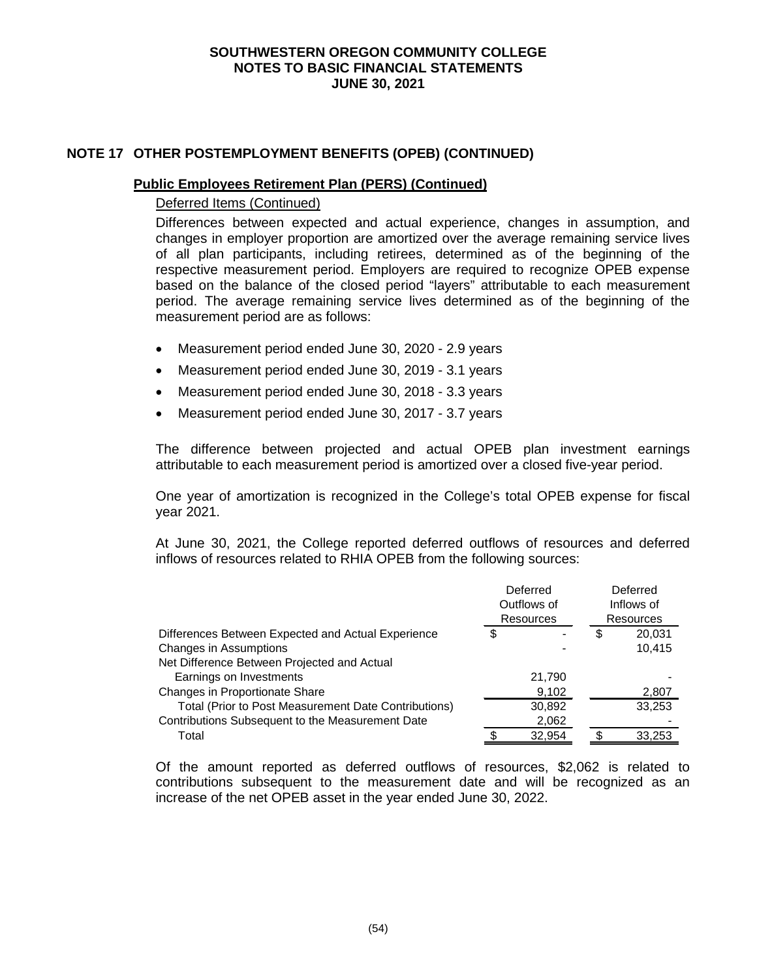## **NOTE 17 OTHER POSTEMPLOYMENT BENEFITS (OPEB) (CONTINUED)**

#### **Public Employees Retirement Plan (PERS) (Continued)**

#### Deferred Items (Continued)

Differences between expected and actual experience, changes in assumption, and changes in employer proportion are amortized over the average remaining service lives of all plan participants, including retirees, determined as of the beginning of the respective measurement period. Employers are required to recognize OPEB expense based on the balance of the closed period "layers" attributable to each measurement period. The average remaining service lives determined as of the beginning of the measurement period are as follows:

- Measurement period ended June 30, 2020 2.9 years
- Measurement period ended June 30, 2019 3.1 years
- Measurement period ended June 30, 2018 3.3 years
- Measurement period ended June 30, 2017 3.7 years

The difference between projected and actual OPEB plan investment earnings attributable to each measurement period is amortized over a closed five-year period.

One year of amortization is recognized in the College's total OPEB expense for fiscal year 2021.

At June 30, 2021, the College reported deferred outflows of resources and deferred inflows of resources related to RHIA OPEB from the following sources:

|                                                      |                  | Deferred<br>Outflows of |                  | Deferred<br>Inflows of |
|------------------------------------------------------|------------------|-------------------------|------------------|------------------------|
|                                                      | <b>Resources</b> |                         | <b>Resources</b> |                        |
| Differences Between Expected and Actual Experience   | \$               |                         | S                | 20,031                 |
| Changes in Assumptions                               |                  |                         |                  | 10.415                 |
| Net Difference Between Projected and Actual          |                  |                         |                  |                        |
| Earnings on Investments                              |                  | 21,790                  |                  |                        |
| Changes in Proportionate Share                       |                  | 9,102                   |                  | 2,807                  |
| Total (Prior to Post Measurement Date Contributions) |                  | 30,892                  |                  | 33,253                 |
| Contributions Subsequent to the Measurement Date     |                  | 2,062                   |                  |                        |
| Total                                                |                  | 32,954                  |                  | 33,253                 |

Of the amount reported as deferred outflows of resources, \$2,062 is related to contributions subsequent to the measurement date and will be recognized as an increase of the net OPEB asset in the year ended June 30, 2022.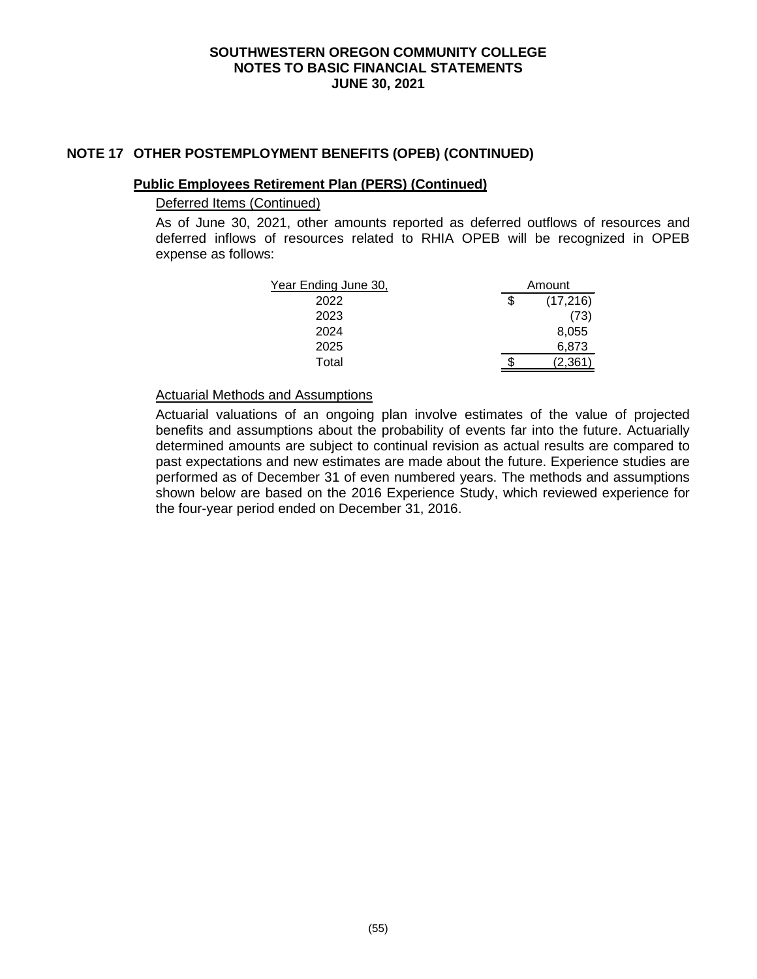## **NOTE 17 OTHER POSTEMPLOYMENT BENEFITS (OPEB) (CONTINUED)**

## **Public Employees Retirement Plan (PERS) (Continued)**

## Deferred Items (Continued)

As of June 30, 2021, other amounts reported as deferred outflows of resources and deferred inflows of resources related to RHIA OPEB will be recognized in OPEB expense as follows:

| Year Ending June 30, | Amount |           |
|----------------------|--------|-----------|
| 2022                 |        | (17, 216) |
| 2023                 |        | (73)      |
| 2024                 |        | 8,055     |
| 2025                 |        | 6,873     |
| Total                |        | 2.361     |

#### Actuarial Methods and Assumptions

Actuarial valuations of an ongoing plan involve estimates of the value of projected benefits and assumptions about the probability of events far into the future. Actuarially determined amounts are subject to continual revision as actual results are compared to past expectations and new estimates are made about the future. Experience studies are performed as of December 31 of even numbered years. The methods and assumptions shown below are based on the 2016 Experience Study, which reviewed experience for the four-year period ended on December 31, 2016.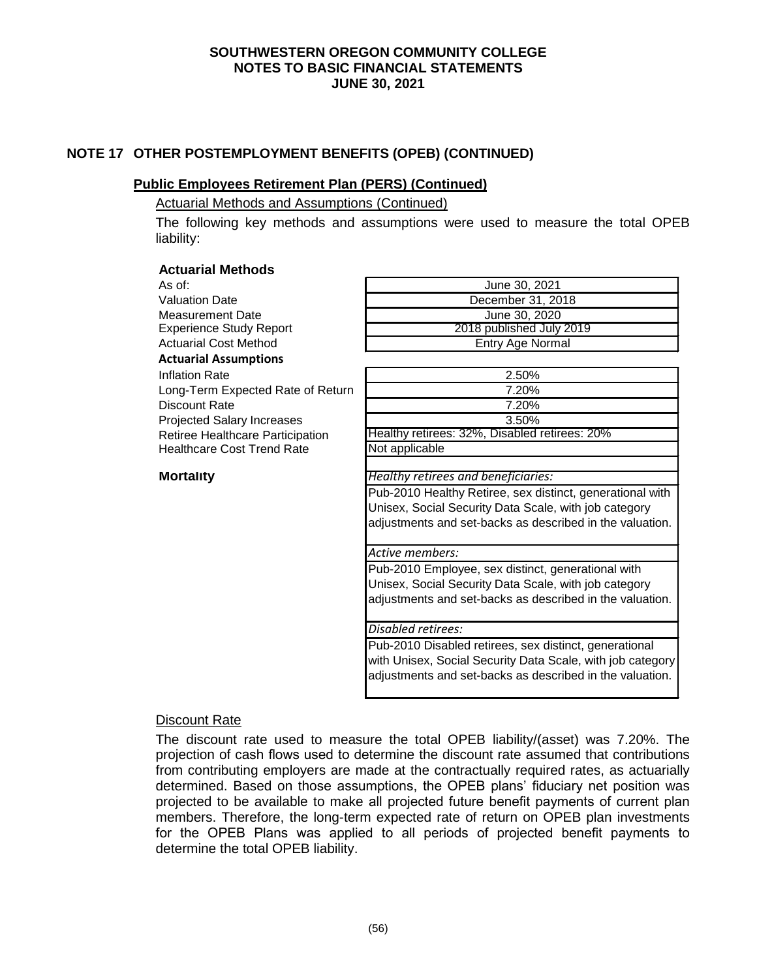## **NOTE 17 OTHER POSTEMPLOYMENT BENEFITS (OPEB) (CONTINUED)**

## **Public Employees Retirement Plan (PERS) (Continued)**

Actuarial Methods and Assumptions (Continued)

**Actuarial Methods**

The following key methods and assumptions were used to measure the total OPEB liability:

| Actuarial Methous                 |                                                            |
|-----------------------------------|------------------------------------------------------------|
| As of:                            | June 30, 2021                                              |
| <b>Valuation Date</b>             | December 31, 2018                                          |
| <b>Measurement Date</b>           | June 30, 2020                                              |
| <b>Experience Study Report</b>    | 2018 published July 2019                                   |
| <b>Actuarial Cost Method</b>      | Entry Age Normal                                           |
| <b>Actuarial Assumptions</b>      |                                                            |
| <b>Inflation Rate</b>             | 2.50%                                                      |
| Long-Term Expected Rate of Return | 7.20%                                                      |
| Discount Rate                     | 7.20%                                                      |
| <b>Projected Salary Increases</b> | 3.50%                                                      |
| Retiree Healthcare Participation  | Healthy retirees: 32%, Disabled retirees: 20%              |
| <b>Healthcare Cost Trend Rate</b> | Not applicable                                             |
|                                   |                                                            |
| <b>Mortality</b>                  | Healthy retirees and beneficiaries:                        |
|                                   | Pub-2010 Healthy Retiree, sex distinct, generational with  |
|                                   | Unisex, Social Security Data Scale, with job category      |
|                                   | adjustments and set-backs as described in the valuation.   |
|                                   |                                                            |
|                                   | Active members:                                            |
|                                   | Pub-2010 Employee, sex distinct, generational with         |
|                                   | Unisex, Social Security Data Scale, with job category      |
|                                   | adjustments and set-backs as described in the valuation.   |
|                                   |                                                            |
|                                   | Disabled retirees:                                         |
|                                   | Pub-2010 Disabled retirees, sex distinct, generational     |
|                                   | with Unisex, Social Security Data Scale, with job category |
|                                   | adjustments and set-backs as described in the valuation.   |
|                                   |                                                            |

#### Discount Rate

The discount rate used to measure the total OPEB liability/(asset) was 7.20%. The projection of cash flows used to determine the discount rate assumed that contributions from contributing employers are made at the contractually required rates, as actuarially determined. Based on those assumptions, the OPEB plans' fiduciary net position was projected to be available to make all projected future benefit payments of current plan members. Therefore, the long-term expected rate of return on OPEB plan investments for the OPEB Plans was applied to all periods of projected benefit payments to determine the total OPEB liability.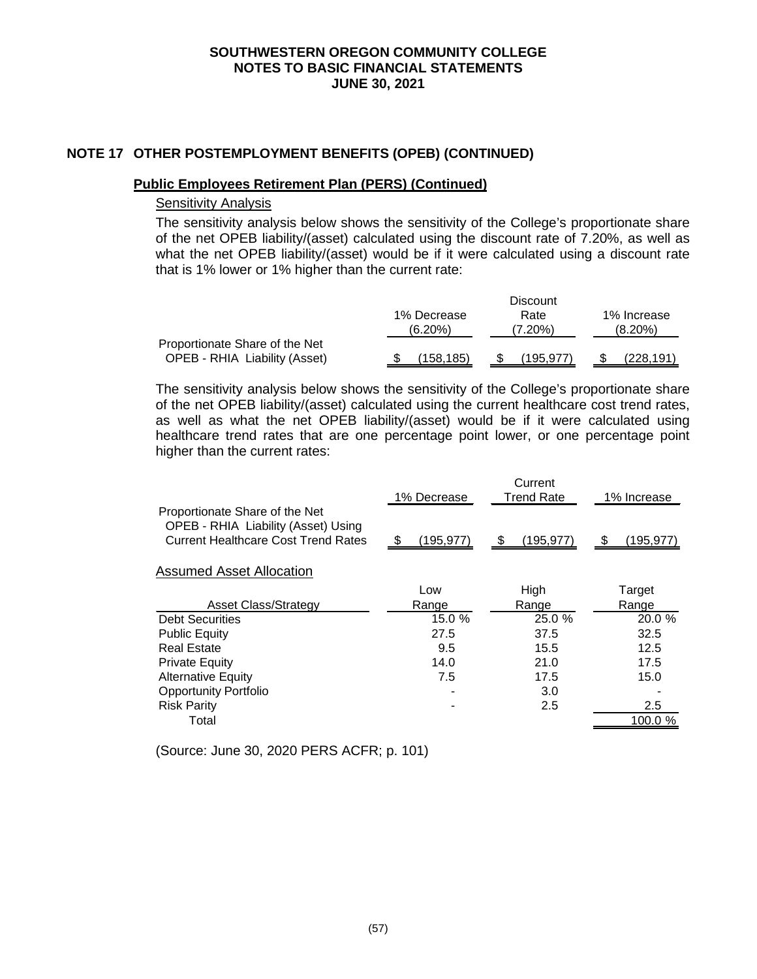## **NOTE 17 OTHER POSTEMPLOYMENT BENEFITS (OPEB) (CONTINUED)**

#### **Public Employees Retirement Plan (PERS) (Continued)**

## Sensitivity Analysis

The sensitivity analysis below shows the sensitivity of the College's proportionate share of the net OPEB liability/(asset) calculated using the discount rate of 7.20%, as well as what the net OPEB liability/(asset) would be if it were calculated using a discount rate that is 1% lower or 1% higher than the current rate:

|                                      |             | <b>Discount</b> |             |
|--------------------------------------|-------------|-----------------|-------------|
|                                      | 1% Decrease | Rate            | 1% Increase |
|                                      | $(6.20\%)$  | (7.20%)         | $(8.20\%)$  |
| Proportionate Share of the Net       |             |                 |             |
| <b>OPEB - RHIA Liability (Asset)</b> | 158.185     | (195.977)       | (228,191)   |

The sensitivity analysis below shows the sensitivity of the College's proportionate share of the net OPEB liability/(asset) calculated using the current healthcare cost trend rates, as well as what the net OPEB liability/(asset) would be if it were calculated using healthcare trend rates that are one percentage point lower, or one percentage point higher than the current rates:

|                                                                                                                     |             | Current           |             |
|---------------------------------------------------------------------------------------------------------------------|-------------|-------------------|-------------|
|                                                                                                                     | 1% Decrease | <b>Trend Rate</b> | 1% Increase |
| Proportionate Share of the Net<br>OPEB - RHIA Liability (Asset) Using<br><b>Current Healthcare Cost Trend Rates</b> | (195, 977)  | (195,977)<br>- \$ | (195, 977)  |
| <b>Assumed Asset Allocation</b>                                                                                     |             |                   |             |
|                                                                                                                     | Low         | High              | Target      |
| <b>Asset Class/Strategy</b>                                                                                         | Range       | Range             | Range       |
| <b>Debt Securities</b>                                                                                              | 15.0 %      | 25.0 %            | 20.0 %      |
| <b>Public Equity</b>                                                                                                | 27.5        | 37.5              | 32.5        |
| <b>Real Estate</b>                                                                                                  | 9.5         | 15.5              | 12.5        |
| <b>Private Equity</b>                                                                                               | 14.0        | 21.0              | 17.5        |
| <b>Alternative Equity</b>                                                                                           | 7.5         | 17.5              | 15.0        |
| <b>Opportunity Portfolio</b>                                                                                        |             | 3.0               |             |
| <b>Risk Parity</b>                                                                                                  |             | 2.5               | 2.5         |
| Total                                                                                                               |             |                   | 100.0       |
|                                                                                                                     |             |                   |             |

(Source: June 30, 2020 PERS ACFR; p. 101)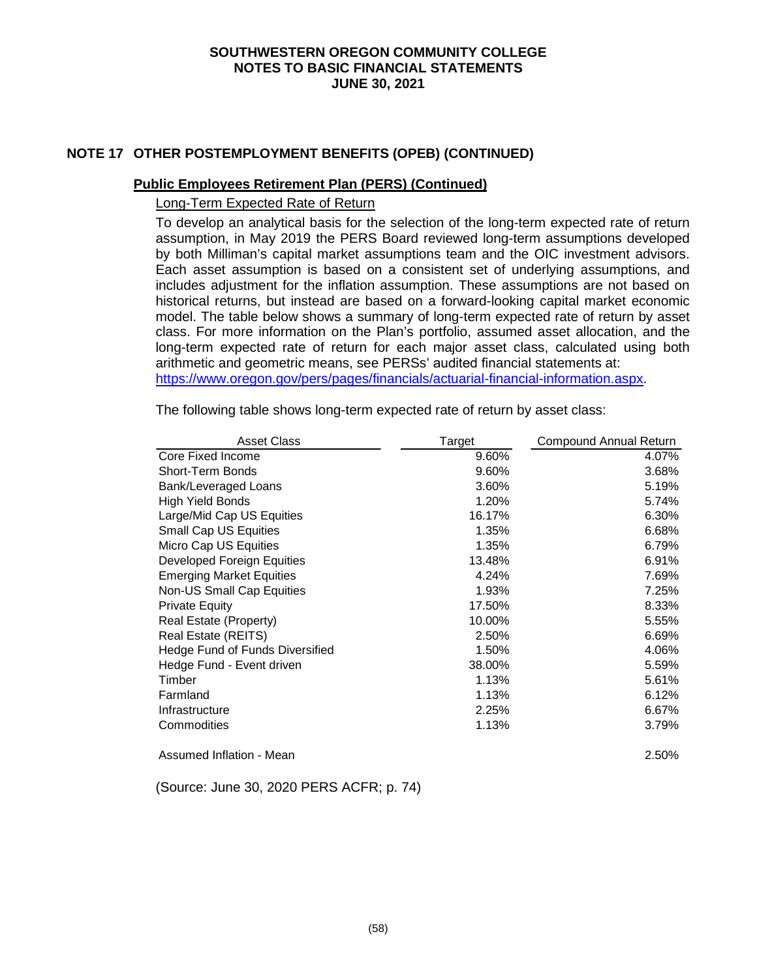## **NOTE 17 OTHER POSTEMPLOYMENT BENEFITS (OPEB) (CONTINUED)**

#### **Public Employees Retirement Plan (PERS) (Continued)**

Long-Term Expected Rate of Return

To develop an analytical basis for the selection of the long-term expected rate of return assumption, in May 2019 the PERS Board reviewed long-term assumptions developed by both Milliman's capital market assumptions team and the OIC investment advisors. Each asset assumption is based on a consistent set of underlying assumptions, and includes adjustment for the inflation assumption. These assumptions are not based on historical returns, but instead are based on a forward-looking capital market economic model. The table below shows a summary of long-term expected rate of return by asset class. For more information on the Plan's portfolio, assumed asset allocation, and the long-term expected rate of return for each major asset class, calculated using both arithmetic and geometric means, see PERSs' audited financial statements at: [https://www.oregon.gov/pers/pages/financials/actuarial-financial-information.aspx.](https://www.oregon.gov/pers/pages/financials/actuarial-financial-information.aspx)

Asset Class **Compound Annual Return** Target Compound Annual Return Core Fixed Income 2008 2009 4.07% Short-Term Bonds 3.68% 3.68% Bank/Leveraged Loans 6.19% 5.19% 5.19% High Yield Bonds **1.20%** 5.74% Large/Mid Cap US Equities 16.17% 6.30% Small Cap US Equities **6.68%** 6.68% Micro Cap US Equities **6.79%** 6.79% Developed Foreign Equities 13.48% 6.91% Emerging Market Equities **6.24%** 4.24% 7.69% Non-US Small Cap Equities 1.93% 7.25% Private Equity **17.50%** 8.33% Real Estate (Property) 10.00% 5.55% Real Estate (REITS)  $2.50\%$  8.69% Hedge Fund of Funds Diversified 1.50% 1.50% 4.06% Hedge Fund - Event driven 38.00% 5.59% Timber 1.13% 5.61% Farmland 1.13% 6.12% Infrastructure 2.25% 6.67% Commodities 1.13% 3.79% Assumed Inflation - Mean 2.50%

The following table shows long-term expected rate of return by asset class:

(Source: June 30, 2020 PERS ACFR; p. 74)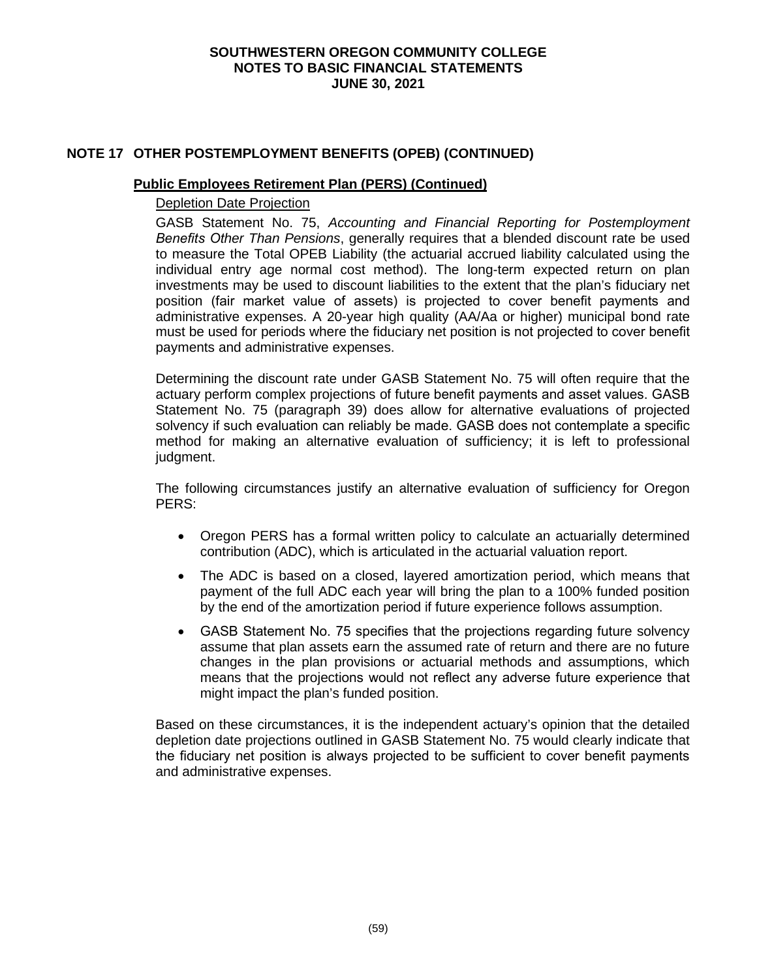## **NOTE 17 OTHER POSTEMPLOYMENT BENEFITS (OPEB) (CONTINUED)**

#### **Public Employees Retirement Plan (PERS) (Continued)**

#### Depletion Date Projection

GASB Statement No. 75, *Accounting and Financial Reporting for Postemployment Benefits Other Than Pensions*, generally requires that a blended discount rate be used to measure the Total OPEB Liability (the actuarial accrued liability calculated using the individual entry age normal cost method). The long-term expected return on plan investments may be used to discount liabilities to the extent that the plan's fiduciary net position (fair market value of assets) is projected to cover benefit payments and administrative expenses. A 20-year high quality (AA/Aa or higher) municipal bond rate must be used for periods where the fiduciary net position is not projected to cover benefit payments and administrative expenses.

Determining the discount rate under GASB Statement No. 75 will often require that the actuary perform complex projections of future benefit payments and asset values. GASB Statement No. 75 (paragraph 39) does allow for alternative evaluations of projected solvency if such evaluation can reliably be made. GASB does not contemplate a specific method for making an alternative evaluation of sufficiency; it is left to professional judament.

The following circumstances justify an alternative evaluation of sufficiency for Oregon PERS:

- Oregon PERS has a formal written policy to calculate an actuarially determined contribution (ADC), which is articulated in the actuarial valuation report.
- The ADC is based on a closed, layered amortization period, which means that payment of the full ADC each year will bring the plan to a 100% funded position by the end of the amortization period if future experience follows assumption.
- GASB Statement No. 75 specifies that the projections regarding future solvency assume that plan assets earn the assumed rate of return and there are no future changes in the plan provisions or actuarial methods and assumptions, which means that the projections would not reflect any adverse future experience that might impact the plan's funded position.

Based on these circumstances, it is the independent actuary's opinion that the detailed depletion date projections outlined in GASB Statement No. 75 would clearly indicate that the fiduciary net position is always projected to be sufficient to cover benefit payments and administrative expenses.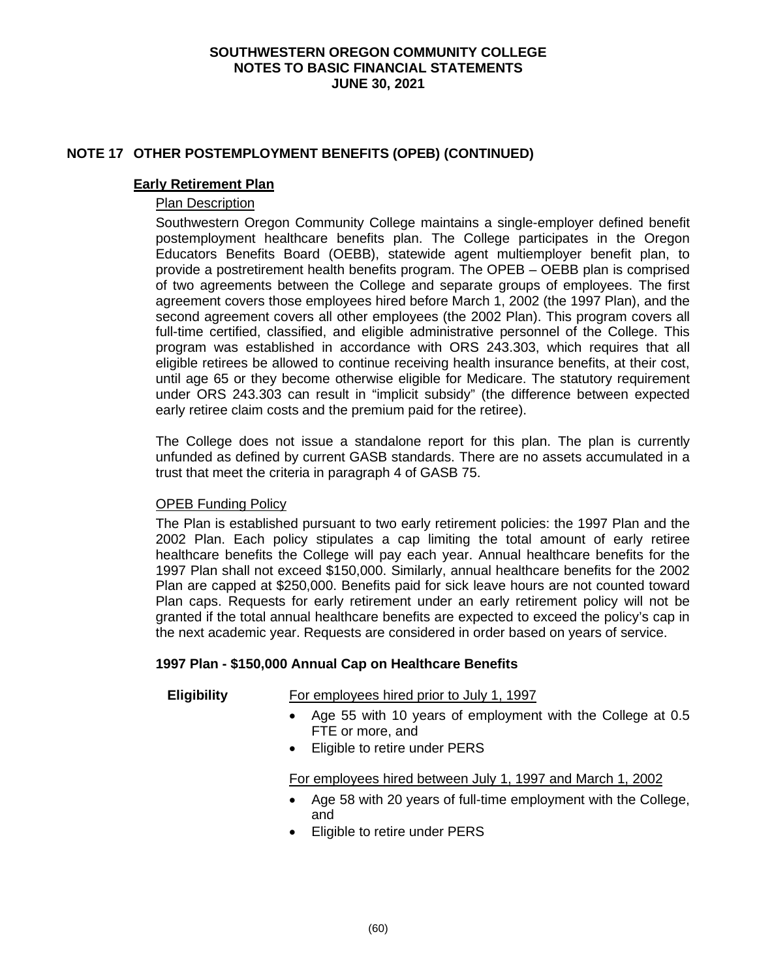## **NOTE 17 OTHER POSTEMPLOYMENT BENEFITS (OPEB) (CONTINUED)**

#### **Early Retirement Plan**

## Plan Description

Southwestern Oregon Community College maintains a single-employer defined benefit postemployment healthcare benefits plan. The College participates in the Oregon Educators Benefits Board (OEBB), statewide agent multiemployer benefit plan, to provide a postretirement health benefits program. The OPEB – OEBB plan is comprised of two agreements between the College and separate groups of employees. The first agreement covers those employees hired before March 1, 2002 (the 1997 Plan), and the second agreement covers all other employees (the 2002 Plan). This program covers all full-time certified, classified, and eligible administrative personnel of the College. This program was established in accordance with ORS 243.303, which requires that all eligible retirees be allowed to continue receiving health insurance benefits, at their cost, until age 65 or they become otherwise eligible for Medicare. The statutory requirement under ORS 243.303 can result in "implicit subsidy" (the difference between expected early retiree claim costs and the premium paid for the retiree).

The College does not issue a standalone report for this plan. The plan is currently unfunded as defined by current GASB standards. There are no assets accumulated in a trust that meet the criteria in paragraph 4 of GASB 75.

# OPEB Funding Policy

The Plan is established pursuant to two early retirement policies: the 1997 Plan and the 2002 Plan. Each policy stipulates a cap limiting the total amount of early retiree healthcare benefits the College will pay each year. Annual healthcare benefits for the 1997 Plan shall not exceed \$150,000. Similarly, annual healthcare benefits for the 2002 Plan are capped at \$250,000. Benefits paid for sick leave hours are not counted toward Plan caps. Requests for early retirement under an early retirement policy will not be granted if the total annual healthcare benefits are expected to exceed the policy's cap in the next academic year. Requests are considered in order based on years of service.

#### **1997 Plan - \$150,000 Annual Cap on Healthcare Benefits**

**Eligibility** For employees hired prior to July 1, 1997

- Age 55 with 10 years of employment with the College at 0.5 FTE or more, and
- Eligible to retire under PERS

# For employees hired between July 1, 1997 and March 1, 2002

- Age 58 with 20 years of full-time employment with the College, and
- Eligible to retire under PERS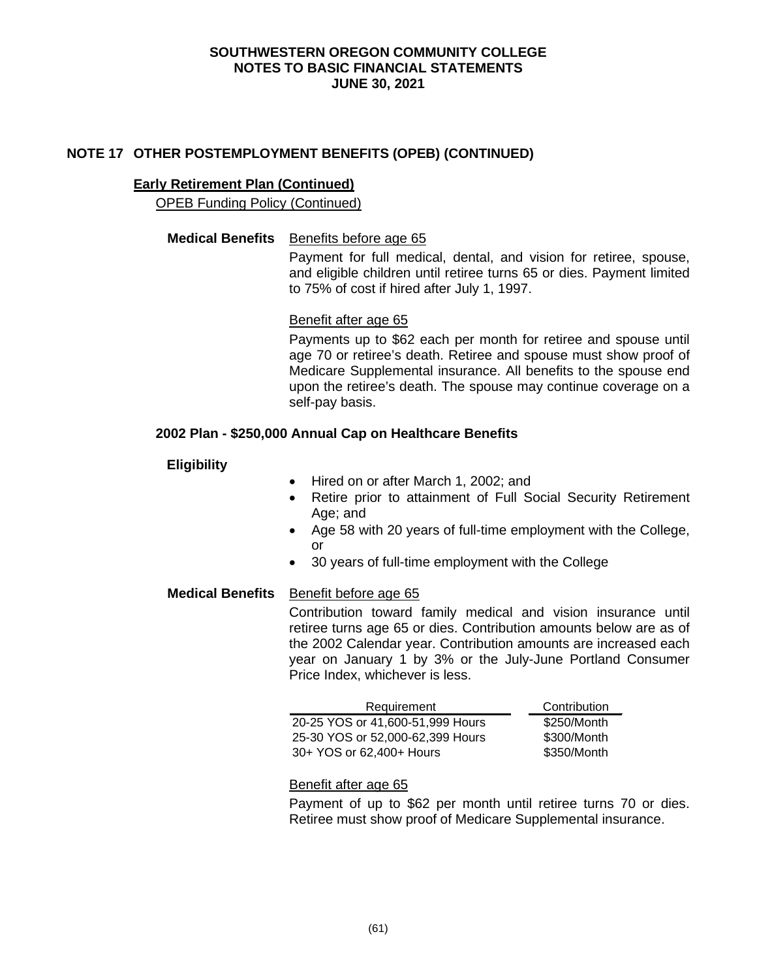## **NOTE 17 OTHER POSTEMPLOYMENT BENEFITS (OPEB) (CONTINUED)**

#### **Early Retirement Plan (Continued)**

OPEB Funding Policy (Continued)

#### **Medical Benefits** Benefits before age 65

Payment for full medical, dental, and vision for retiree, spouse, and eligible children until retiree turns 65 or dies. Payment limited to 75% of cost if hired after July 1, 1997.

#### Benefit after age 65

Payments up to \$62 each per month for retiree and spouse until age 70 or retiree's death. Retiree and spouse must show proof of Medicare Supplemental insurance. All benefits to the spouse end upon the retiree's death. The spouse may continue coverage on a self-pay basis.

#### **2002 Plan - \$250,000 Annual Cap on Healthcare Benefits**

## **Eligibility**

- Hired on or after March 1, 2002; and
- Retire prior to attainment of Full Social Security Retirement Age; and
- Age 58 with 20 years of full-time employment with the College, or
- 30 years of full-time employment with the College

# **Medical Benefits** Benefit before age 65

Contribution toward family medical and vision insurance until retiree turns age 65 or dies. Contribution amounts below are as of the 2002 Calendar year. Contribution amounts are increased each year on January 1 by 3% or the July-June Portland Consumer Price Index, whichever is less.

| Requirement                      | Contribution |
|----------------------------------|--------------|
| 20-25 YOS or 41,600-51,999 Hours | \$250/Month  |
| 25-30 YOS or 52,000-62,399 Hours | \$300/Month  |
| 30+ YOS or 62,400+ Hours         | \$350/Month  |

#### Benefit after age 65

Payment of up to \$62 per month until retiree turns 70 or dies. Retiree must show proof of Medicare Supplemental insurance.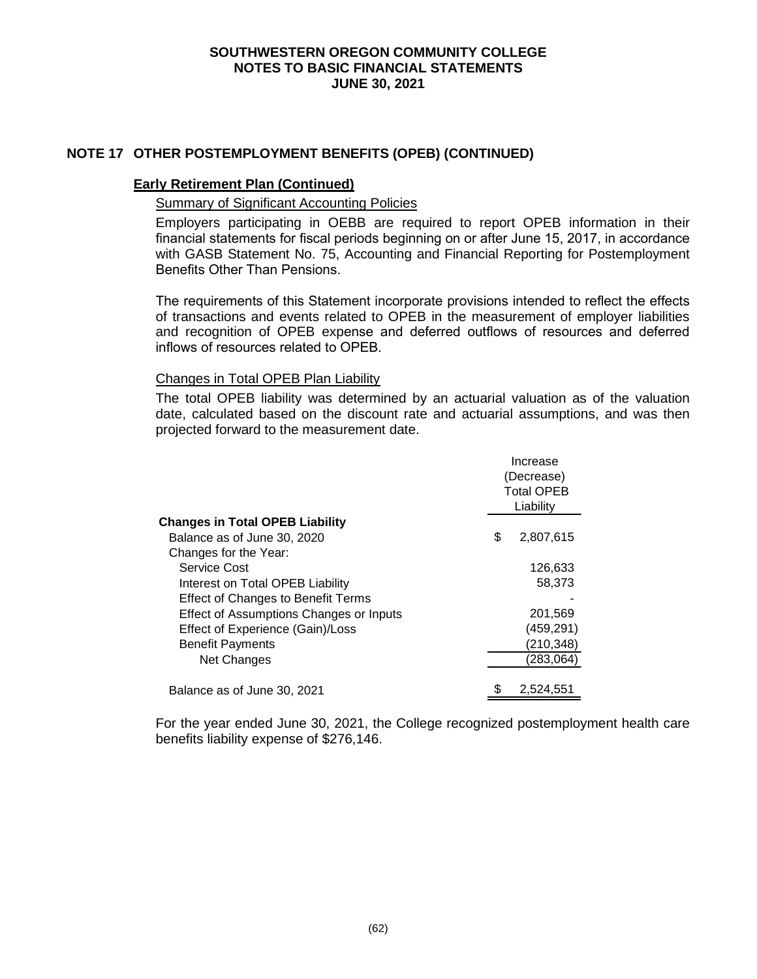## **NOTE 17 OTHER POSTEMPLOYMENT BENEFITS (OPEB) (CONTINUED)**

#### **Early Retirement Plan (Continued)**

#### Summary of Significant Accounting Policies

Employers participating in OEBB are required to report OPEB information in their financial statements for fiscal periods beginning on or after June 15, 2017, in accordance with GASB Statement No. 75, Accounting and Financial Reporting for Postemployment Benefits Other Than Pensions.

The requirements of this Statement incorporate provisions intended to reflect the effects of transactions and events related to OPEB in the measurement of employer liabilities and recognition of OPEB expense and deferred outflows of resources and deferred inflows of resources related to OPEB.

#### Changes in Total OPEB Plan Liability

The total OPEB liability was determined by an actuarial valuation as of the valuation date, calculated based on the discount rate and actuarial assumptions, and was then projected forward to the measurement date.

|                                           |    | Increase<br>(Decrease)<br><b>Total OPEB</b><br>Liability |  |  |
|-------------------------------------------|----|----------------------------------------------------------|--|--|
| <b>Changes in Total OPEB Liability</b>    |    |                                                          |  |  |
| Balance as of June 30, 2020               | \$ | 2,807,615                                                |  |  |
| Changes for the Year:                     |    |                                                          |  |  |
| Service Cost                              |    | 126,633                                                  |  |  |
| Interest on Total OPEB Liability          |    | 58,373                                                   |  |  |
| <b>Effect of Changes to Benefit Terms</b> |    |                                                          |  |  |
| Effect of Assumptions Changes or Inputs   |    | 201,569                                                  |  |  |
| Effect of Experience (Gain)/Loss          |    | (459, 291)                                               |  |  |
| <b>Benefit Payments</b>                   |    | (210,348)                                                |  |  |
| Net Changes                               |    | (283,064)                                                |  |  |
| Balance as of June 30, 2021               |    | 2.524.551                                                |  |  |

For the year ended June 30, 2021, the College recognized postemployment health care benefits liability expense of \$276,146.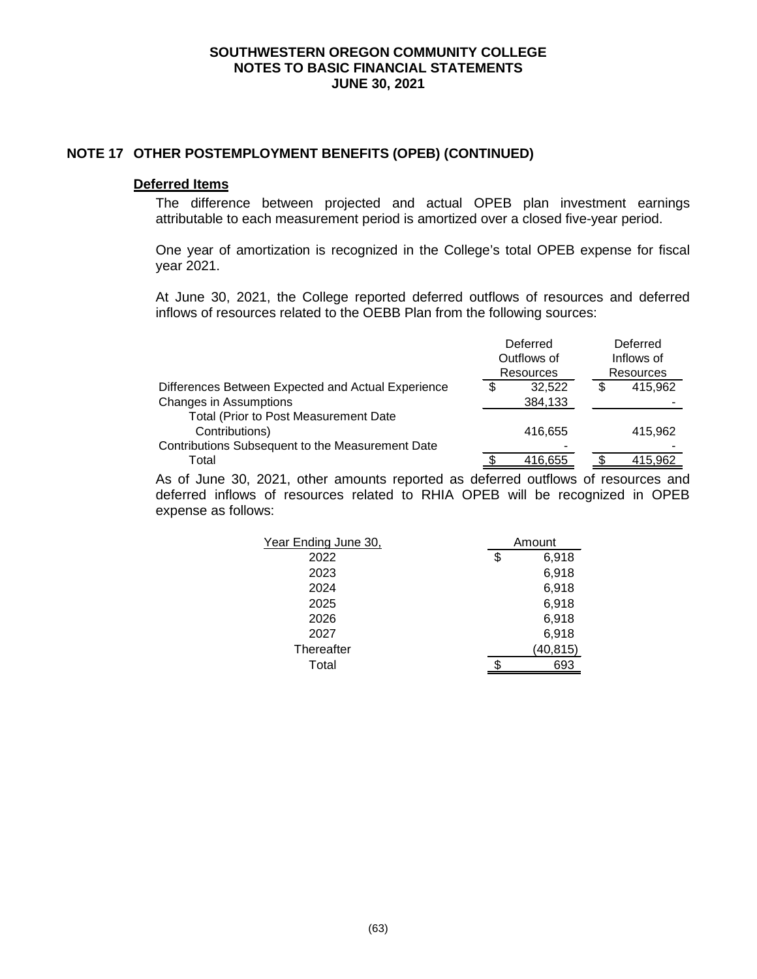#### **NOTE 17 OTHER POSTEMPLOYMENT BENEFITS (OPEB) (CONTINUED)**

#### **Deferred Items**

The difference between projected and actual OPEB plan investment earnings attributable to each measurement period is amortized over a closed five-year period.

One year of amortization is recognized in the College's total OPEB expense for fiscal year 2021.

At June 30, 2021, the College reported deferred outflows of resources and deferred inflows of resources related to the OEBB Plan from the following sources:

|                                                    | Deferred         |   | Deferred         |
|----------------------------------------------------|------------------|---|------------------|
|                                                    | Outflows of      |   | Inflows of       |
|                                                    | <b>Resources</b> |   | <b>Resources</b> |
| Differences Between Expected and Actual Experience | \$<br>32.522     | S | 415,962          |
| <b>Changes in Assumptions</b>                      | 384,133          |   |                  |
| Total (Prior to Post Measurement Date              |                  |   |                  |
| Contributions)                                     | 416.655          |   | 415.962          |
| Contributions Subsequent to the Measurement Date   |                  |   |                  |
| Total                                              | 416,655          |   | 415.962          |

As of June 30, 2021, other amounts reported as deferred outflows of resources and deferred inflows of resources related to RHIA OPEB will be recognized in OPEB expense as follows:

| Year Ending June 30, | Amount      |
|----------------------|-------------|
| 2022                 | \$<br>6,918 |
| 2023                 | 6,918       |
| 2024                 | 6,918       |
| 2025                 | 6,918       |
| 2026                 | 6,918       |
| 2027                 | 6,918       |
| Thereafter           | (40, 815)   |
| Total                | 693         |
|                      |             |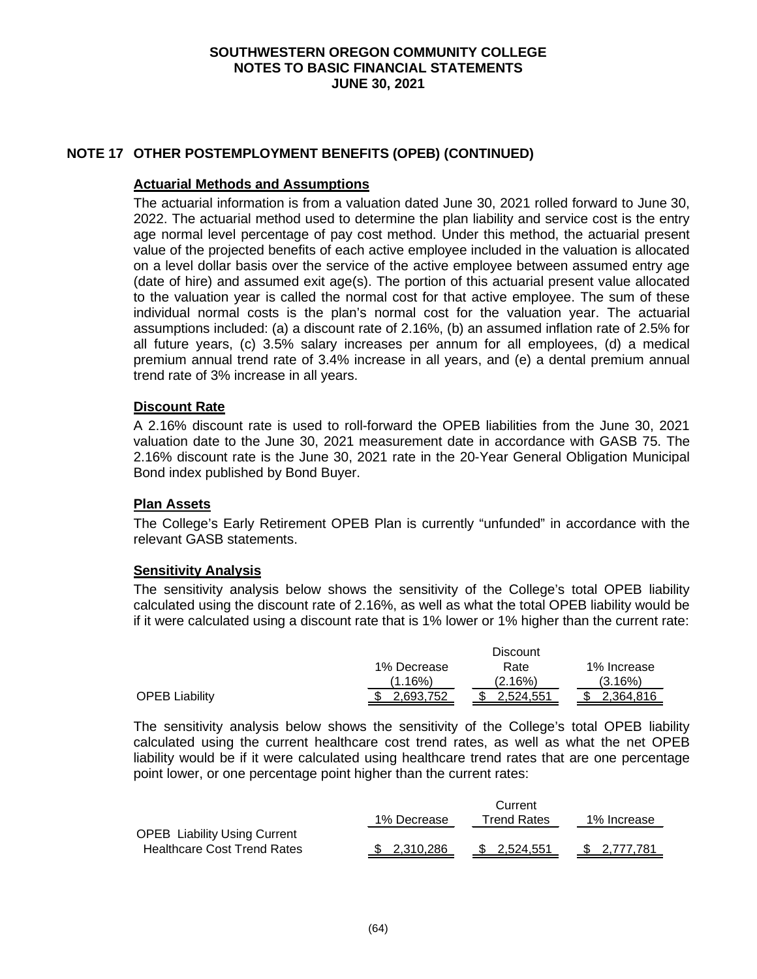## **NOTE 17 OTHER POSTEMPLOYMENT BENEFITS (OPEB) (CONTINUED)**

#### **Actuarial Methods and Assumptions**

The actuarial information is from a valuation dated June 30, 2021 rolled forward to June 30, 2022. The actuarial method used to determine the plan liability and service cost is the entry age normal level percentage of pay cost method. Under this method, the actuarial present value of the projected benefits of each active employee included in the valuation is allocated on a level dollar basis over the service of the active employee between assumed entry age (date of hire) and assumed exit age(s). The portion of this actuarial present value allocated to the valuation year is called the normal cost for that active employee. The sum of these individual normal costs is the plan's normal cost for the valuation year. The actuarial assumptions included: (a) a discount rate of 2.16%, (b) an assumed inflation rate of 2.5% for all future years, (c) 3.5% salary increases per annum for all employees, (d) a medical premium annual trend rate of 3.4% increase in all years, and (e) a dental premium annual trend rate of 3% increase in all years.

## **Discount Rate**

A 2.16% discount rate is used to roll-forward the OPEB liabilities from the June 30, 2021 valuation date to the June 30, 2021 measurement date in accordance with GASB 75. The 2.16% discount rate is the June 30, 2021 rate in the 20-Year General Obligation Municipal Bond index published by Bond Buyer.

#### **Plan Assets**

The College's Early Retirement OPEB Plan is currently "unfunded" in accordance with the relevant GASB statements.

#### **Sensitivity Analysis**

The sensitivity analysis below shows the sensitivity of the College's total OPEB liability calculated using the discount rate of 2.16%, as well as what the total OPEB liability would be if it were calculated using a discount rate that is 1% lower or 1% higher than the current rate:

|                       |             | Discount  |             |
|-----------------------|-------------|-----------|-------------|
|                       | 1% Decrease | Rate      | 1% Increase |
|                       | $(1.16\%)$  | (2.16%)   | (3.16%)     |
| <b>OPEB Liability</b> | 2.693.752   | 2.524.551 | 2.364.816   |

The sensitivity analysis below shows the sensitivity of the College's total OPEB liability calculated using the current healthcare cost trend rates, as well as what the net OPEB liability would be if it were calculated using healthcare trend rates that are one percentage point lower, or one percentage point higher than the current rates:

|                                     |              | Current     |              |
|-------------------------------------|--------------|-------------|--------------|
|                                     | 1% Decrease  | Trend Rates | 1% Increase  |
| <b>OPEB Liability Using Current</b> |              |             |              |
| <b>Healthcare Cost Trend Rates</b>  | \$ 2.310.286 | \$2.524.551 | \$ 2.777.781 |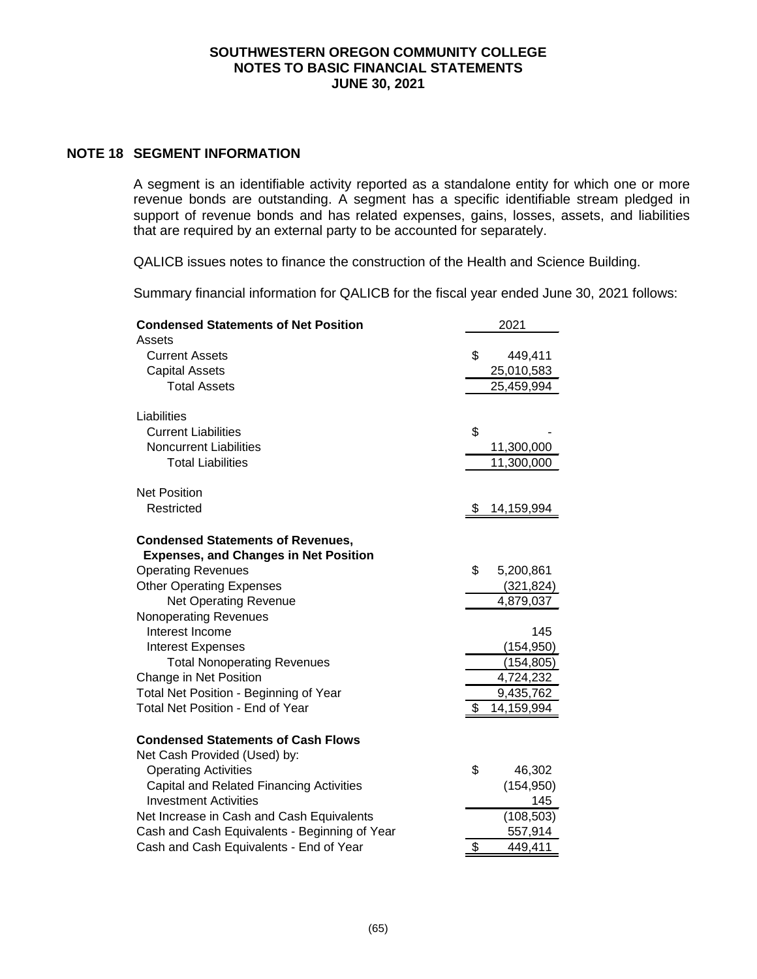#### **NOTE 18 SEGMENT INFORMATION**

A segment is an identifiable activity reported as a standalone entity for which one or more revenue bonds are outstanding. A segment has a specific identifiable stream pledged in support of revenue bonds and has related expenses, gains, losses, assets, and liabilities that are required by an external party to be accounted for separately.

QALICB issues notes to finance the construction of the Health and Science Building.

Summary financial information for QALICB for the fiscal year ended June 30, 2021 follows:

| <b>Condensed Statements of Net Position</b>     | 2021             |
|-------------------------------------------------|------------------|
| Assets                                          |                  |
| <b>Current Assets</b>                           | \$<br>449,411    |
| <b>Capital Assets</b>                           | 25,010,583       |
| <b>Total Assets</b>                             | 25,459,994       |
|                                                 |                  |
| Liabilities                                     |                  |
| <b>Current Liabilities</b>                      | \$               |
| <b>Noncurrent Liabilities</b>                   | 11,300,000       |
| <b>Total Liabilities</b>                        | 11,300,000       |
| <b>Net Position</b>                             |                  |
| Restricted                                      | \$<br>14,159,994 |
|                                                 |                  |
| <b>Condensed Statements of Revenues,</b>        |                  |
| <b>Expenses, and Changes in Net Position</b>    |                  |
| <b>Operating Revenues</b>                       | \$<br>5,200,861  |
| <b>Other Operating Expenses</b>                 | (321, 824)       |
| <b>Net Operating Revenue</b>                    | 4,879,037        |
| <b>Nonoperating Revenues</b>                    |                  |
| Interest Income                                 | 145              |
| <b>Interest Expenses</b>                        | (154, 950)       |
| <b>Total Nonoperating Revenues</b>              | (154, 805)       |
| Change in Net Position                          | 4,724,232        |
| Total Net Position - Beginning of Year          | 9,435,762        |
| <b>Total Net Position - End of Year</b>         | \$<br>14,159,994 |
| <b>Condensed Statements of Cash Flows</b>       |                  |
| Net Cash Provided (Used) by:                    |                  |
| <b>Operating Activities</b>                     | \$<br>46,302     |
| <b>Capital and Related Financing Activities</b> | (154, 950)       |
| <b>Investment Activities</b>                    | 145              |
| Net Increase in Cash and Cash Equivalents       | (108, 503)       |
| Cash and Cash Equivalents - Beginning of Year   | 557,914          |
| Cash and Cash Equivalents - End of Year         | \$<br>449,411    |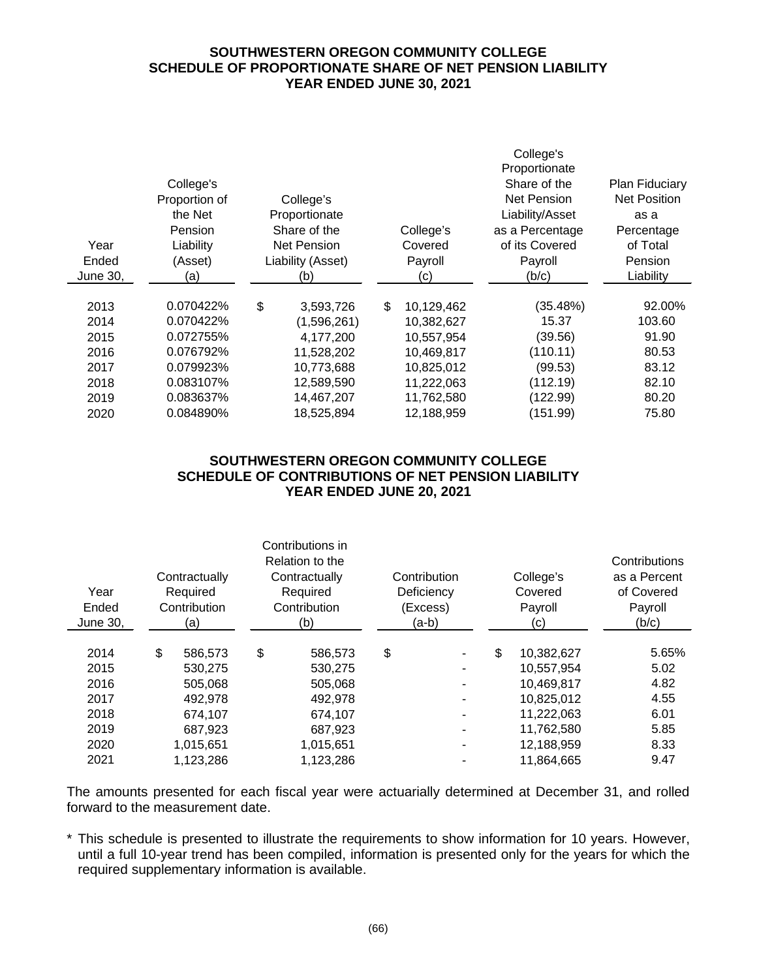## **SOUTHWESTERN OREGON COMMUNITY COLLEGE SCHEDULE OF PROPORTIONATE SHARE OF NET PENSION LIABILITY YEAR ENDED JUNE 30, 2021**

|          |               |                   |     |            | College's       |                       |  |
|----------|---------------|-------------------|-----|------------|-----------------|-----------------------|--|
|          |               |                   |     |            | Proportionate   |                       |  |
|          | College's     |                   |     |            | Share of the    | <b>Plan Fiduciary</b> |  |
|          | Proportion of | College's         |     |            | Net Pension     | <b>Net Position</b>   |  |
|          | the Net       | Proportionate     |     |            | Liability/Asset | as a                  |  |
|          | Pension       | Share of the      |     | College's  | as a Percentage | Percentage            |  |
| Year     | Liability     | Net Pension       |     | Covered    | of its Covered  | of Total              |  |
| Ended    | (Asset)       | Liability (Asset) |     | Payroll    | Payroll         | Pension               |  |
| June 30, | (a)           | (b)               | (c) |            | (b/c)           | Liability             |  |
|          |               |                   |     |            |                 |                       |  |
| 2013     | 0.070422%     | \$<br>3,593,726   | \$  | 10,129,462 | (35.48%)        | 92.00%                |  |
| 2014     | 0.070422%     | (1,596,261)       |     | 10,382,627 | 15.37           | 103.60                |  |
| 2015     | 0.072755%     | 4,177,200         |     | 10,557,954 | (39.56)         | 91.90                 |  |
| 2016     | 0.076792%     | 11,528,202        |     | 10,469,817 | (110.11)        | 80.53                 |  |
| 2017     | 0.079923%     | 10,773,688        |     | 10,825,012 | (99.53)         | 83.12                 |  |
| 2018     | 0.083107%     | 12,589,590        |     | 11,222,063 | (112.19)        | 82.10                 |  |
| 2019     | 0.083637%     | 14,467,207        |     | 11,762,580 | (122.99)        | 80.20                 |  |
| 2020     | 0.084890%     | 18,525,894        |     | 12,188,959 | (151.99)        | 75.80                 |  |

# **SOUTHWESTERN OREGON COMMUNITY COLLEGE SCHEDULE OF CONTRIBUTIONS OF NET PENSION LIABILITY YEAR ENDED JUNE 20, 2021**

| Contractually<br>Year<br>Required<br>Contribution<br>Ended<br>June 30,<br>(a) |    | Contributions in<br>Relation to the<br>Contractually<br>Required<br>Contribution<br>(b) |    | Contribution<br>Deficiency<br>(Excess)<br>(a-b) |    | College's<br>Covered<br>Payroll<br>(c) |    | Contributions<br>as a Percent<br>of Covered<br>Payroll<br>(b/c) |       |
|-------------------------------------------------------------------------------|----|-----------------------------------------------------------------------------------------|----|-------------------------------------------------|----|----------------------------------------|----|-----------------------------------------------------------------|-------|
| 2014                                                                          | \$ | 586.573                                                                                 | \$ | 586,573                                         | \$ | $\blacksquare$                         | \$ | 10,382,627                                                      | 5.65% |
| 2015                                                                          |    | 530,275                                                                                 |    | 530,275                                         |    | ٠                                      |    | 10,557,954                                                      | 5.02  |
| 2016                                                                          |    | 505,068                                                                                 |    | 505,068                                         |    |                                        |    | 10,469,817                                                      | 4.82  |
| 2017                                                                          |    | 492,978                                                                                 |    | 492,978                                         |    | ۰                                      |    | 10,825,012                                                      | 4.55  |
| 2018                                                                          |    | 674,107                                                                                 |    | 674,107                                         |    | ۰                                      |    | 11,222,063                                                      | 6.01  |
| 2019                                                                          |    | 687.923                                                                                 |    | 687,923                                         |    | ۰                                      |    | 11,762,580                                                      | 5.85  |
| 2020                                                                          |    | 1,015,651                                                                               |    | 1,015,651                                       |    | ۰                                      |    | 12,188,959                                                      | 8.33  |
| 2021                                                                          |    | 1,123,286                                                                               |    | 1,123,286                                       |    |                                        |    | 11,864,665                                                      | 9.47  |

The amounts presented for each fiscal year were actuarially determined at December 31, and rolled forward to the measurement date.

\* This schedule is presented to illustrate the requirements to show information for 10 years. However, until a full 10-year trend has been compiled, information is presented only for the years for which the required supplementary information is available.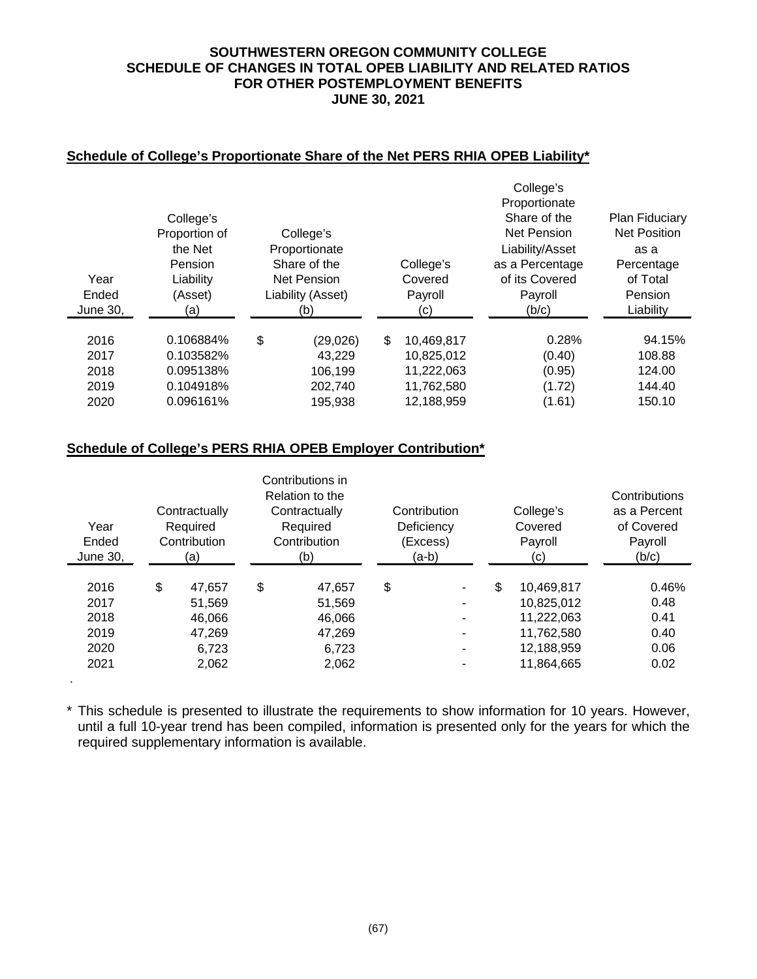## **SOUTHWESTERN OREGON COMMUNITY COLLEGE SCHEDULE OF CHANGES IN TOTAL OPEB LIABILITY AND RELATED RATIOS FOR OTHER POSTEMPLOYMENT BENEFITS JUNE 30, 2021**

## **Schedule of College's Proportionate Share of the Net PERS RHIA OPEB Liability\***

|                   |                                 |                                                     |    |                          | College's                                            |                                              |
|-------------------|---------------------------------|-----------------------------------------------------|----|--------------------------|------------------------------------------------------|----------------------------------------------|
|                   | College's<br>Proportion of      | College's                                           |    |                          | Proportionate<br>Share of the<br><b>Net Pension</b>  | <b>Plan Fiduciary</b><br><b>Net Position</b> |
| Year              | the Net<br>Pension<br>Liability | Proportionate<br>Share of the<br><b>Net Pension</b> |    | College's<br>Covered     | Liability/Asset<br>as a Percentage<br>of its Covered | as a<br>Percentage<br>of Total               |
| Ended<br>June 30, | (Asset)<br>(a)                  | Liability (Asset)<br>Payroll<br>(b)<br>(c)          |    | Payroll<br>(b/c)         | Pension<br>Liability                                 |                                              |
| 2016<br>2017      | 0.106884%<br>0.103582%          | \$<br>(29, 026)<br>43.229                           | \$ | 10,469,817<br>10.825.012 | 0.28%<br>(0.40)                                      | 94.15%<br>108.88                             |
| 2018<br>2019      | 0.095138%<br>0.104918%          | 106,199<br>202,740                                  |    | 11,222,063<br>11,762,580 | (0.95)<br>(1.72)                                     | 124.00<br>144.40                             |
| 2020              | 0.096161%                       | 195,938                                             |    | 12,188,959               | (1.61)                                               | 150.10                                       |

## **Schedule of College's PERS RHIA OPEB Employer Contribution\***

.

| Year<br>Ended<br>June 30,                    | Contractually<br>Required<br>Contribution<br>(a)             | Contributions in<br>Relation to the<br>Contractually<br>Required<br>Contribution<br>(b) | Contribution<br>Deficiency<br>(Excess)<br>(a-b)         | College's<br>Covered<br>Payroll<br>(c)                                                 | Contributions<br>as a Percent<br>of Covered<br>Payroll<br>(b/c) |
|----------------------------------------------|--------------------------------------------------------------|-----------------------------------------------------------------------------------------|---------------------------------------------------------|----------------------------------------------------------------------------------------|-----------------------------------------------------------------|
| 2016<br>2017<br>2018<br>2019<br>2020<br>2021 | \$<br>47.657<br>51.569<br>46.066<br>47,269<br>6.723<br>2,062 | \$<br>47.657<br>51,569<br>46,066<br>47,269<br>6.723<br>2,062                            | \$<br>$\overline{\phantom{a}}$<br>-<br>۰<br>۰<br>-<br>- | \$<br>10,469,817<br>10,825,012<br>11,222,063<br>11,762,580<br>12,188,959<br>11,864,665 | 0.46%<br>0.48<br>0.41<br>0.40<br>0.06<br>0.02                   |

\* This schedule is presented to illustrate the requirements to show information for 10 years. However, until a full 10-year trend has been compiled, information is presented only for the years for which the required supplementary information is available.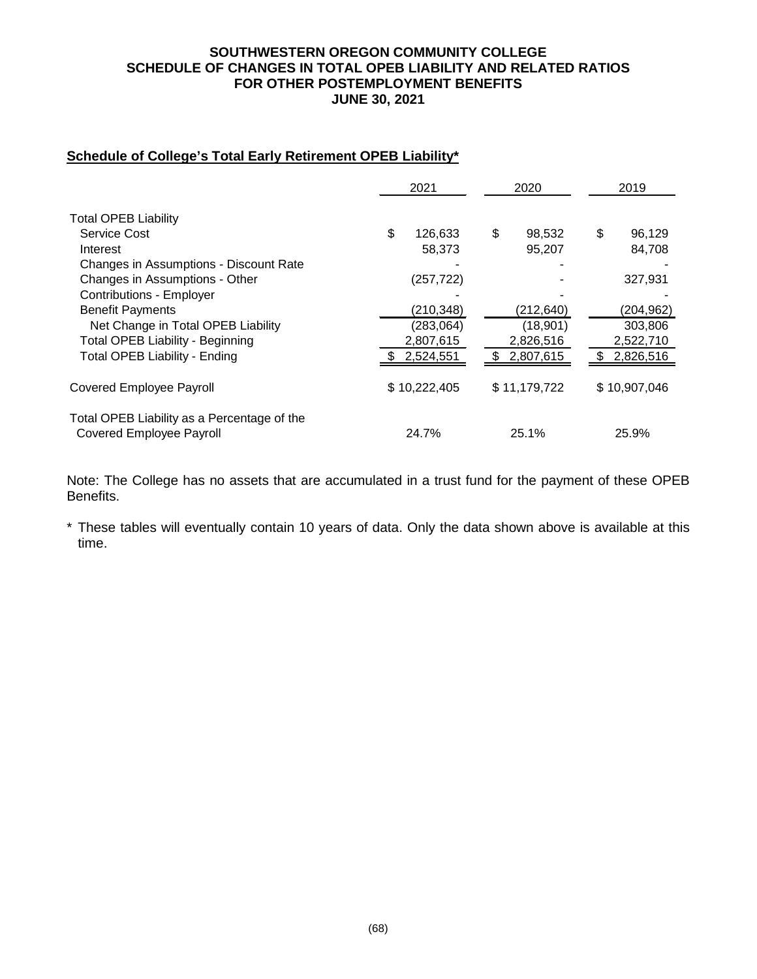## **SOUTHWESTERN OREGON COMMUNITY COLLEGE SCHEDULE OF CHANGES IN TOTAL OPEB LIABILITY AND RELATED RATIOS FOR OTHER POSTEMPLOYMENT BENEFITS JUNE 30, 2021**

# **Schedule of College's Total Early Retirement OPEB Liability\***

|                                                                                | 2021          | 2020             | 2019         |
|--------------------------------------------------------------------------------|---------------|------------------|--------------|
| <b>Total OPEB Liability</b>                                                    |               |                  |              |
| Service Cost                                                                   | \$<br>126,633 | \$<br>98,532     | \$<br>96,129 |
| Interest                                                                       |               | 95,207<br>58,373 | 84,708       |
| Changes in Assumptions - Discount Rate                                         |               |                  |              |
| Changes in Assumptions - Other                                                 | (257, 722)    |                  | 327,931      |
| <b>Contributions - Employer</b>                                                |               |                  |              |
| <b>Benefit Payments</b>                                                        | (210, 348)    | (212,640)        | (204, 962)   |
| Net Change in Total OPEB Liability                                             | (283,064)     | (18,901)         | 303,806      |
| <b>Total OPEB Liability - Beginning</b>                                        | 2,807,615     | 2,826,516        | 2,522,710    |
| <b>Total OPEB Liability - Ending</b>                                           | 2,524,551     | 2,807,615<br>\$. | 2,826,516    |
| <b>Covered Employee Payroll</b>                                                | \$10,222,405  | \$11,179,722     | \$10,907,046 |
| Total OPEB Liability as a Percentage of the<br><b>Covered Employee Payroll</b> | 24.7%         | 25.1%            | 25.9%        |

Note: The College has no assets that are accumulated in a trust fund for the payment of these OPEB Benefits.

\* These tables will eventually contain 10 years of data. Only the data shown above is available at this time.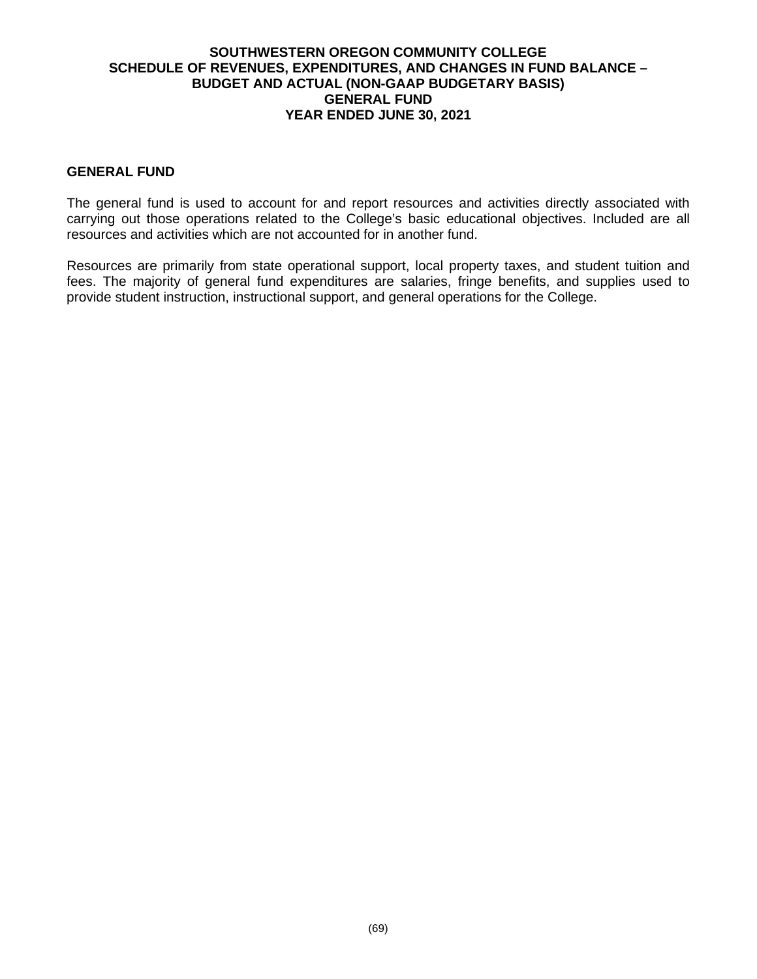## **SOUTHWESTERN OREGON COMMUNITY COLLEGE SCHEDULE OF REVENUES, EXPENDITURES, AND CHANGES IN FUND BALANCE – BUDGET AND ACTUAL (NON-GAAP BUDGETARY BASIS) GENERAL FUND YEAR ENDED JUNE 30, 2021**

## **GENERAL FUND**

The general fund is used to account for and report resources and activities directly associated with carrying out those operations related to the College's basic educational objectives. Included are all resources and activities which are not accounted for in another fund.

Resources are primarily from state operational support, local property taxes, and student tuition and fees. The majority of general fund expenditures are salaries, fringe benefits, and supplies used to provide student instruction, instructional support, and general operations for the College.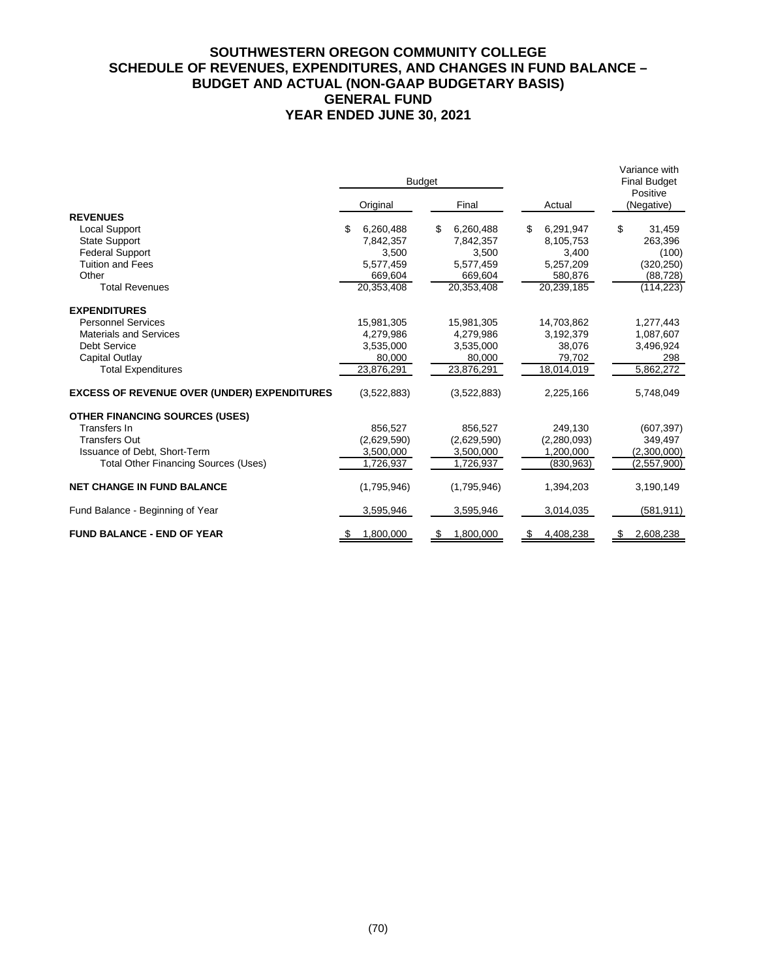# **SOUTHWESTERN OREGON COMMUNITY COLLEGE SCHEDULE OF REVENUES, EXPENDITURES, AND CHANGES IN FUND BALANCE – BUDGET AND ACTUAL (NON-GAAP BUDGETARY BASIS) GENERAL FUND YEAR ENDED JUNE 30, 2021**

|                                                    |                  | <b>Budget</b>   |                 | Variance with<br><b>Final Budget</b><br>Positive<br>(Negative) |  |  |
|----------------------------------------------------|------------------|-----------------|-----------------|----------------------------------------------------------------|--|--|
|                                                    | Original         | Final           | Actual          |                                                                |  |  |
| <b>REVENUES</b>                                    |                  |                 |                 |                                                                |  |  |
| Local Support                                      | 6,260,488<br>\$. | \$<br>6,260,488 | 6,291,947<br>\$ | \$<br>31,459                                                   |  |  |
| <b>State Support</b>                               | 7.842.357        | 7.842.357       | 8,105,753       | 263.396                                                        |  |  |
| <b>Federal Support</b>                             | 3,500            | 3,500           | 3,400           | (100)                                                          |  |  |
| <b>Tuition and Fees</b>                            | 5,577,459        | 5,577,459       | 5,257,209       | (320, 250)                                                     |  |  |
| Other                                              | 669,604          | 669,604         | 580,876         | (88, 728)                                                      |  |  |
| <b>Total Revenues</b>                              | 20,353,408       | 20,353,408      | 20,239,185      | (114, 223)                                                     |  |  |
| <b>EXPENDITURES</b>                                |                  |                 |                 |                                                                |  |  |
| <b>Personnel Services</b>                          | 15,981,305       | 15,981,305      | 14,703,862      | 1,277,443                                                      |  |  |
| <b>Materials and Services</b>                      | 4,279,986        | 4,279,986       | 3,192,379       | 1,087,607                                                      |  |  |
| <b>Debt Service</b>                                | 3,535,000        | 3,535,000       | 38,076          | 3,496,924                                                      |  |  |
| Capital Outlay                                     | 80,000           | 80,000          | 79,702          | 298                                                            |  |  |
| <b>Total Expenditures</b>                          | 23,876,291       | 23,876,291      | 18,014,019      | 5,862,272                                                      |  |  |
| <b>EXCESS OF REVENUE OVER (UNDER) EXPENDITURES</b> | (3,522,883)      | (3,522,883)     | 2,225,166       | 5,748,049                                                      |  |  |
| <b>OTHER FINANCING SOURCES (USES)</b>              |                  |                 |                 |                                                                |  |  |
| Transfers In                                       | 856.527          | 856.527         | 249,130         | (607, 397)                                                     |  |  |
| <b>Transfers Out</b>                               | (2,629,590)      | (2,629,590)     | (2,280,093)     | 349,497                                                        |  |  |
| Issuance of Debt, Short-Term                       | 3,500,000        | 3,500,000       | 1.200.000       | (2,300,000)                                                    |  |  |
| <b>Total Other Financing Sources (Uses)</b>        | 1,726,937        | 1,726,937       | (830, 963)      | (2,557,900)                                                    |  |  |
| <b>NET CHANGE IN FUND BALANCE</b>                  | (1,795,946)      | (1,795,946)     | 1,394,203       | 3,190,149                                                      |  |  |
| Fund Balance - Beginning of Year                   | 3,595,946        | 3,595,946       | 3,014,035       | (581, 911)                                                     |  |  |
| <b>FUND BALANCE - END OF YEAR</b>                  | 1,800,000        | 1,800,000       | 4,408,238       | 2,608,238                                                      |  |  |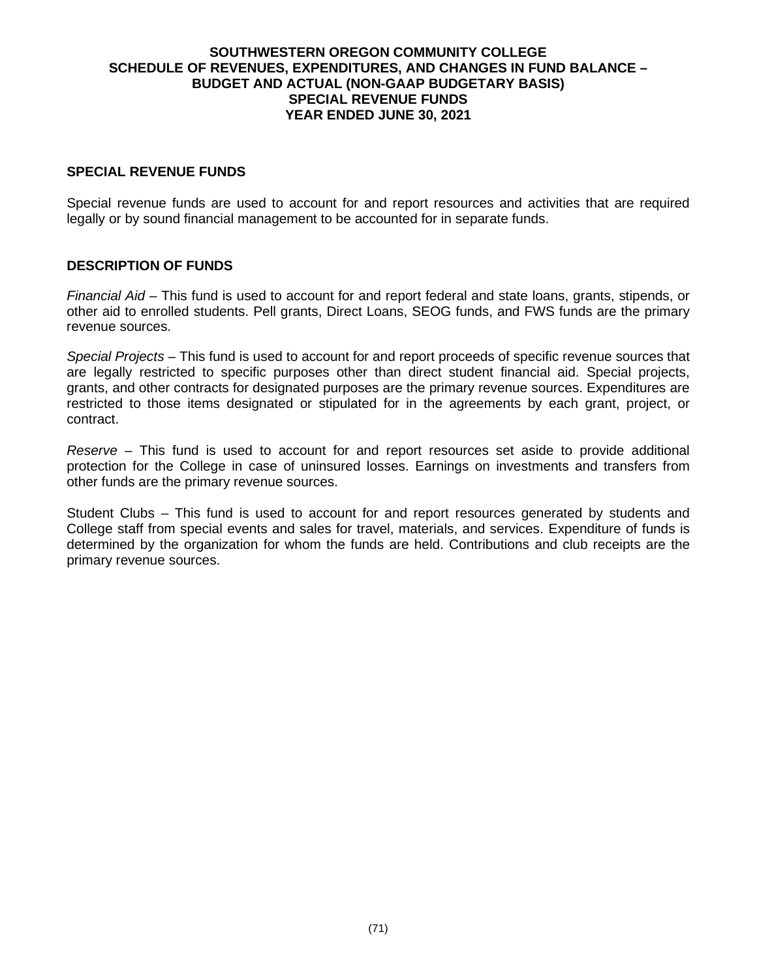### **SOUTHWESTERN OREGON COMMUNITY COLLEGE SCHEDULE OF REVENUES, EXPENDITURES, AND CHANGES IN FUND BALANCE – BUDGET AND ACTUAL (NON-GAAP BUDGETARY BASIS) SPECIAL REVENUE FUNDS YEAR ENDED JUNE 30, 2021**

## **SPECIAL REVENUE FUNDS**

Special revenue funds are used to account for and report resources and activities that are required legally or by sound financial management to be accounted for in separate funds.

## **DESCRIPTION OF FUNDS**

*Financial Aid* – This fund is used to account for and report federal and state loans, grants, stipends, or other aid to enrolled students. Pell grants, Direct Loans, SEOG funds, and FWS funds are the primary revenue sources.

*Special Projects* – This fund is used to account for and report proceeds of specific revenue sources that are legally restricted to specific purposes other than direct student financial aid. Special projects, grants, and other contracts for designated purposes are the primary revenue sources. Expenditures are restricted to those items designated or stipulated for in the agreements by each grant, project, or contract.

*Reserve* – This fund is used to account for and report resources set aside to provide additional protection for the College in case of uninsured losses. Earnings on investments and transfers from other funds are the primary revenue sources.

Student Clubs – This fund is used to account for and report resources generated by students and College staff from special events and sales for travel, materials, and services. Expenditure of funds is determined by the organization for whom the funds are held. Contributions and club receipts are the primary revenue sources.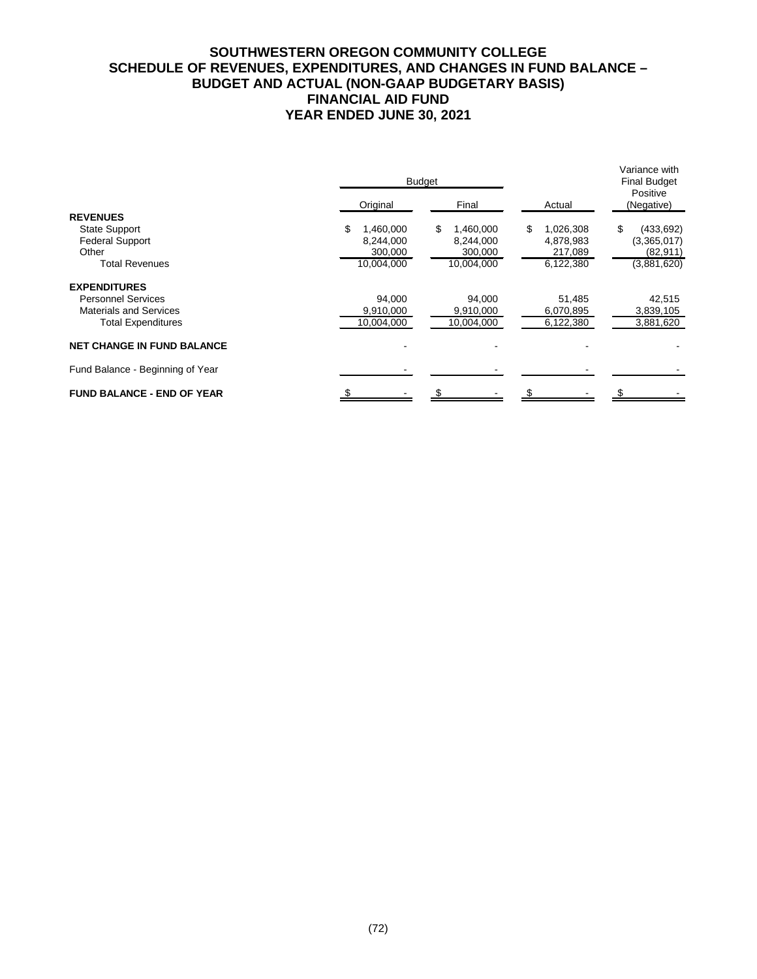# **SOUTHWESTERN OREGON COMMUNITY COLLEGE SCHEDULE OF REVENUES, EXPENDITURES, AND CHANGES IN FUND BALANCE – BUDGET AND ACTUAL (NON-GAAP BUDGETARY BASIS) FINANCIAL AID FUND YEAR ENDED JUNE 30, 2021**

|                                   |                | <b>Budget</b>  |                  | Variance with<br><b>Final Budget</b> |  |  |
|-----------------------------------|----------------|----------------|------------------|--------------------------------------|--|--|
|                                   | Original       | Final          | Actual           | Positive<br>(Negative)               |  |  |
| <b>REVENUES</b>                   |                |                |                  |                                      |  |  |
| <b>State Support</b>              | S<br>1,460,000 | S<br>1,460,000 | 1,026,308<br>\$. | \$<br>(433, 692)                     |  |  |
| <b>Federal Support</b>            | 8,244,000      | 8,244,000      | 4,878,983        | (3,365,017)                          |  |  |
| Other                             | 300,000        | 300,000        | 217,089          | (82, 911)                            |  |  |
| <b>Total Revenues</b>             | 10,004,000     | 10,004,000     | 6,122,380        | (3,881,620)                          |  |  |
| <b>EXPENDITURES</b>               |                |                |                  |                                      |  |  |
| <b>Personnel Services</b>         | 94.000         | 94,000         | 51,485           | 42,515                               |  |  |
| <b>Materials and Services</b>     | 9,910,000      | 9,910,000      | 6,070,895        | 3,839,105                            |  |  |
| <b>Total Expenditures</b>         | 10,004,000     | 10,004,000     | 6,122,380        | 3,881,620                            |  |  |
| <b>NET CHANGE IN FUND BALANCE</b> |                |                |                  |                                      |  |  |
| Fund Balance - Beginning of Year  |                |                |                  |                                      |  |  |
| <b>FUND BALANCE - END OF YEAR</b> |                |                |                  |                                      |  |  |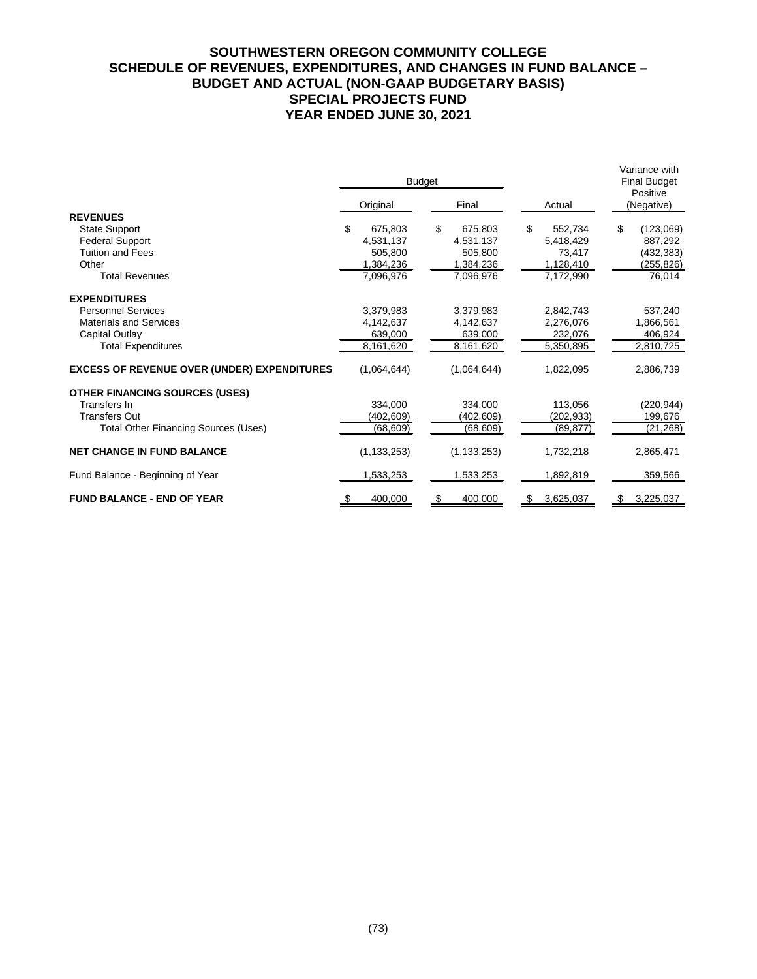# **SOUTHWESTERN OREGON COMMUNITY COLLEGE SCHEDULE OF REVENUES, EXPENDITURES, AND CHANGES IN FUND BALANCE – BUDGET AND ACTUAL (NON-GAAP BUDGETARY BASIS) SPECIAL PROJECTS FUND YEAR ENDED JUNE 30, 2021**

|                                                    |               | <b>Budget</b> |                | Variance with<br><b>Final Budget</b><br>Positive |
|----------------------------------------------------|---------------|---------------|----------------|--------------------------------------------------|
|                                                    | Original      | Final         | Actual         | (Negative)                                       |
| <b>REVENUES</b>                                    |               |               |                |                                                  |
| <b>State Support</b>                               | \$<br>675.803 | \$<br>675.803 | \$<br>552.734  | \$<br>(123,069)                                  |
| <b>Federal Support</b>                             | 4,531,137     | 4,531,137     | 5,418,429      | 887,292                                          |
| <b>Tuition and Fees</b>                            | 505.800       | 505.800       | 73,417         | (432,383)                                        |
| Other                                              | 1,384,236     | 1,384,236     | 1,128,410      | (255,826)                                        |
| <b>Total Revenues</b>                              | 7,096,976     | 7.096.976     | 7,172,990      | 76,014                                           |
| <b>EXPENDITURES</b>                                |               |               |                |                                                  |
| <b>Personnel Services</b>                          | 3.379.983     | 3.379.983     | 2.842.743      | 537,240                                          |
| <b>Materials and Services</b>                      | 4,142,637     | 4,142,637     | 2,276,076      | 1,866,561                                        |
| Capital Outlay                                     | 639,000       | 639,000       | 232,076        | 406,924                                          |
| <b>Total Expenditures</b>                          | 8,161,620     | 8,161,620     | 5,350,895      | 2,810,725                                        |
| <b>EXCESS OF REVENUE OVER (UNDER) EXPENDITURES</b> | (1,064,644)   | (1,064,644)   | 1,822,095      | 2,886,739                                        |
| <b>OTHER FINANCING SOURCES (USES)</b>              |               |               |                |                                                  |
| Transfers In                                       | 334,000       | 334,000       | 113,056        | (220, 944)                                       |
| <b>Transfers Out</b>                               | (402,609)     | (402,609)     | (202,933)      | 199,676                                          |
| <b>Total Other Financing Sources (Uses)</b>        | (68, 609)     | (68, 609)     | (89, 877)      | (21, 268)                                        |
| <b>NET CHANGE IN FUND BALANCE</b>                  | (1, 133, 253) | (1, 133, 253) | 1,732,218      | 2,865,471                                        |
| Fund Balance - Beginning of Year                   | 1,533,253     | 1,533,253     | 1,892,819      | 359,566                                          |
| <b>FUND BALANCE - END OF YEAR</b>                  | 400,000<br>\$ | 400,000<br>\$ | 3,625,037<br>S | 3,225,037<br>S                                   |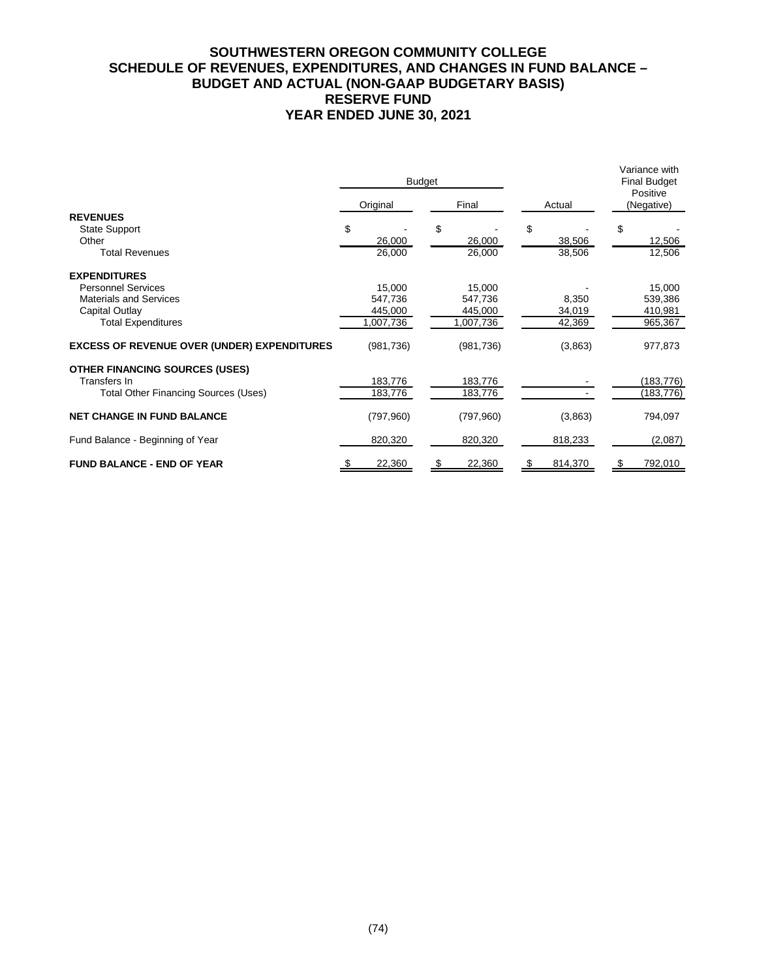# **SOUTHWESTERN OREGON COMMUNITY COLLEGE SCHEDULE OF REVENUES, EXPENDITURES, AND CHANGES IN FUND BALANCE – BUDGET AND ACTUAL (NON-GAAP BUDGETARY BASIS) RESERVE FUND YEAR ENDED JUNE 30, 2021**

|                                                    |            | <b>Budget</b> |         | Variance with<br><b>Final Budget</b><br>Positive |  |
|----------------------------------------------------|------------|---------------|---------|--------------------------------------------------|--|
|                                                    | Original   | Final         | Actual  | (Negative)                                       |  |
| <b>REVENUES</b>                                    |            |               |         |                                                  |  |
| <b>State Support</b>                               | \$         | \$            | \$      | \$                                               |  |
| Other                                              | 26,000     | 26,000        | 38,506  | 12,506                                           |  |
| <b>Total Revenues</b>                              | 26,000     | 26,000        | 38,506  | 12,506                                           |  |
| <b>EXPENDITURES</b>                                |            |               |         |                                                  |  |
| <b>Personnel Services</b>                          | 15,000     | 15,000        |         | 15,000                                           |  |
| <b>Materials and Services</b>                      | 547,736    | 547,736       | 8,350   | 539,386                                          |  |
| Capital Outlay                                     | 445,000    | 445,000       | 34,019  | 410,981                                          |  |
| <b>Total Expenditures</b>                          | 1,007,736  | 1,007,736     | 42,369  | 965,367                                          |  |
| <b>EXCESS OF REVENUE OVER (UNDER) EXPENDITURES</b> | (981, 736) | (981, 736)    | (3,863) | 977,873                                          |  |
| <b>OTHER FINANCING SOURCES (USES)</b>              |            |               |         |                                                  |  |
| Transfers In                                       | 183,776    | 183,776       |         | (183, 776)                                       |  |
| <b>Total Other Financing Sources (Uses)</b>        | 183,776    | 183,776       |         | (183, 776)                                       |  |
| <b>NET CHANGE IN FUND BALANCE</b>                  | (797,960)  | (797,960)     | (3,863) | 794,097                                          |  |
| Fund Balance - Beginning of Year                   | 820,320    | 820,320       | 818,233 | (2,087)                                          |  |
| <b>FUND BALANCE - END OF YEAR</b>                  | 22,360     | 22,360        | 814,370 | 792,010                                          |  |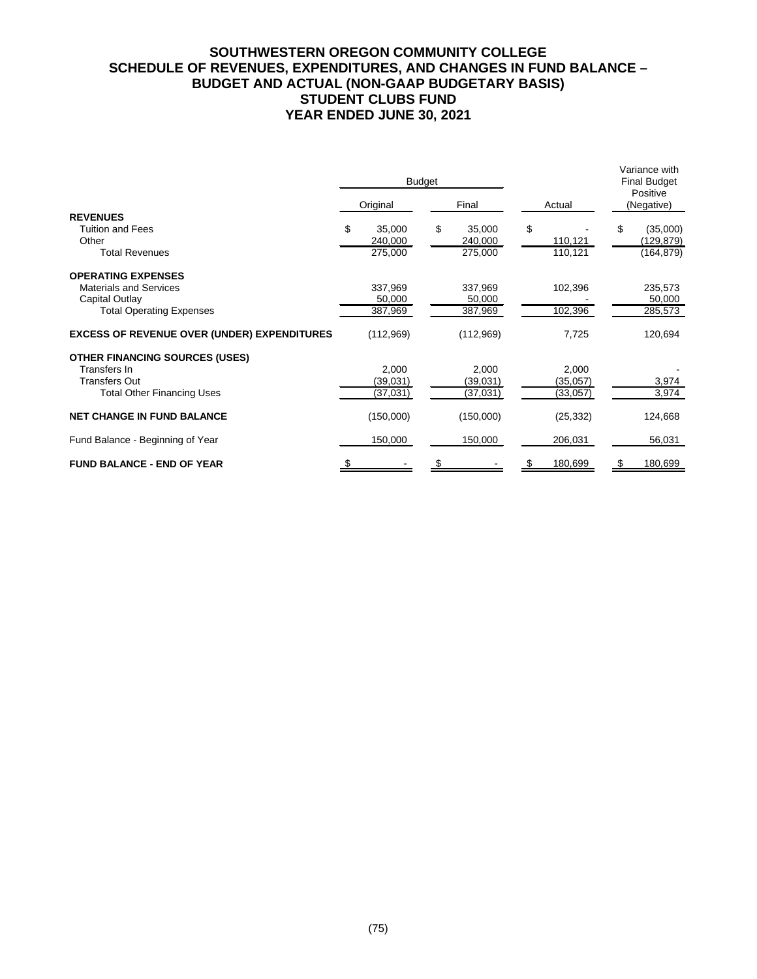# **SOUTHWESTERN OREGON COMMUNITY COLLEGE SCHEDULE OF REVENUES, EXPENDITURES, AND CHANGES IN FUND BALANCE – BUDGET AND ACTUAL (NON-GAAP BUDGETARY BASIS) STUDENT CLUBS FUND YEAR ENDED JUNE 30, 2021**

|                                                    | <b>Budget</b> |           |    |           |           | Variance with<br><b>Final Budget</b><br>Positive |  |  |
|----------------------------------------------------|---------------|-----------|----|-----------|-----------|--------------------------------------------------|--|--|
|                                                    |               | Original  |    | Final     | Actual    | (Negative)                                       |  |  |
| <b>REVENUES</b>                                    |               |           |    |           |           |                                                  |  |  |
| <b>Tuition and Fees</b>                            | \$            | 35.000    | \$ | 35.000    | \$        | \$<br>(35,000)                                   |  |  |
| Other                                              |               | 240,000   |    | 240,000   | 110,121   | (129, 879)                                       |  |  |
| <b>Total Revenues</b>                              |               | 275,000   |    | 275,000   | 110,121   | (164, 879)                                       |  |  |
| <b>OPERATING EXPENSES</b>                          |               |           |    |           |           |                                                  |  |  |
| <b>Materials and Services</b>                      |               | 337,969   |    | 337,969   | 102,396   | 235,573                                          |  |  |
| Capital Outlay                                     |               | 50,000    |    | 50,000    |           | 50,000                                           |  |  |
| <b>Total Operating Expenses</b>                    |               | 387,969   |    | 387,969   | 102,396   | 285,573                                          |  |  |
| <b>EXCESS OF REVENUE OVER (UNDER) EXPENDITURES</b> |               | (112,969) |    | (112,969) | 7,725     | 120,694                                          |  |  |
| <b>OTHER FINANCING SOURCES (USES)</b>              |               |           |    |           |           |                                                  |  |  |
| Transfers In                                       |               | 2,000     |    | 2,000     | 2,000     |                                                  |  |  |
| <b>Transfers Out</b>                               |               | (39,031)  |    | (39,031)  | (35,057)  | 3,974                                            |  |  |
| <b>Total Other Financing Uses</b>                  |               | (37,031)  |    | (37,031)  | (33,057)  | 3,974                                            |  |  |
| <b>NET CHANGE IN FUND BALANCE</b>                  |               | (150,000) |    | (150,000) | (25, 332) | 124,668                                          |  |  |
| Fund Balance - Beginning of Year                   |               | 150,000   |    | 150,000   | 206,031   | 56,031                                           |  |  |
| <b>FUND BALANCE - END OF YEAR</b>                  |               |           |    |           | 180,699   | 180,699                                          |  |  |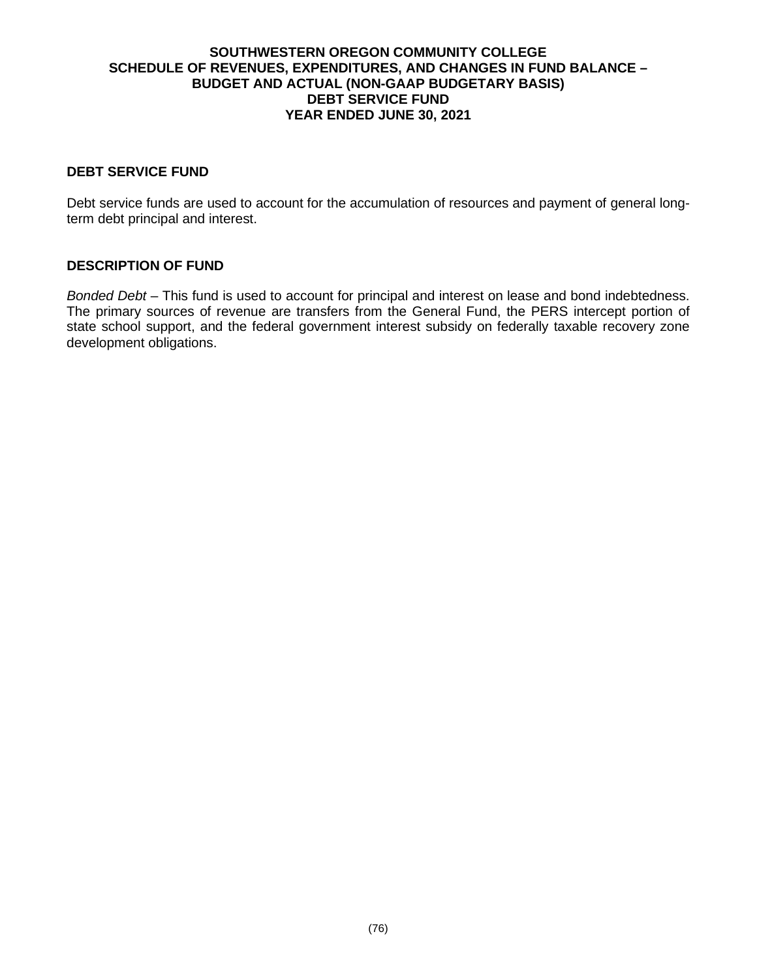### **SOUTHWESTERN OREGON COMMUNITY COLLEGE SCHEDULE OF REVENUES, EXPENDITURES, AND CHANGES IN FUND BALANCE – BUDGET AND ACTUAL (NON-GAAP BUDGETARY BASIS) DEBT SERVICE FUND YEAR ENDED JUNE 30, 2021**

## **DEBT SERVICE FUND**

Debt service funds are used to account for the accumulation of resources and payment of general longterm debt principal and interest.

# **DESCRIPTION OF FUND**

*Bonded Debt* – This fund is used to account for principal and interest on lease and bond indebtedness. The primary sources of revenue are transfers from the General Fund, the PERS intercept portion of state school support, and the federal government interest subsidy on federally taxable recovery zone development obligations.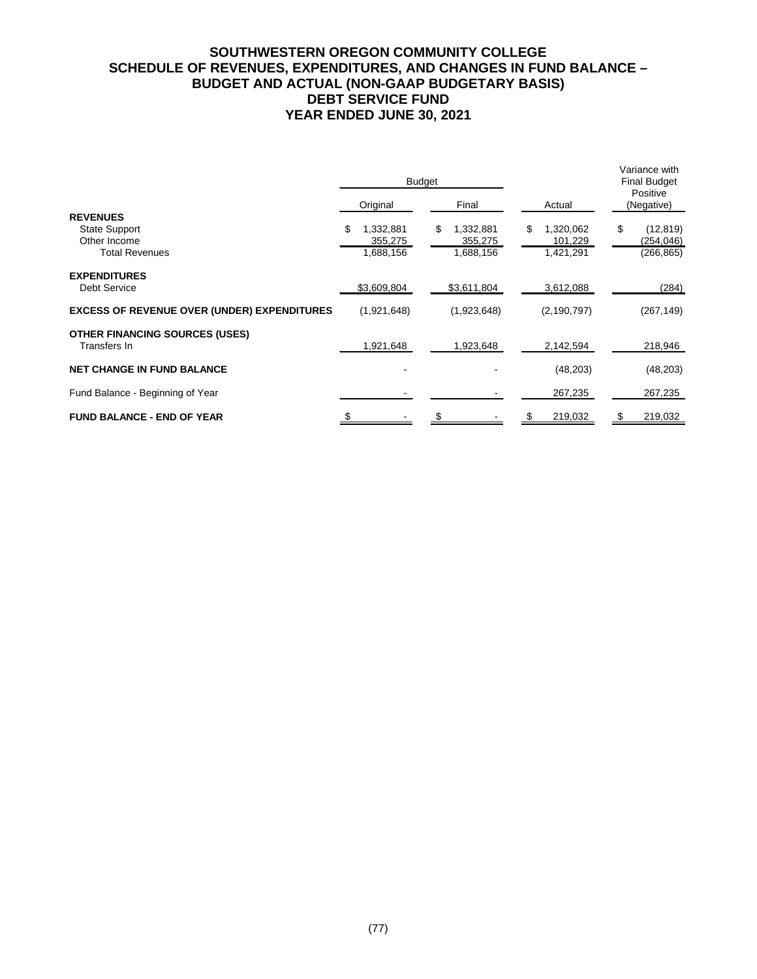# **SOUTHWESTERN OREGON COMMUNITY COLLEGE SCHEDULE OF REVENUES, EXPENDITURES, AND CHANGES IN FUND BALANCE – BUDGET AND ACTUAL (NON-GAAP BUDGETARY BASIS) DEBT SERVICE FUND YEAR ENDED JUNE 30, 2021**

|                                                    |                      | <b>Budget</b>              |                            | Variance with<br><b>Final Budget</b><br>Positive |  |  |
|----------------------------------------------------|----------------------|----------------------------|----------------------------|--------------------------------------------------|--|--|
|                                                    | Original             | Final                      | Actual                     | (Negative)                                       |  |  |
| <b>REVENUES</b>                                    | \$                   |                            |                            |                                                  |  |  |
| <b>State Support</b><br>Other Income               | 1,332,881<br>355,275 | \$<br>1,332,881<br>355,275 | 1,320,062<br>\$<br>101,229 | \$<br>(12, 819)<br>(254, 046)                    |  |  |
| <b>Total Revenues</b>                              | 1,688,156            | 1,688,156                  | 1,421,291                  | (266, 865)                                       |  |  |
| <b>EXPENDITURES</b>                                |                      |                            |                            |                                                  |  |  |
| <b>Debt Service</b>                                | \$3,609,804          | \$3,611,804                | 3,612,088                  | (284)                                            |  |  |
| <b>EXCESS OF REVENUE OVER (UNDER) EXPENDITURES</b> | (1,921,648)          | (1,923,648)                | (2, 190, 797)              | (267, 149)                                       |  |  |
| <b>OTHER FINANCING SOURCES (USES)</b>              |                      |                            |                            |                                                  |  |  |
| Transfers In                                       | 1,921,648            | 1,923,648                  | 2,142,594                  | 218,946                                          |  |  |
| <b>NET CHANGE IN FUND BALANCE</b>                  |                      |                            | (48, 203)                  | (48, 203)                                        |  |  |
| Fund Balance - Beginning of Year                   |                      |                            | 267,235                    | 267,235                                          |  |  |
| <b>FUND BALANCE - END OF YEAR</b>                  |                      |                            | 219,032                    | 219,032                                          |  |  |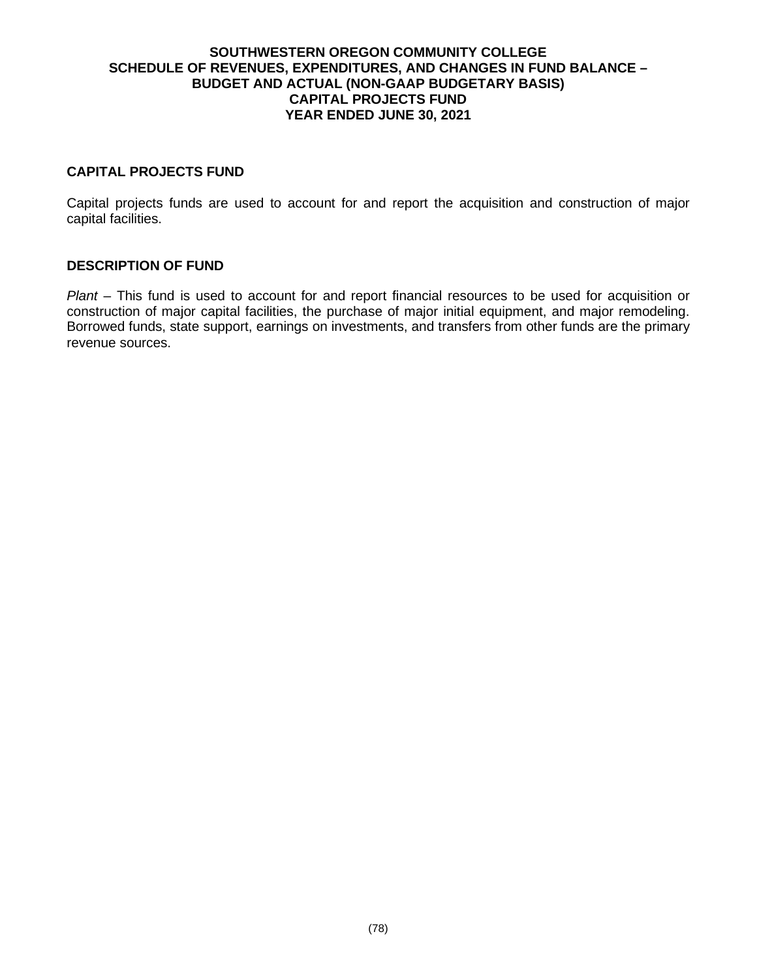### **SOUTHWESTERN OREGON COMMUNITY COLLEGE SCHEDULE OF REVENUES, EXPENDITURES, AND CHANGES IN FUND BALANCE – BUDGET AND ACTUAL (NON-GAAP BUDGETARY BASIS) CAPITAL PROJECTS FUND YEAR ENDED JUNE 30, 2021**

## **CAPITAL PROJECTS FUND**

Capital projects funds are used to account for and report the acquisition and construction of major capital facilities.

### **DESCRIPTION OF FUND**

*Plant* – This fund is used to account for and report financial resources to be used for acquisition or construction of major capital facilities, the purchase of major initial equipment, and major remodeling. Borrowed funds, state support, earnings on investments, and transfers from other funds are the primary revenue sources.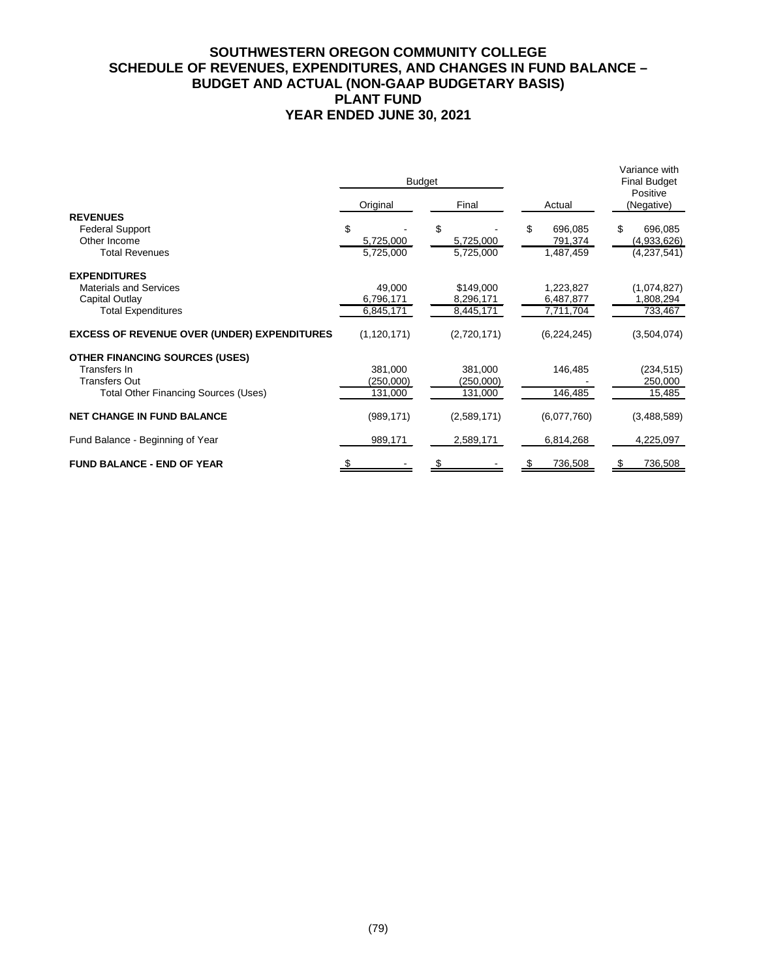# **SOUTHWESTERN OREGON COMMUNITY COLLEGE SCHEDULE OF REVENUES, EXPENDITURES, AND CHANGES IN FUND BALANCE – BUDGET AND ACTUAL (NON-GAAP BUDGETARY BASIS) PLANT FUND YEAR ENDED JUNE 30, 2021**

|                                                    |               | <b>Budget</b> |               | Variance with<br><b>Final Budget</b><br>Positive<br>(Negative) |  |
|----------------------------------------------------|---------------|---------------|---------------|----------------------------------------------------------------|--|
|                                                    | Original      | Final         | Actual        |                                                                |  |
| <b>REVENUES</b>                                    |               |               |               |                                                                |  |
| <b>Federal Support</b>                             | \$            | \$            | 696,085<br>\$ | \$<br>696,085                                                  |  |
| Other Income                                       | 5,725,000     | 5,725,000     | 791,374       | (4,933,626)                                                    |  |
| <b>Total Revenues</b>                              | 5,725,000     | 5,725,000     | 1,487,459     | (4,237,541)                                                    |  |
| <b>EXPENDITURES</b>                                |               |               |               |                                                                |  |
| <b>Materials and Services</b>                      | 49,000        | \$149,000     | 1,223,827     | (1,074,827)                                                    |  |
| Capital Outlay                                     | 6,796,171     | 8,296,171     | 6,487,877     | 1,808,294                                                      |  |
| <b>Total Expenditures</b>                          | 6,845,171     | 8,445,171     | 7,711,704     | 733,467                                                        |  |
| <b>EXCESS OF REVENUE OVER (UNDER) EXPENDITURES</b> | (1, 120, 171) | (2,720,171)   | (6, 224, 245) | (3,504,074)                                                    |  |
| <b>OTHER FINANCING SOURCES (USES)</b>              |               |               |               |                                                                |  |
| Transfers In                                       | 381.000       | 381,000       | 146,485       | (234, 515)                                                     |  |
| <b>Transfers Out</b>                               | (250,000)     | (250,000)     |               | 250,000                                                        |  |
| <b>Total Other Financing Sources (Uses)</b>        | 131,000       | 131,000       | 146,485       | 15,485                                                         |  |
| <b>NET CHANGE IN FUND BALANCE</b>                  | (989, 171)    | (2,589,171)   | (6,077,760)   | (3,488,589)                                                    |  |
| Fund Balance - Beginning of Year                   | 989,171       | 2,589,171     | 6,814,268     | 4,225,097                                                      |  |
| <b>FUND BALANCE - END OF YEAR</b>                  |               |               | 736,508       | 736,508                                                        |  |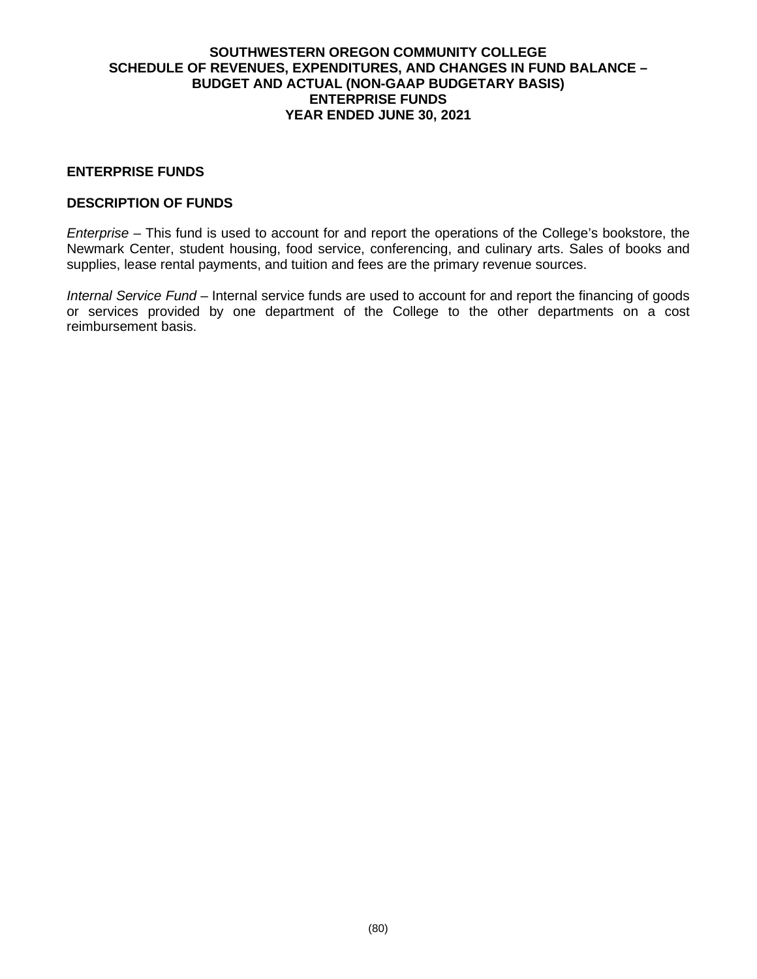## **SOUTHWESTERN OREGON COMMUNITY COLLEGE SCHEDULE OF REVENUES, EXPENDITURES, AND CHANGES IN FUND BALANCE – BUDGET AND ACTUAL (NON-GAAP BUDGETARY BASIS) ENTERPRISE FUNDS YEAR ENDED JUNE 30, 2021**

## **ENTERPRISE FUNDS**

## **DESCRIPTION OF FUNDS**

*Enterprise* – This fund is used to account for and report the operations of the College's bookstore, the Newmark Center, student housing, food service, conferencing, and culinary arts. Sales of books and supplies, lease rental payments, and tuition and fees are the primary revenue sources.

*Internal Service Fund* – Internal service funds are used to account for and report the financing of goods or services provided by one department of the College to the other departments on a cost reimbursement basis.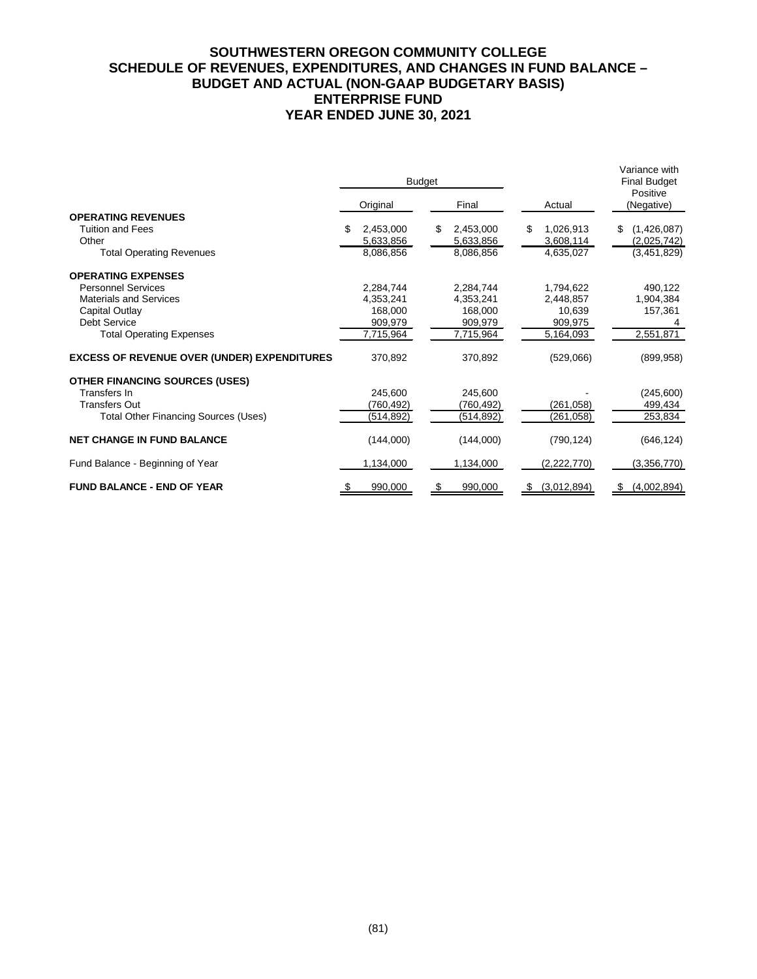# **SOUTHWESTERN OREGON COMMUNITY COLLEGE SCHEDULE OF REVENUES, EXPENDITURES, AND CHANGES IN FUND BALANCE – BUDGET AND ACTUAL (NON-GAAP BUDGETARY BASIS) ENTERPRISE FUND YEAR ENDED JUNE 30, 2021**

|                                                    |          | <b>Budget</b> |   |            |   |             | Variance with<br><b>Final Budget</b><br>Positive |             |  |
|----------------------------------------------------|----------|---------------|---|------------|---|-------------|--------------------------------------------------|-------------|--|
|                                                    | Original |               |   | Final      |   | Actual      |                                                  | (Negative)  |  |
| <b>OPERATING REVENUES</b>                          |          |               |   |            |   |             |                                                  |             |  |
| <b>Tuition and Fees</b>                            | S        | 2,453,000     | S | 2,453,000  | S | 1,026,913   | S.                                               | (1,426,087) |  |
| Other                                              |          | 5,633,856     |   | 5,633,856  |   | 3,608,114   |                                                  | (2,025,742) |  |
| <b>Total Operating Revenues</b>                    |          | 8,086,856     |   | 8,086,856  |   | 4,635,027   |                                                  | (3,451,829) |  |
| <b>OPERATING EXPENSES</b>                          |          |               |   |            |   |             |                                                  |             |  |
| <b>Personnel Services</b>                          |          | 2,284,744     |   | 2,284,744  |   | 1,794,622   |                                                  | 490,122     |  |
| <b>Materials and Services</b>                      |          | 4,353,241     |   | 4,353,241  |   | 2,448,857   |                                                  | 1,904,384   |  |
| Capital Outlay                                     |          | 168,000       |   | 168,000    |   | 10,639      |                                                  | 157,361     |  |
| Debt Service                                       |          | 909,979       |   | 909,979    |   | 909,975     |                                                  |             |  |
| <b>Total Operating Expenses</b>                    |          | 7,715,964     |   | 7,715,964  |   | 5,164,093   |                                                  | 2,551,871   |  |
| <b>EXCESS OF REVENUE OVER (UNDER) EXPENDITURES</b> |          | 370,892       |   | 370,892    |   | (529,066)   |                                                  | (899, 958)  |  |
| <b>OTHER FINANCING SOURCES (USES)</b>              |          |               |   |            |   |             |                                                  |             |  |
| Transfers In                                       |          | 245,600       |   | 245.600    |   |             |                                                  | (245,600)   |  |
| <b>Transfers Out</b>                               |          | (760, 492)    |   | (760, 492) |   | (261, 058)  |                                                  | 499,434     |  |
| <b>Total Other Financing Sources (Uses)</b>        |          | (514, 892)    |   | (514, 892) |   | (261, 058)  |                                                  | 253,834     |  |
| <b>NET CHANGE IN FUND BALANCE</b>                  |          | (144,000)     |   | (144,000)  |   | (790, 124)  |                                                  | (646, 124)  |  |
| Fund Balance - Beginning of Year                   |          | 1,134,000     |   | 1,134,000  |   | (2,222,770) |                                                  | (3,356,770) |  |
| <b>FUND BALANCE - END OF YEAR</b>                  |          | 990,000       |   | 990.000    |   | (3,012,894) | S                                                | (4,002,894) |  |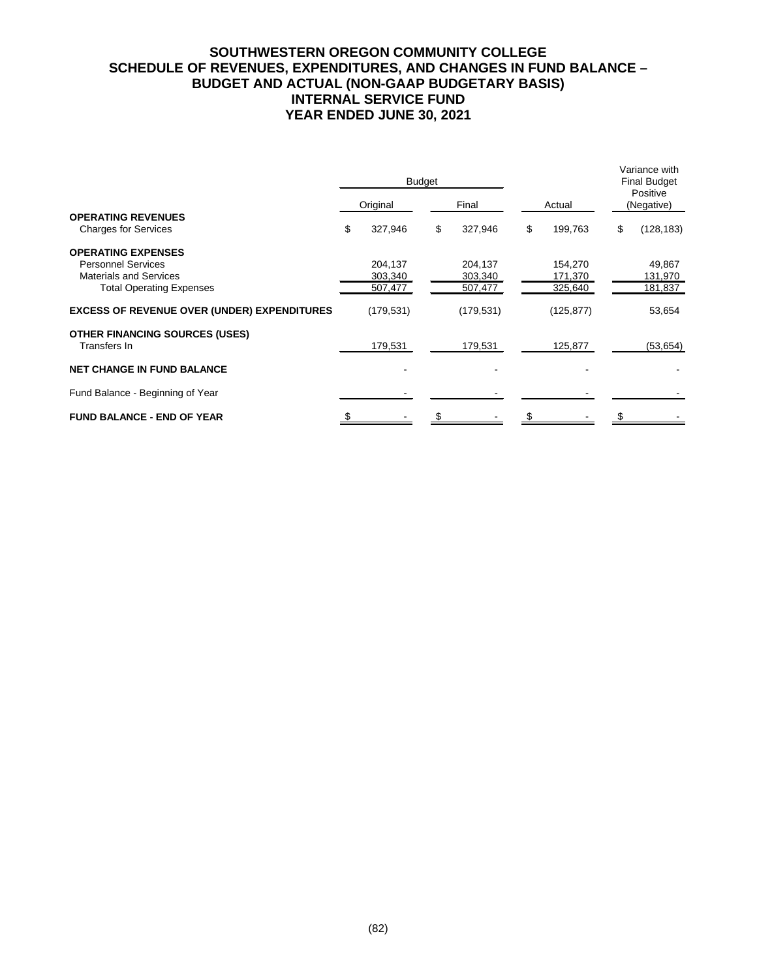# **SOUTHWESTERN OREGON COMMUNITY COLLEGE SCHEDULE OF REVENUES, EXPENDITURES, AND CHANGES IN FUND BALANCE – BUDGET AND ACTUAL (NON-GAAP BUDGETARY BASIS) INTERNAL SERVICE FUND YEAR ENDED JUNE 30, 2021**

|                                                          | <b>Budget</b> |            |       |            |               | Variance with<br><b>Final Budget</b><br>Positive |
|----------------------------------------------------------|---------------|------------|-------|------------|---------------|--------------------------------------------------|
|                                                          |               | Original   | Final |            | Actual        | (Negative)                                       |
| <b>OPERATING REVENUES</b><br><b>Charges for Services</b> | \$            | 327,946    | \$    | 327,946    | \$<br>199,763 | \$<br>(128, 183)                                 |
| <b>OPERATING EXPENSES</b>                                |               |            |       |            |               |                                                  |
| <b>Personnel Services</b>                                |               | 204,137    |       | 204,137    | 154,270       | 49,867                                           |
| <b>Materials and Services</b>                            |               | 303,340    |       | 303,340    | 171,370       | 131,970                                          |
| <b>Total Operating Expenses</b>                          |               | 507,477    |       | 507,477    | 325,640       | 181,837                                          |
| <b>EXCESS OF REVENUE OVER (UNDER) EXPENDITURES</b>       |               | (179, 531) |       | (179, 531) | (125, 877)    | 53,654                                           |
| <b>OTHER FINANCING SOURCES (USES)</b><br>Transfers In    |               | 179,531    |       | 179,531    | 125,877       | (53, 654)                                        |
| <b>NET CHANGE IN FUND BALANCE</b>                        |               |            |       |            |               |                                                  |
| Fund Balance - Beginning of Year                         |               |            |       |            |               |                                                  |
| <b>FUND BALANCE - END OF YEAR</b>                        |               |            |       |            |               |                                                  |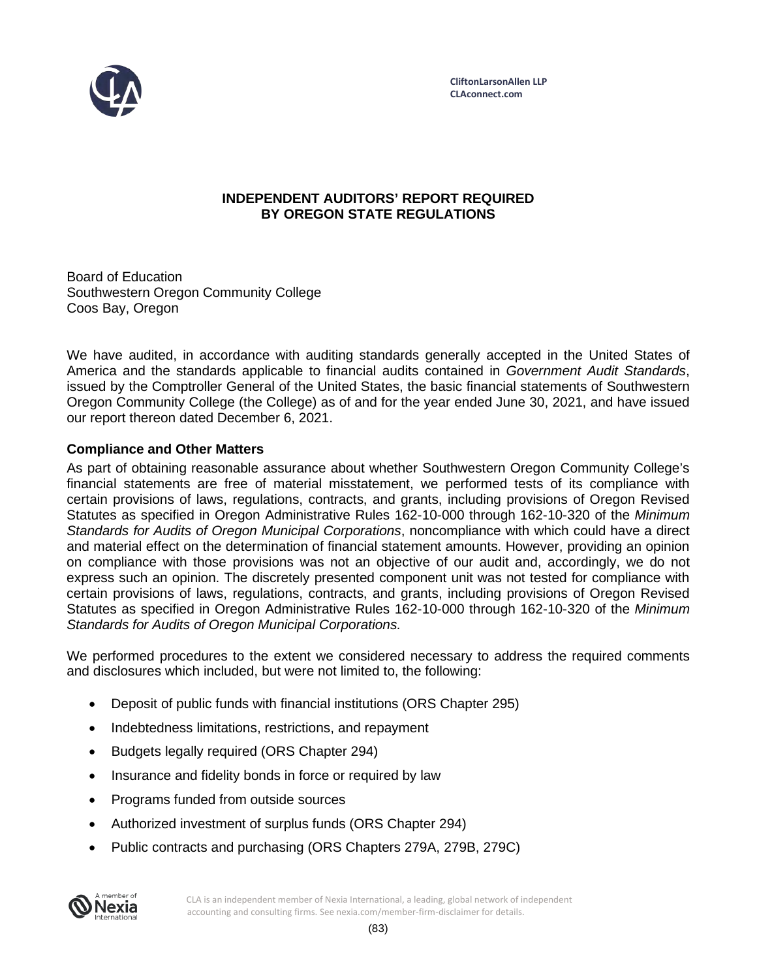

# **INDEPENDENT AUDITORS' REPORT REQUIRED BY OREGON STATE REGULATIONS**

Board of Education Southwestern Oregon Community College Coos Bay, Oregon

We have audited, in accordance with auditing standards generally accepted in the United States of America and the standards applicable to financial audits contained in *Government Audit Standards*, issued by the Comptroller General of the United States, the basic financial statements of Southwestern Oregon Community College (the College) as of and for the year ended June 30, 2021, and have issued our report thereon dated December 6, 2021.

# **Compliance and Other Matters**

As part of obtaining reasonable assurance about whether Southwestern Oregon Community College's financial statements are free of material misstatement, we performed tests of its compliance with certain provisions of laws, regulations, contracts, and grants, including provisions of Oregon Revised Statutes as specified in Oregon Administrative Rules 162-10-000 through 162-10-320 of the *Minimum Standards for Audits of Oregon Municipal Corporations*, noncompliance with which could have a direct and material effect on the determination of financial statement amounts. However, providing an opinion on compliance with those provisions was not an objective of our audit and, accordingly, we do not express such an opinion. The discretely presented component unit was not tested for compliance with certain provisions of laws, regulations, contracts, and grants, including provisions of Oregon Revised Statutes as specified in Oregon Administrative Rules 162-10-000 through 162-10-320 of the *Minimum Standards for Audits of Oregon Municipal Corporations.*

We performed procedures to the extent we considered necessary to address the required comments and disclosures which included, but were not limited to, the following:

- Deposit of public funds with financial institutions (ORS Chapter 295)
- Indebtedness limitations, restrictions, and repayment
- Budgets legally required (ORS Chapter 294)
- Insurance and fidelity bonds in force or required by law
- Programs funded from outside sources
- Authorized investment of surplus funds (ORS Chapter 294)
- Public contracts and purchasing (ORS Chapters 279A, 279B, 279C)

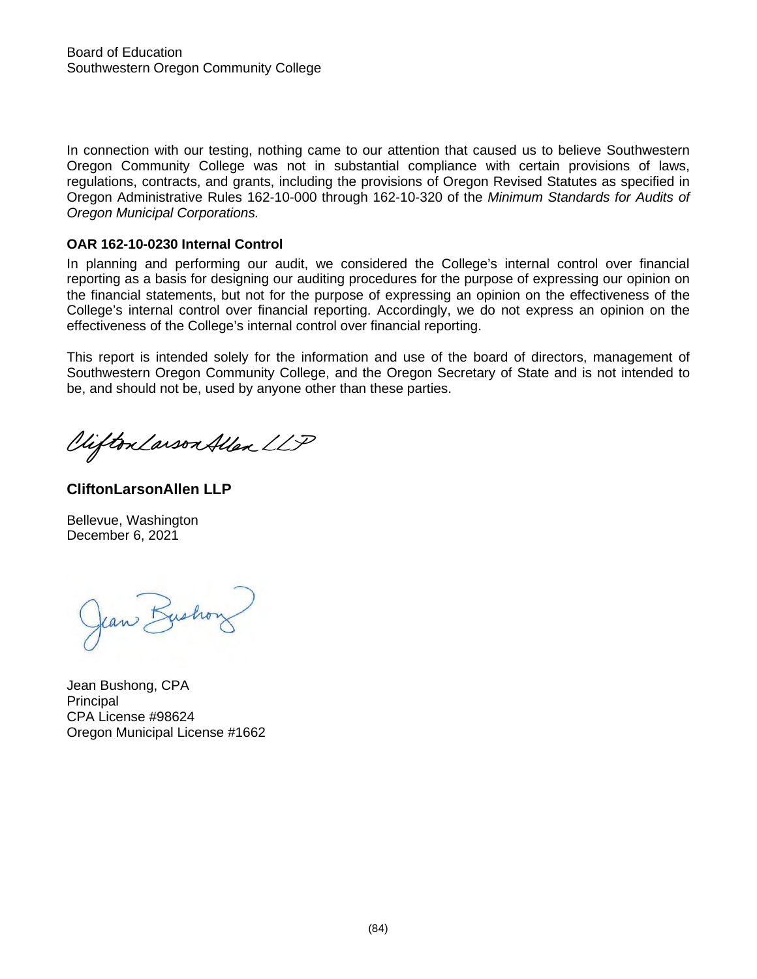In connection with our testing, nothing came to our attention that caused us to believe Southwestern Oregon Community College was not in substantial compliance with certain provisions of laws, regulations, contracts, and grants, including the provisions of Oregon Revised Statutes as specified in Oregon Administrative Rules 162-10-000 through 162-10-320 of the *Minimum Standards for Audits of Oregon Municipal Corporations.* 

## **OAR 162-10-0230 Internal Control**

In planning and performing our audit, we considered the College's internal control over financial reporting as a basis for designing our auditing procedures for the purpose of expressing our opinion on the financial statements, but not for the purpose of expressing an opinion on the effectiveness of the College's internal control over financial reporting. Accordingly, we do not express an opinion on the effectiveness of the College's internal control over financial reporting.

This report is intended solely for the information and use of the board of directors, management of Southwestern Oregon Community College, and the Oregon Secretary of State and is not intended to be, and should not be, used by anyone other than these parties.

Viifton Larson Allen LLP

**CliftonLarsonAllen LLP**

Bellevue, Washington December 6, 2021

Jean Bushon

Jean Bushong, CPA Principal CPA License #98624 Oregon Municipal License #1662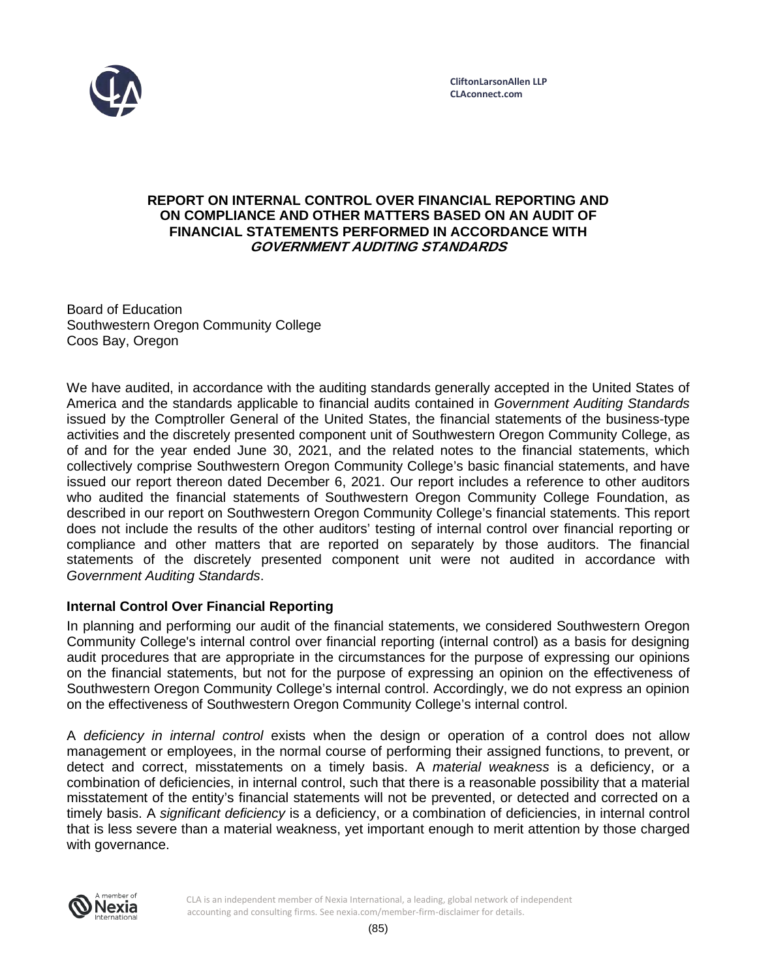

## **REPORT ON INTERNAL CONTROL OVER FINANCIAL REPORTING AND ON COMPLIANCE AND OTHER MATTERS BASED ON AN AUDIT OF FINANCIAL STATEMENTS PERFORMED IN ACCORDANCE WITH GOVERNMENT AUDITING STANDARDS**

Board of Education Southwestern Oregon Community College Coos Bay, Oregon

We have audited, in accordance with the auditing standards generally accepted in the United States of America and the standards applicable to financial audits contained in *Government Auditing Standards* issued by the Comptroller General of the United States, the financial statements of the business-type activities and the discretely presented component unit of Southwestern Oregon Community College, as of and for the year ended June 30, 2021, and the related notes to the financial statements, which collectively comprise Southwestern Oregon Community College's basic financial statements, and have issued our report thereon dated December 6, 2021. Our report includes a reference to other auditors who audited the financial statements of Southwestern Oregon Community College Foundation, as described in our report on Southwestern Oregon Community College's financial statements. This report does not include the results of the other auditors' testing of internal control over financial reporting or compliance and other matters that are reported on separately by those auditors. The financial statements of the discretely presented component unit were not audited in accordance with *Government Auditing Standards*.

# **Internal Control Over Financial Reporting**

In planning and performing our audit of the financial statements, we considered Southwestern Oregon Community College's internal control over financial reporting (internal control) as a basis for designing audit procedures that are appropriate in the circumstances for the purpose of expressing our opinions on the financial statements, but not for the purpose of expressing an opinion on the effectiveness of Southwestern Oregon Community College's internal control. Accordingly, we do not express an opinion on the effectiveness of Southwestern Oregon Community College's internal control.

A *deficiency in internal control* exists when the design or operation of a control does not allow management or employees, in the normal course of performing their assigned functions, to prevent, or detect and correct, misstatements on a timely basis. A *material weakness* is a deficiency, or a combination of deficiencies, in internal control, such that there is a reasonable possibility that a material misstatement of the entity's financial statements will not be prevented, or detected and corrected on a timely basis. A *significant deficiency* is a deficiency, or a combination of deficiencies, in internal control that is less severe than a material weakness, yet important enough to merit attention by those charged with governance.



CLA is an independent member of Nexia International, a leading, global network of independent accounting and consulting firms. See nexia.com/member-firm-disclaimer for details.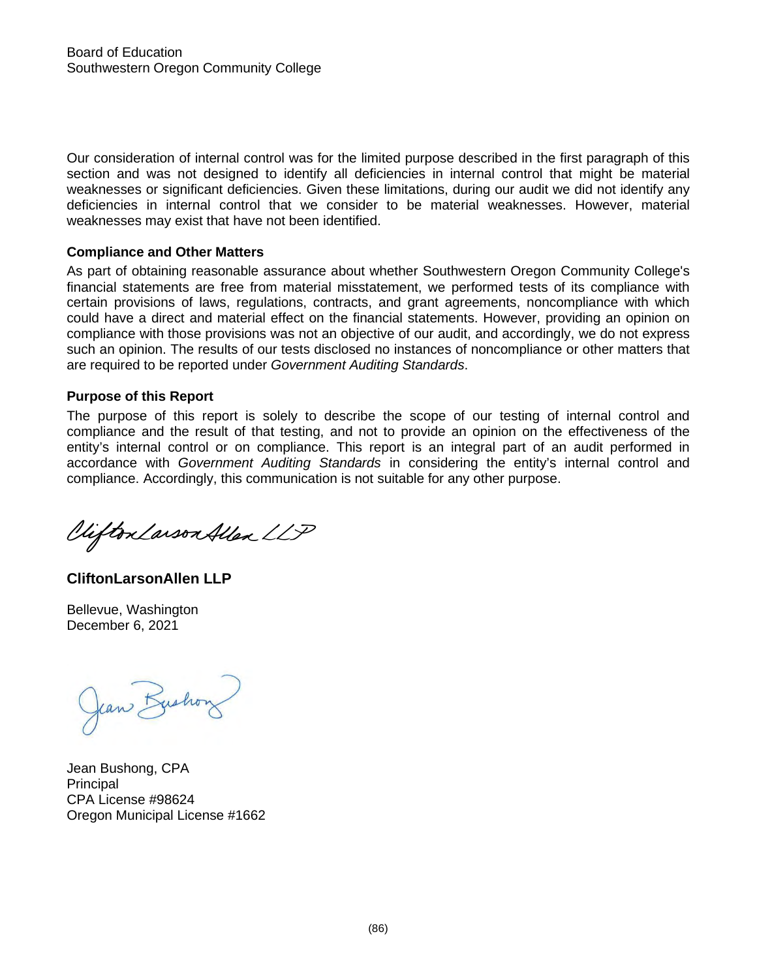Our consideration of internal control was for the limited purpose described in the first paragraph of this section and was not designed to identify all deficiencies in internal control that might be material weaknesses or significant deficiencies. Given these limitations, during our audit we did not identify any deficiencies in internal control that we consider to be material weaknesses. However, material weaknesses may exist that have not been identified.

## **Compliance and Other Matters**

As part of obtaining reasonable assurance about whether Southwestern Oregon Community College's financial statements are free from material misstatement, we performed tests of its compliance with certain provisions of laws, regulations, contracts, and grant agreements, noncompliance with which could have a direct and material effect on the financial statements. However, providing an opinion on compliance with those provisions was not an objective of our audit, and accordingly, we do not express such an opinion. The results of our tests disclosed no instances of noncompliance or other matters that are required to be reported under *Government Auditing Standards*.

## **Purpose of this Report**

The purpose of this report is solely to describe the scope of our testing of internal control and compliance and the result of that testing, and not to provide an opinion on the effectiveness of the entity's internal control or on compliance. This report is an integral part of an audit performed in accordance with *Government Auditing Standards* in considering the entity's internal control and compl iance. Accordingly, this communication is not suitable for any other purpose.

Clifton Larson Allen LLP

**CliftonLarsonAllen LLP**

Bellevue, Washington December 6, 2021

Jean Bushon

Jean Bushong, CPA **Principal** CPA License #98624 Oregon Municipal License #1662